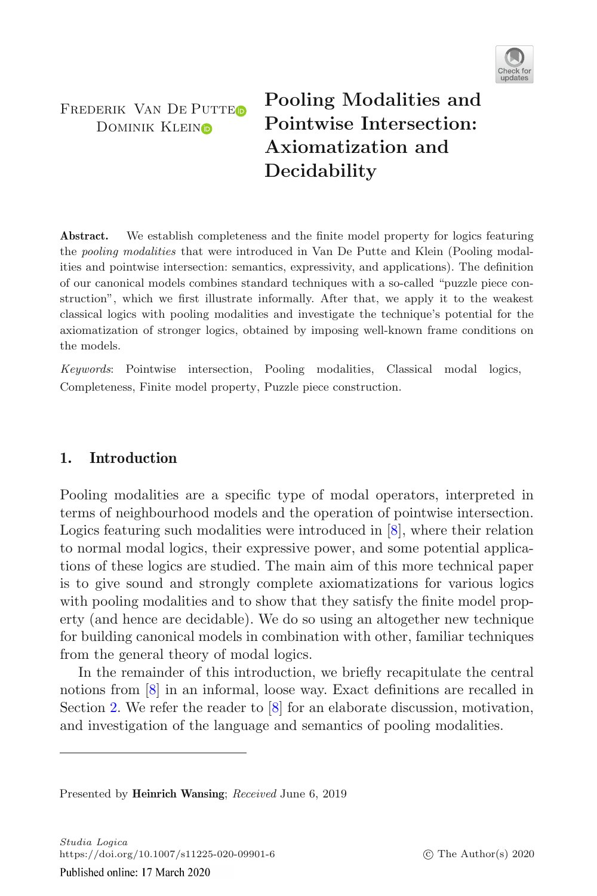

FREDERIK VAN DE PUTTEO DOMINIK KLEINO

**Pooling Modalities and Pointwise Intersection: Axiomatization and Decidability**

Abstract. We establish completeness and the finite model property for logics featuring the *pooling modalities* that were introduced in Van De Putte and Klein (Pooling modalities and pointwise intersection: semantics, expressivity, and applications). The definition of our canonical models combines standard techniques with a so-called "puzzle piece construction", which we first illustrate informally. After that, we apply it to the weakest classical logics with pooling modalities and investigate the technique's potential for the axiomatization of stronger logics, obtained by imposing well-known frame conditions on the models.

*Keywords*: Pointwise intersection, Pooling modalities, Classical modal logics, Completeness, Finite model property, Puzzle piece construction.

## **1. Introduction**

Pooling modalities are a specific type of modal operators, interpreted in terms of neighbourhood models and the operation of pointwise intersection. Logics featuring such modalities were introduced in [\[8](#page-46-0)], where their relation to normal modal logics, their expressive power, and some potential applications of these logics are studied. The main aim of this more technical paper is to give sound and strongly complete axiomatizations for various logics with pooling modalities and to show that they satisfy the finite model property (and hence are decidable). We do so using an altogether new technique for building canonical models in combination with other, familiar techniques from the general theory of modal logics.

In the remainder of this introduction, we briefly recapitulate the central notions from [\[8\]](#page-46-0) in an informal, loose way. Exact definitions are recalled in Section [2.](#page-2-0) We refer the reader to [\[8\]](#page-46-0) for an elaborate discussion, motivation, and investigation of the language and semantics of pooling modalities.

Presented by **Heinrich Wansing**; *Received* June 6, 2019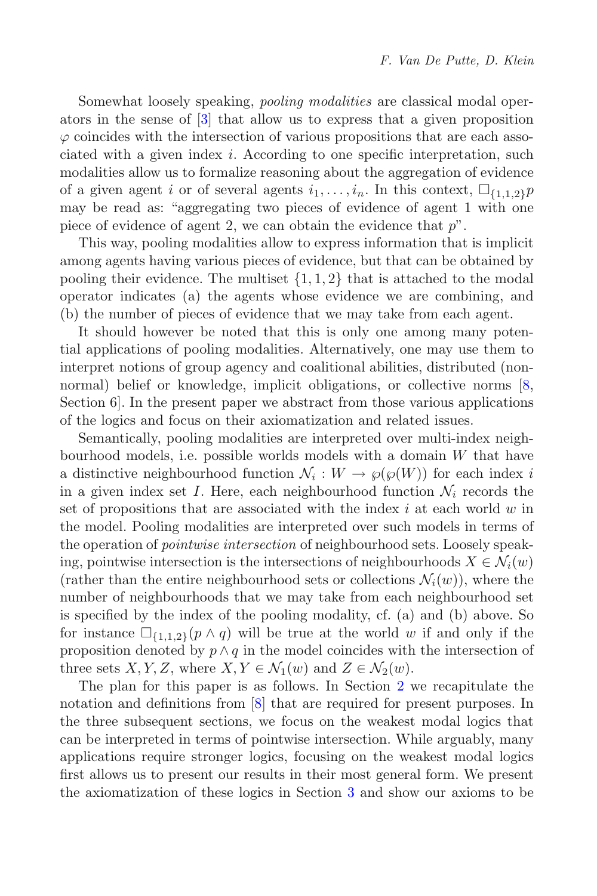Somewhat loosely speaking, *pooling modalities* are classical modal operators in the sense of [\[3](#page-45-0)] that allow us to express that a given proposition  $\varphi$  coincides with the intersection of various propositions that are each associated with a given index i. According to one specific interpretation, such modalities allow us to formalize reasoning about the aggregation of evidence of a given agent i or of several agents  $i_1,\ldots,i_n$ . In this context,  $\Box_{\{1,1,2\}}p$ or a given agent t or or several agents  $i_1, \ldots, i_n$ . In this context,  $\sqcup_{\{1,1,2\}} p$  may be read as: "aggregating two pieces of evidence of agent 1 with one piece of evidence of agent 2, we can obtain the evidence that  $p$ ".

This way, pooling modalities allow to express information that is implicit among agents having various pieces of evidence, but that can be obtained by pooling their evidence. The multiset  $\{1, 1, 2\}$  that is attached to the modal operator indicates (a) the agents whose evidence we are combining, and (b) the number of pieces of evidence that we may take from each agent.

It should however be noted that this is only one among many potential applications of pooling modalities. Alternatively, one may use them to interpret notions of group agency and coalitional abilities, distributed (nonnormal) belief or knowledge, implicit obligations, or collective norms [\[8](#page-46-0), Section 6]. In the present paper we abstract from those various applications of the logics and focus on their axiomatization and related issues.

Semantically, pooling modalities are interpreted over multi-index neighbourhood models, i.e. possible worlds models with a domain W that have a distinctive neighbourhood function  $\mathcal{N}_i : W \to \varphi(\varphi(W))$  for each index i in a given index set I. Here, each neighbourhood function  $\mathcal{N}_i$  records the set of propositions that are associated with the index  $i$  at each world  $w$  in the model. Pooling modalities are interpreted over such models in terms of the operation of *pointwise intersection* of neighbourhood sets. Loosely speaking, pointwise intersection is the intersections of neighbourhoods  $X \in \mathcal{N}_i(w)$ (rather than the entire neighbourhood sets or collections  $\mathcal{N}_i(w)$ ), where the number of neighbourhoods that we may take from each neighbourhood set is specified by the index of the pooling modality, cf. (a) and (b) above. So for instance  $\square_{\{1,1,2\}}(p \wedge q)$  will be true at the world w if and only if the proposition denoted by  $p \wedge q$  in the model coincides with the intersection of proposition denoted by  $p \wedge q$  in the model coincides with the intersection of three sets X, Y, Z, where  $X, Y \in \mathcal{N}_1(w)$  and  $Z \in \mathcal{N}_2(w)$ .

The plan for this paper is as follows. In Section [2](#page-2-0) we recapitulate the notation and definitions from [\[8\]](#page-46-0) that are required for present purposes. In the three subsequent sections, we focus on the weakest modal logics that can be interpreted in terms of pointwise intersection. While arguably, many applications require stronger logics, focusing on the weakest modal logics first allows us to present our results in their most general form. We present the axiomatization of these logics in Section [3](#page-5-0) and show our axioms to be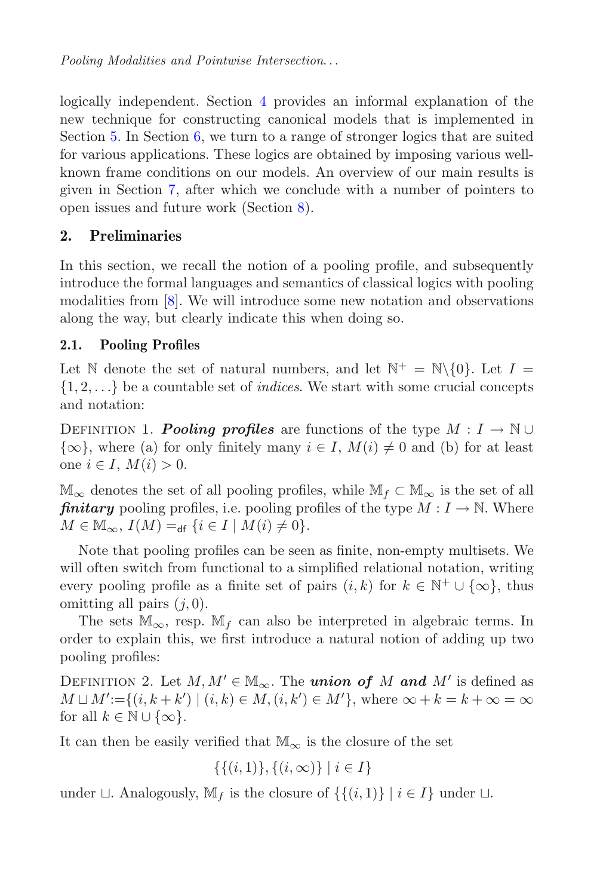logically independent. Section [4](#page-12-0) provides an informal explanation of the new technique for constructing canonical models that is implemented in Section [5.](#page-17-0) In Section [6,](#page-27-0) we turn to a range of stronger logics that are suited for various applications. These logics are obtained by imposing various wellknown frame conditions on our models. An overview of our main results is given in Section [7,](#page-41-0) after which we conclude with a number of pointers to open issues and future work (Section [8\)](#page-42-0).

# <span id="page-2-0"></span>**2. Preliminaries**

In this section, we recall the notion of a pooling profile, and subsequently introduce the formal languages and semantics of classical logics with pooling modalities from [\[8\]](#page-46-0). We will introduce some new notation and observations along the way, but clearly indicate this when doing so.

# <span id="page-2-1"></span>**2.1. Pooling Profiles**

Let N denote the set of natural numbers, and let  $\mathbb{N}^+ = \mathbb{N}\backslash\{0\}$ . Let  $I =$ {1, <sup>2</sup>,...} be a countable set of *indices*. We start with some crucial concepts and notation:

<span id="page-2-2"></span>DEFINITION 1. *Pooling profiles* are functions of the type  $M : I \to \mathbb{N} \cup$  $\{\infty\}$ , where (a) for only finitely many  $i \in I$ ,  $M(i) \neq 0$  and (b) for at least one  $i \in I$ ,  $M(i) > 0$ .

 $\mathbb{M}_{\infty}$  denotes the set of all pooling profiles, while  $\mathbb{M}_{f} \subset \mathbb{M}_{\infty}$  is the set of all *finitary* pooling profiles, i.e. pooling profiles of the type  $M: I \to \mathbb{N}$ . Where  $M \in \mathbb{M}_{\infty}$ ,  $I(M) =_{\text{df}} \{i \in I \mid M(i) \neq 0\}.$ 

Note that pooling profiles can be seen as finite, non-empty multisets. We will often switch from functional to a simplified relational notation, writing every pooling profile as a finite set of pairs  $(i, k)$  for  $k \in \mathbb{N}^+ \cup \{\infty\}$ , thus omitting all pairs  $(j, 0)$ .

The sets  $\mathbb{M}_{\infty}$ , resp.  $\mathbb{M}_{f}$  can also be interpreted in algebraic terms. In order to explain this, we first introduce a natural notion of adding up two pooling profiles:

DEFINITION 2. Let  $M, M' \in M_\infty$ . The *union of* M and M' is defined as  $M \sqcup M' := \{(i, k + k') \mid (i, k) \in M, (i, k') \in M'\},$  where  $\infty + k = k + \infty = \infty$ <br>for all  $k \in \mathbb{N} \cup \{\infty\}$ for all  $k \in \mathbb{N} \cup \{\infty\}.$ 

It can then be easily verified that  $\mathbb{M}_{\infty}$  is the closure of the set

$$
\{\{(i,1)\},\{(i,\infty)\}\mid i\in I\}
$$

under  $\sqcup$ . Analogously,  $\mathbb{M}_f$  is the closure of  $\{\{(i, 1)\} \mid i \in I\}$  under  $\sqcup$ .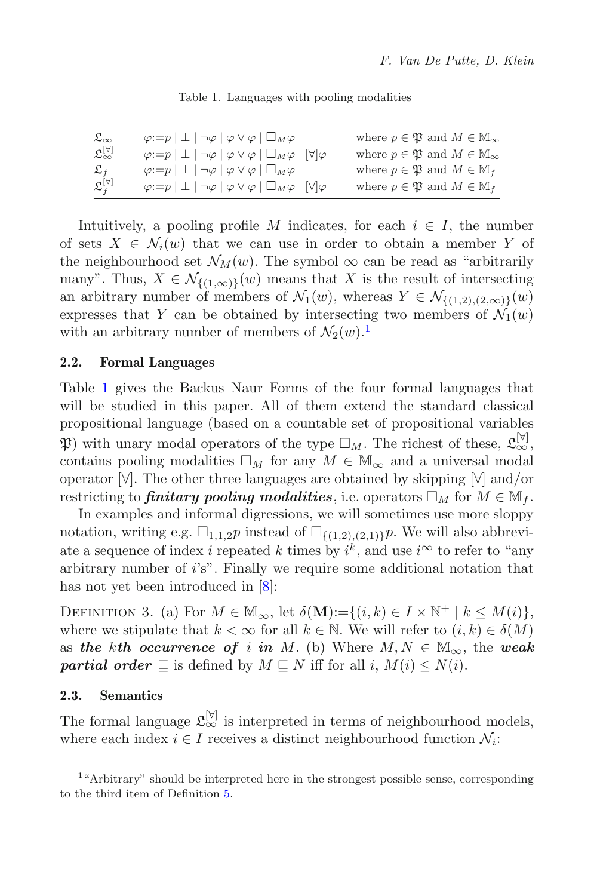<span id="page-3-1"></span>Table 1. Languages with pooling modalities

| $\mathfrak{L}_{\infty}$           | $\varphi:=p\mid \perp \mid \neg \varphi \mid \varphi \vee \varphi \mid \Box_M \varphi$                        | where $p \in \mathfrak{P}$ and $M \in \mathbb{M}_{\infty}$ |
|-----------------------------------|---------------------------------------------------------------------------------------------------------------|------------------------------------------------------------|
| $\mathfrak{L}^{[\forall]}_\infty$ | $\varphi:=p\mid \perp \mid \neg \varphi \mid \varphi \vee \varphi \mid \Box_M \varphi \mid [\forall] \varphi$ | where $p \in \mathfrak{P}$ and $M \in \mathbb{M}_{\infty}$ |
| $\mathfrak{L}_{f}$                | $\varphi:=p\mid \bot \mid \neg \varphi \mid \varphi \vee \varphi \mid \Box_M \varphi$                         | where $p \in \mathfrak{P}$ and $M \in \mathbb{M}_f$        |
| $\mathfrak{L}^{[\forall]}_f$      | $\varphi:=p\mid\perp\mid\neg\varphi\mid\varphi\vee\varphi\mid\Box_M\varphi\mid[\forall]\varphi$               | where $p \in \mathfrak{P}$ and $M \in \mathbb{M}_f$        |

Intuitively, a pooling profile M indicates, for each  $i \in I$ , the number of sets  $X \in \mathcal{N}_i(w)$  that we can use in order to obtain a member Y of the neighbourhood set  $\mathcal{N}_M(w)$ . The symbol  $\infty$  can be read as "arbitrarily many". Thus,  $X \in \mathcal{N}_{\{(1,\infty)\}}(w)$  means that X is the result of intersecting an arbitrary number of members of  $\mathcal{N}_1(w)$ , whereas  $Y \in \mathcal{N}_{\{(1,2),(2,\infty)\}}(w)$ expresses that Y can be obtained by intersecting two members of  $\mathcal{N}_1(w)$ with an arbitrary number of members of  $\mathcal{N}_2(w)$ .<sup>[1](#page-3-0)</sup>

#### **2.2. Formal Languages**

Table [1](#page-3-1) gives the Backus Naur Forms of the four formal languages that will be studied in this paper. All of them extend the standard classical propositional language (based on a countable set of propositional variables  $\mathfrak{P}$ ) with unary modal operators of the type  $\Box_M$ . The richest of these,  $\mathfrak{L}_{\infty}^{[\forall]}$ , contains pooling modalities  $\square_M$  for any  $M \in \mathbb{M}_{\infty}$  and a universal modal<br>operator  $\mathbb{M}$ . The other three languages are obtained by skipping  $\mathbb{M}$  and /or operator [∀]. The other three languages are obtained by skipping [∀] and/or restricting to **finitary pooling modalities**, i.e. operators  $\Box_M$  for  $M \in M_f$ .<br>In examples and informal digressions, we will sometimes use more sloppy

In examples and informal digressions, we will sometimes use more sloppy notation, writing e.g.  $\square_{1,1,2}p$  instead of  $\square_{\{(1,2),(2,1)\}}p$ . We will also abbrevi-<br>ato a sequence of index *i* repeated *k* times by *i*<sup>k</sup>, and use *i*<sup> $\infty$ </sup> to refer to "any ate a sequence of index *i* repeated k times by  $i^k$ , and use  $i^{\infty}$  to refer to "any<br>arbitrary number of  $i's$ ". Finally we require some additional notation that arbitrary number of  $i$ 's". Finally we require some additional notation that has not yet been introduced in [\[8\]](#page-46-0):

DEFINITION 3. (a) For  $M \in M_\infty$ , let  $\delta(M):=\{(i,k)\in I\times\mathbb{N}^+ \mid k\leq M(i)\},$ where we stipulate that  $k < \infty$  for all  $k \in \mathbb{N}$ . We will refer to  $(i, k) \in \delta(M)$ as *the kth occurrence of i in M*. (b) Where  $M, N \in \mathbb{M}_{\infty}$ , the *weak* **partial order**  $\sqsubseteq$  is defined by  $M \sqsubseteq N$  iff for all i,  $M(i) \leq N(i)$ .

### <span id="page-3-3"></span>**2.3. Semantics**

<span id="page-3-2"></span>The formal language  $\mathfrak{L}_{\infty}^{[\triangledown]}$  is interpreted in terms of neighbourhood models, where each index  $i \in I$  receives a distinct neighbourhood function  $\mathcal{N}_i$ :

<span id="page-3-0"></span><sup>&</sup>lt;sup>1</sup>"Arbitrary" should be interpreted here in the strongest possible sense, corresponding to the third item of Definition [5.](#page-4-0)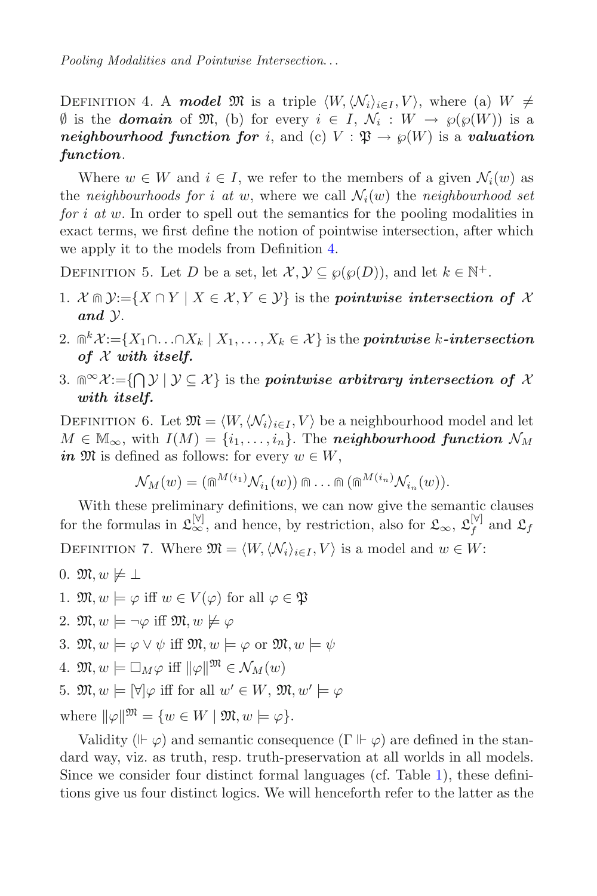DEFINITION 4. A **model**  $\mathfrak{M}$  is a triple  $\langle W, \langle \mathcal{N}_i \rangle_{i \in I}, V \rangle$ , where (a)  $W \neq$  $\emptyset$  is the **domain** of M, (b) for every  $i \in I$ ,  $\mathcal{N}_i : W \rightarrow \wp(\wp(W))$  is a *neighbourhood function for i*, and (c)  $V : \mathfrak{P} \to \wp(W)$  is a *valuation function*.

Where  $w \in W$  and  $i \in I$ , we refer to the members of a given  $\mathcal{N}_i(w)$  as the *neighbourhoods for* i at w, where we call  $\mathcal{N}_i(w)$  the *neighbourhood set for* i *at* w. In order to spell out the semantics for the pooling modalities in exact terms, we first define the notion of pointwise intersection, after which we apply it to the models from Definition [4.](#page-3-2)

<span id="page-4-0"></span>DEFINITION 5. Let D be a set, let  $\mathcal{X}, \mathcal{Y} \subseteq \wp(\wp(D))$ , and let  $k \in \mathbb{N}^+$ .

- 1.  $\mathcal{X} \cap \mathcal{Y}$ : = { $X \cap Y \mid X \in \mathcal{X}, Y \in \mathcal{Y}$ } is the *pointwise intersection of*  $\mathcal{X}$ *and* Y.
- 2.  $\mathbb{R}^k$   $\mathcal{X} := \{X_1 \cap \ldots \cap X_k \mid X_1, \ldots, X_k \in \mathcal{X}\}\$ is the *pointwise* k-intersection *of* X *with itself.*
- 3.  $\mathbb{R}^{\infty}$  X:={ $\bigcap$   $\mathcal{Y}$  |  $\mathcal{Y} \subseteq \mathcal{X}$ } is the *pointwise arbitrary intersection of*  $\mathcal{X}$ *with itself.*

<span id="page-4-1"></span>DEFINITION 6. Let  $\mathfrak{M} = \langle W, \langle \mathcal{N}_i \rangle_{i \in I}, V \rangle$  be a neighbourhood model and let  $M \in \mathbb{M}_{\infty}$ , with  $I(M) = \{i_1, \ldots, i_n\}$ . The **neighbourhood function**  $\mathcal{N}_M$ *in*  $\mathfrak{M}$  is defined as follows: for every  $w \in W$ ,

$$
\mathcal{N}_M(w) = (\mathbb{m}^{M(i_1)} \mathcal{N}_{i_1}(w)) \mathbb{m} \dots \mathbb{m} (\mathbb{m}^{M(i_n)} \mathcal{N}_{i_n}(w)).
$$

<span id="page-4-2"></span>With these preliminary definitions, we can now give the semantic clauses for the formulas in  $\mathfrak{L}_{\infty}^{[\forall]}$ , and hence, by restriction, also for  $\mathfrak{L}_{\infty}$ ,  $\mathfrak{L}_{f}^{[\forall]}$  and  $\mathfrak{L}_{f}$ DEFINITION 7. Where  $\mathfrak{M} = \langle W, \langle \mathcal{N}_i \rangle_{i \in I}, V \rangle$  is a model and  $w \in W$ :

0.  $\mathfrak{M}, w \not\models \bot$ 

1.  $\mathfrak{M}, w \models \varphi$  iff  $w \in V(\varphi)$  for all  $\varphi \in \mathfrak{P}$ 

- 2.  $\mathfrak{M}, w \models \neg \varphi$  iff  $\mathfrak{M}, w \not\models \varphi$
- 3.  $\mathfrak{M}, w \models \varphi \lor \psi$  iff  $\mathfrak{M}, w \models \varphi$  or  $\mathfrak{M}, w \models \psi$
- 4.  $\mathfrak{M}, w \models \Box_M \varphi \text{ iff } ||\varphi||^{\mathfrak{M}} \in \mathcal{N}_M(w)$
- 5.  $\mathfrak{M}, w \models [\forall] \varphi$  iff for all  $w' \in W$ ,  $\mathfrak{M}, w' \models \varphi$

where  $\|\varphi\|^{\mathfrak{M}} = \{w \in W \mid \mathfrak{M}, w \models \varphi\}.$ 

Validity ( $\vdash \varphi$ ) and semantic consequence (Γ $\vdash \varphi$ ) are defined in the standard way, viz. as truth, resp. truth-preservation at all worlds in all models. Since we consider four distinct formal languages (cf. Table [1\)](#page-3-1), these definitions give us four distinct logics. We will henceforth refer to the latter as the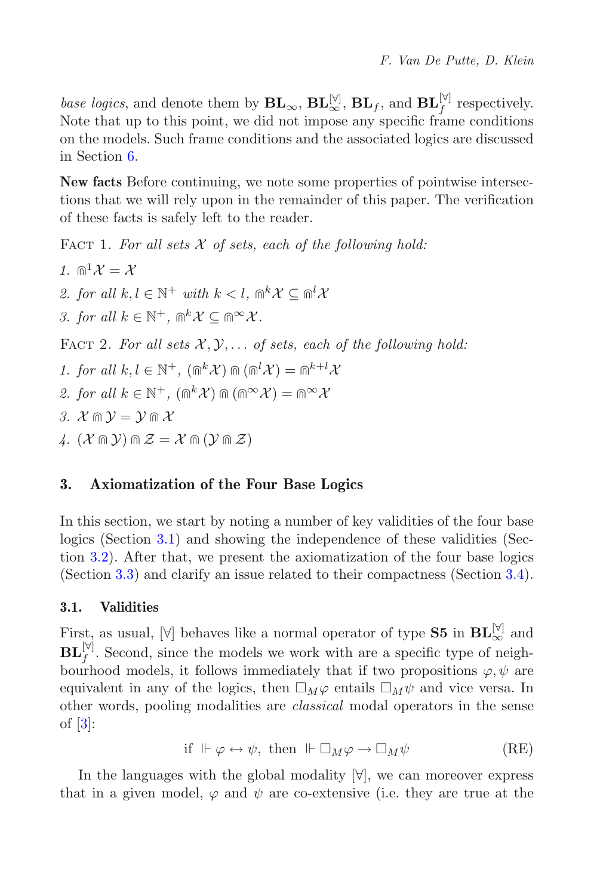*base logics*, and denote them by  $\mathbf{BL}_{\infty}$ ,  $\mathbf{BL}_{\infty}^{[\mathbb{V}]}$ ,  $\mathbf{BL}_{f}$ , and  $\mathbf{BL}_{f}^{[\mathbb{V}]}$  respectively. Note that up to this point, we did not impose any specific frame conditions on the models. Such frame conditions and the associated logics are discussed in Section [6.](#page-27-0)

**New facts** Before continuing, we note some properties of pointwise intersections that we will rely upon in the remainder of this paper. The verification of these facts is safely left to the reader.

<span id="page-5-3"></span>FACT 1. For all sets X of sets, each of the following hold:

<span id="page-5-2"></span>*1.*  $\mathbb{R}^1 \mathcal{X} = \mathcal{X}$ *2. for all*  $k, l \in \mathbb{N}^+$  *with*  $k < l$ ,  $\mathbb{R}^k \mathcal{X} \subseteq \mathbb{R}^l \mathcal{X}$ *3. for all*  $k \in \mathbb{N}^+$ ,  $\mathbb{R}^k$   $\mathcal{X} \subseteq \mathbb{R}^\infty$   $\mathcal{X}$ . FACT 2. For all sets  $X, Y, \ldots$  of sets, each of the following hold: *1. for all*  $k, l \in \mathbb{N}^+$ ,  $(\mathbb{R}^k \mathcal{X}) \mathbb{R} (\mathbb{R}^l \mathcal{X}) = \mathbb{R}^{k+l} \mathcal{X}$ *2. for all*  $k \in \mathbb{N}^+$ ,  $(\mathbb{R}^k \mathcal{X}) \mathbb{R} (\mathbb{R}^\infty \mathcal{X}) = \mathbb{R}^\infty \mathcal{X}$ *3.*  $\mathcal{X} \cap \mathcal{Y} = \mathcal{Y} \cap \mathcal{X}$  $\mathcal{U}$ .  $(\mathcal{X} \cap \mathcal{Y}) \cap \mathcal{Z} = \mathcal{X} \cap (\mathcal{Y} \cap \mathcal{Z})$ 

# <span id="page-5-0"></span>**3. Axiomatization of the Four Base Logics**

In this section, we start by noting a number of key validities of the four base logics (Section [3.1\)](#page-5-1) and showing the independence of these validities (Section [3.2\)](#page-7-0). After that, we present the axiomatization of the four base logics (Section [3.3\)](#page-9-0) and clarify an issue related to their compactness (Section [3.4\)](#page-10-0).

## <span id="page-5-1"></span>**3.1. Validities**

First, as usual,  $[\forall]$  behaves like a normal operator of type **S5** in  $\mathbf{BL}_{\infty}^{[\forall]}$  and  $\mathbf{BL}_{f}^{[\forall]}$ . Second, since the models we work with are a specific type of neighbourhood models, it follows immediately that if two propositions  $\varphi, \psi$  are equivalent in any of the logics, then  $\Box_M\varphi$  entails  $\Box_M\psi$  and vice versa. In<br>other words, pooling modalities are classical modal operators in the sense other words, pooling modalities are *classical* modal operators in the sense of [\[3\]](#page-45-0):

> if  $\Vdash \varphi \leftrightarrow \psi$ , then  $\Vdash \Box_M \varphi \rightarrow \Box$  $M^{\psi}$  (RE)

In the languages with the global modality  $[\forall]$ , we can moreover express that in a given model,  $\varphi$  and  $\psi$  are co-extensive (i.e. they are true at the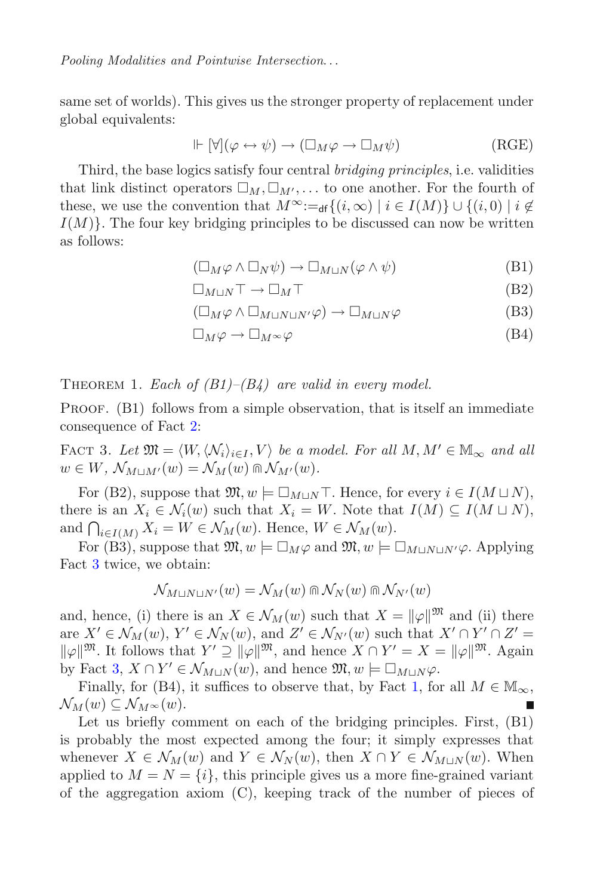same set of worlds). This gives us the stronger property of replacement under global equivalents:

$$
\Vdash [\forall](\varphi \leftrightarrow \psi) \to (\Box_M \varphi \to \Box_M \psi) \tag{RGE}
$$

Third, the base logics satisfy four central *bridging principles*, i.e. validities that link distinct operators  $\square_M$ ,  $\square_{M'}$ ,... to one another. For the fourth of these we use the convention that  $M^{\infty}$   $\vdots$   $\{i \in \mathcal{S}(i, \infty) | i \in I(M)\}$ these, we use the convention that  $M^{\infty}:=_{df}\{(i,\infty) \mid i \in I(M)\} \cup \{(i,0) \mid i \notin I(M)\}$  $I(M)$ . The four key bridging principles to be discussed can now be written as follows:

$$
(\Box_M \varphi \land \Box_N \psi) \to \Box_{M \sqcup N} (\varphi \land \psi)
$$
(B1)

$$
\Box_{M\sqcup N}\top \to \Box_M\top \tag{B2}
$$

$$
(\Box_M \varphi \land \Box_{M \sqcup N \sqcup N'} \varphi) \to \Box_{M \sqcup N} \varphi
$$
 (B3)

$$
\Box_M \varphi \to \Box_M \sim \varphi \tag{B4}
$$

<span id="page-6-1"></span>THEOREM 1. *Each of*  $(B1)$ *–* $(B4)$  *are valid in every model.* 

PROOF. (B1) follows from a simple observation, that is itself an immediate consequence of Fact [2:](#page-5-2)

<span id="page-6-0"></span>FACT 3. Let  $\mathfrak{M} = \langle W, \langle \mathcal{N}_i \rangle_{i \in I}, V \rangle$  be a model. For all  $M, M' \in M_\infty$  and all  $w \in W$ ,  $\mathcal{N}_{M \sqcup M'}(w) = \mathcal{N}_M(w) \cap \mathcal{N}_{M'}(w)$ .

For (B2), suppose that  $\mathfrak{M}, w \models \Box_{M\sqcup N} \top$ . Hence, for every  $i \in I(M\sqcup N)$ ,<br>registed  $X_i \subseteq \Lambda(\{w\})$  such that  $X_i = W$ . Note that  $I(M) \subseteq I(M\sqcup N)$ there is an  $X_i \in \mathcal{N}_i(w)$  such that  $X_i = W$ . Note that  $I(M) \subseteq I(M \sqcup N)$ , and  $\bigcap_{i\in I(M)} X_i = W \in \mathcal{N}_M(w)$ . Hence,  $W \in \mathcal{N}_M(w)$ .<br>
For  $(B_3)$  suppose that  $\mathfrak{M}$   $w \models \Box$  is and  $\mathfrak{M}$   $w \models \Box$ 

For (B3), suppose that  $\mathfrak{M}, w \models \Box_M \varphi$  and  $\mathfrak{M}, w \models \Box_{M\sqcup N\sqcup N'} \varphi$ . Applying Fact [3](#page-6-0) twice, we obtain:

$$
\mathcal{N}_{M\sqcup N\sqcup N'}(w) = \mathcal{N}_M(w) \cap \mathcal{N}_N(w) \cap \mathcal{N}_{N'}(w)
$$

and, hence, (i) there is an  $X \in \mathcal{N}_M(w)$  such that  $X = ||\varphi||^{m}$  and (ii) there  $X' \in \mathcal{N}_{\mathcal{M}}(w)$   $Y' \in \mathcal{N}_{\mathcal{M}}(w)$  and  $Z' \in \mathcal{N}_{\mathcal{M}}(w)$  such that  $X' \cap Y' \cap Z' =$ are  $X' \in \mathcal{N}_M(w)$ ,  $Y' \in \mathcal{N}_N(w)$ , and  $Z' \in \mathcal{N}_{N'}(w)$  such that  $X' \cap Y' \cap Z' =$ <br> $\|u\|_{\infty}^{|\mathfrak{M}|}$ . It follows that  $Y' \supset \|u\|_{\infty}^{|\mathfrak{M}|}$  and hence  $X \cap Y' - X = \|u\|_{\infty}^{|\mathfrak{M}|}$ . Again  $\|\varphi\|^{m}$ . It follows that  $Y' \supseteq \|\varphi\|^{m}$ , and hence  $X \cap Y' = X = \|\varphi\|^{m}$ . Again by Fact [3,](#page-6-0)  $X \cap Y' \in \mathcal{N}_{M \sqcup N}(w)$ , and hence  $\mathfrak{M}, w \models \Box_{M \sqcup N} \varphi$ .<br>Finally for (B4) it suffices to observe that by Fact 1 for

Finally, for (B4), it suffices to observe that, by Fact [1,](#page-5-3) for all  $M \in M_{\infty}$ ,  $\mathcal{N}_M(w) \subseteq \mathcal{N}_{M^{\infty}}(w).$ 

Let us briefly comment on each of the bridging principles. First, (B1) is probably the most expected among the four; it simply expresses that whenever  $X \in \mathcal{N}_M(w)$  and  $Y \in \mathcal{N}_N(w)$ , then  $X \cap Y \in \mathcal{N}_{M\cup N}(w)$ . When applied to  $M = N = \{i\}$ , this principle gives us a more fine-grained variant of the aggregation axiom (C), keeping track of the number of pieces of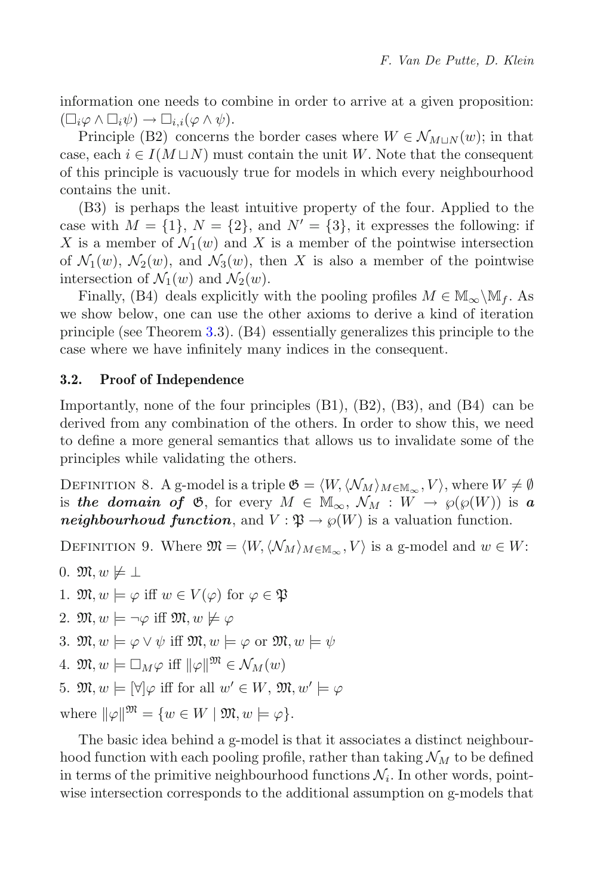information one needs to combine in order to arrive at a given proposition:  $(\Box_i \varphi \land \Box_i \psi) \rightarrow \Box_{i,i}(\varphi \land \psi).$ <br>Principle (B2) concerns  $i\varphi$  ∧  $\Box$ <br>Princii

Principle (B2) concerns the border cases where  $W \in \mathcal{N}_{M\sqcup N}(w)$ ; in that equal that is consequent to each  $i \in I(M\sqcup N)$  must contain the unit W. Note that the consequent case, each  $i \in I(M \sqcup N)$  must contain the unit W. Note that the consequent of this principle is vacuously true for models in which every neighbourhood contains the unit.

(B3) is perhaps the least intuitive property of the four. Applied to the case with  $M = \{1\}$ ,  $N = \{2\}$ , and  $N' = \{3\}$ , it expresses the following: if X is a member of  $\mathcal{N}_1(w)$  and X is a member of the pointwise intersection of  $\mathcal{N}_1(w)$ ,  $\mathcal{N}_2(w)$ , and  $\mathcal{N}_3(w)$ , then X is also a member of the pointwise intersection of  $\mathcal{N}_1(w)$  and  $\mathcal{N}_2(w)$ .

Finally, (B4) deals explicitly with the pooling profiles  $M \in M_{\infty}\backslash M_f$ . As we show below, one can use the other axioms to derive a kind of iteration principle (see Theorem [3.](#page-9-1)3). (B4) essentially generalizes this principle to the case where we have infinitely many indices in the consequent.

## <span id="page-7-0"></span>**3.2. Proof of Independence**

Importantly, none of the four principles (B1), (B2), (B3), and (B4) can be derived from any combination of the others. In order to show this, we need to define a more general semantics that allows us to invalidate some of the principles while validating the others.

<span id="page-7-1"></span>DEFINITION 8. A g-model is a triple  $\mathfrak{G} = \langle W, \langle \mathcal{N}_M \rangle_{M \in \mathbb{M}_{\infty}}, V \rangle$ , where  $W \neq \emptyset$ is *the domain of*  $\mathfrak{G}$ , for every  $M \in M_{\infty}$ ,  $\mathcal{N}_M : W \to \wp(\wp(W))$  is a *neighbourhoud function*, and  $V : \mathfrak{P} \to \wp(W)$  is a valuation function.

DEFINITION 9. Where  $\mathfrak{M} = \langle W, \langle \mathcal{N}_M \rangle_{M \in \mathbb{M}_{\infty}}, V \rangle$  is a g-model and  $w \in W$ :

0.  $\mathfrak{M}, w \not\models \bot$ 

1.  $\mathfrak{M}, w \models \varphi$  iff  $w \in V(\varphi)$  for  $\varphi \in \mathfrak{P}$ 

2.  $\mathfrak{M}, w \models \neg \varphi$  iff  $\mathfrak{M}, w \not\models \varphi$ 

3. 
$$
\mathfrak{M}, w \models \varphi \lor \psi
$$
 iff  $\mathfrak{M}, w \models \varphi$  or  $\mathfrak{M}, w \models \psi$ 

4. 
$$
\mathfrak{M}, w \models \Box_M \varphi \text{ iff } \|\varphi\|^{ \mathfrak{M}} \in \mathcal{N}_M(w)
$$

5.  $\mathfrak{M}, w \models [\forall] \varphi$  iff for all  $w' \in W$ ,  $\mathfrak{M}, w' \models \varphi$ 

where  $\|\varphi\|^{\mathfrak{M}} = \{w \in W \mid \mathfrak{M}, w \models \varphi\}.$ 

The basic idea behind a g-model is that it associates a distinct neighbourhood function with each pooling profile, rather than taking  $\mathcal{N}_M$  to be defined in terms of the primitive neighbourhood functions  $\mathcal{N}_i$ . In other words, pointwise intersection corresponds to the additional assumption on g-models that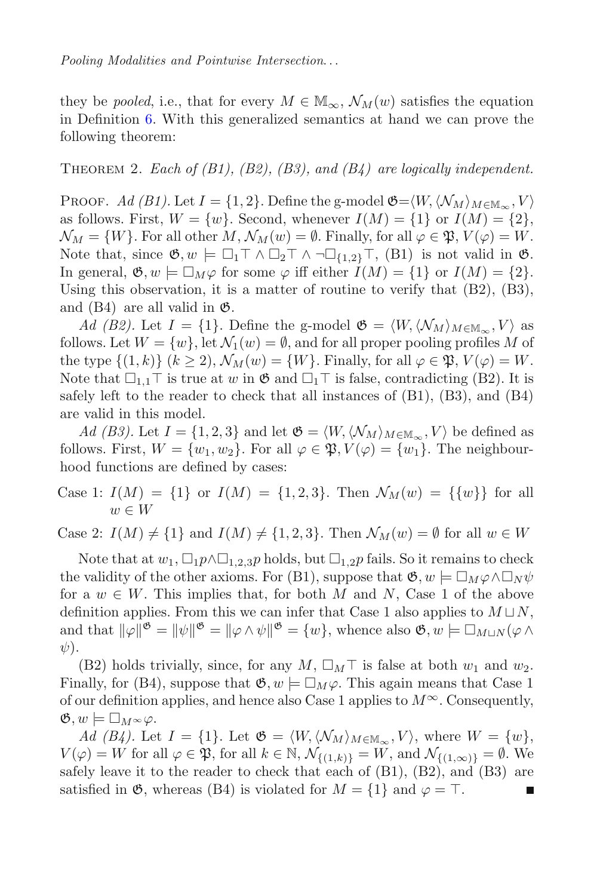they be *pooled*, i.e., that for every  $M \in M_{\infty}$ ,  $\mathcal{N}_M(w)$  satisfies the equation in Definition [6.](#page-4-1) With this generalized semantics at hand we can prove the following theorem:

Theorem 2. *Each of (B1), (B2), (B3), and (B4) are logically independent.*

PROOF. Ad (B1). Let  $I = \{1, 2\}$ . Define the g-model  $\mathfrak{G} = \langle W, \langle \mathcal{N}_M \rangle_{M \in \mathbb{M}_{\infty}}, V \rangle$ as follows. First,  $W = \{w\}$ . Second, whenever  $I(M) = \{1\}$  or  $I(M) = \{2\}$ ,  $\mathcal{N}_M = \{W\}$ . For all other  $M, \mathcal{N}_M(w) = \emptyset$ . Finally, for all  $\varphi \in \mathfrak{P}, V(\varphi) = W$ . Note that, since  $\mathfrak{G}, w \models \Box_1 \top \wedge \Box_2 \top \wedge \neg \Box_{\{1,2\}} \top$ , (B1) is not valid in  $\mathfrak{G}$ .<br>In general  $\mathfrak{G}, w \models \Box_{\mathcal{M}} Q$  for some  $Q$  iff either  $I(M) = \{1\}$  or  $I(M) = \{2\}$ . In general,  $\mathfrak{G}, w \models \Box_M \varphi$  for some  $\varphi$  iff either  $I(M) = \{1\}$  or  $I(M) = \{2\}$ .<br>Using this observation, it is a matter of routine to verify that (B2) (B3) Using this observation, it is a matter of routine to verify that (B2), (B3), and  $(B4)$  are all valid in  $\mathfrak{G}$ .

*Ad (B2)*. Let  $I = \{1\}$ . Define the g-model  $\mathfrak{G} = \langle W, \langle \mathcal{N}_M \rangle_{M \in \mathbb{M}_{\infty}}, V \rangle$  as follows. Let  $W = \{w\}$ , let  $\mathcal{N}_1(w) = \emptyset$ , and for all proper pooling profiles M of the type  $\{(1,k)\}\ (k\geq 2), \mathcal{N}_M(w)=\{W\}.$  Finally, for all  $\varphi\in \mathfrak{P}, V(\varphi)=W.$ Note that  $\Box_{1,1}$  T is true at w in  $\mathfrak{G}$  and  $\Box_1$  T is false, contradicting (B2). It is safely left to the reader to check that all instances of (B1) (B3) and (B4) safely left to the reader to check that all instances of (B1), (B3), and (B4) are valid in this model.

*Ad (B3)*. Let  $I = \{1, 2, 3\}$  and let  $\mathfrak{G} = \langle W, \langle \mathcal{N}_M \rangle_{M \in \mathbb{M}_{\infty}}, V \rangle$  be defined as follows. First,  $W = \{w_1, w_2\}$ . For all  $\varphi \in \mathfrak{P}, V(\varphi) = \{w_1\}$ . The neighbourhood functions are defined by cases:

Case 1:  $I(M) = \{1\}$  or  $I(M) = \{1, 2, 3\}$ . Then  $\mathcal{N}_M(w) = \{\{w\}\}\$ for all  $w \in W$ 

Case 2:  $I(M) \neq \{1\}$  and  $I(M) \neq \{1, 2, 3\}$ . Then  $\mathcal{N}_M(w) = \emptyset$  for all  $w \in W$ 

Note that at  $w_1$ ,  $\Box_1 p \land \Box_{1,2,3} p$  holds, but  $\Box_{1,2} p$  fails. So it remains to check<br>welldity of the other exigms. For (B1), suppose that  $\mathfrak{G}$ ,  $w \models \Box_{\mathcal{M}}(A \Box_{\mathcal{M}})$ the validity of the other axioms. For (B1), suppose that  $\mathfrak{G}, w \models \Box_M \varphi \land \Box$ <br>for a  $w \in W$ . This implies that for both M and N. Case 1 of the ab  $N \psi$ for a  $w \in W$ . This implies that, for both M and N, Case 1 of the above<br>definition applies. From this we can infer that Case 1 also applies to  $M \cup N$ definition applies. From this we can infer that Case 1 also applies to  $M \sqcup N$ , and that  $\|\varphi\|^{\mathfrak{G}} = \|\psi\|^{\mathfrak{G}} = \|\varphi \wedge \psi\|^{\mathfrak{G}} = \{w\}$ , whence also  $\mathfrak{G}, w \models \Box_{M \sqcup N} (\varphi \wedge \psi)$  $\psi$ ).

(B2) holds trivially, since, for any  $M$ ,  $\square_M \top$  is false at both  $w_1$  and  $w_2$ .<br>
and  $w_3$  is fally for  $(R_4)$ , suppose that  $\mathfrak{G}$ ,  $w \models \square_{M_4}$ . This again means that  $\triangle_{36}$  1 Finally, for (B4), suppose that  $\mathfrak{G}, w \models \Box_M \varphi$ . This again means that Case 1<br>of our definition applies, and hence also Case 1 applies to  $M^{\infty}$ . Consequently of our definition applies, and hence also Case 1 applies to  $M^{\infty}$ . Consequently,  $\mathfrak{G}, w \models \Box_M \leadsto \varphi.$ <br>  $Ad (B \cup \Box \varphi)$ 

*Ad (B4)*. Let  $I = \{1\}$ . Let  $\mathfrak{G} = \langle W, \langle \mathcal{N}_M \rangle_{M \in \mathbb{M}_{\infty}}, V \rangle$ , where  $W = \{w\}$ ,  $V(\varphi) = W$  for all  $\varphi \in \mathfrak{P}$ , for all  $k \in \mathbb{N}$ ,  $\mathcal{N}_{\{(1,k)\}} = W$ , and  $\mathcal{N}_{\{(1,\infty)\}} = \emptyset$ . We safely leave it to the reader to check that each of  $(B1)$ ,  $(B2)$ , and  $(B3)$  are satisfied in  $\mathfrak{G}$ , whereas (B4) is violated for  $M = \{1\}$  and  $\varphi = \top$ .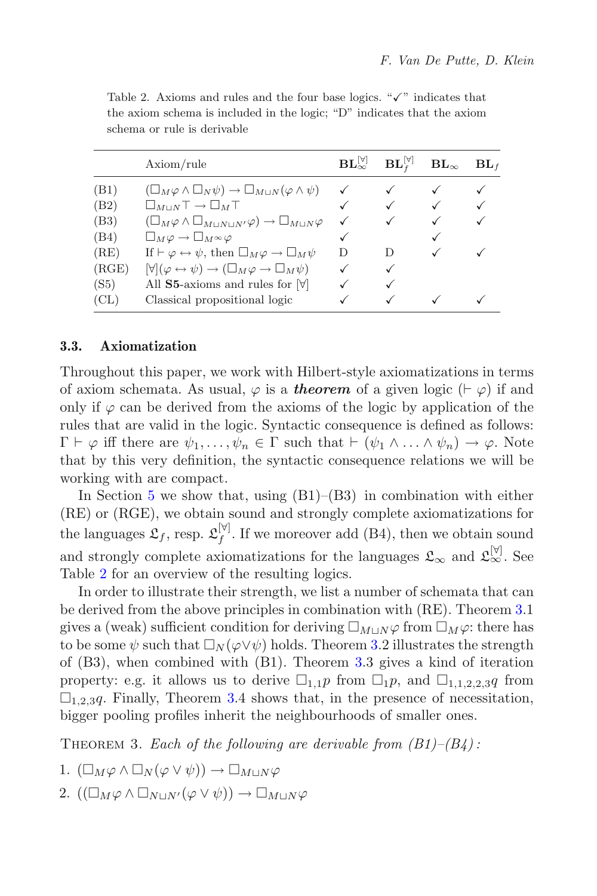|       | Axiom/rule                                                                                     | $\mathbf{BL}_{\infty}^{[\forall]}$ | $\mathbf{BL}_{t}^{[\forall]}$ | $\mathbf{BL}_\infty$ | BL <sub>f</sub> |
|-------|------------------------------------------------------------------------------------------------|------------------------------------|-------------------------------|----------------------|-----------------|
| (B1)  | $(\Box_M \varphi \land \Box_N \psi) \to \Box_{M\sqcup N} (\varphi \land \psi)$                 |                                    |                               |                      |                 |
| (B2)  | $\square_{M\sqcup N}\top \to \square_M\top$                                                    |                                    |                               | $\checkmark$         | ✓               |
| (B3)  | $(\Box_M \varphi \wedge \Box_{M\sqcup N\sqcup N'}\varphi) \rightarrow \Box_{M\sqcup N}\varphi$ | ✓                                  |                               | $\checkmark$         | ✓               |
| (B4)  | $\square_M \varphi \to \square_M \infty \varphi$                                               | $\checkmark$                       |                               | ✓                    |                 |
| (RE)  | If $\vdash \varphi \leftrightarrow \psi$ , then $\Box_M \varphi \rightarrow \Box_M \psi$       | D                                  | D                             |                      |                 |
| (RGE) | $[\forall](\varphi \leftrightarrow \psi) \rightarrow (\Box_M \varphi \rightarrow \Box_M \psi)$ | ✓                                  | ✓                             |                      |                 |
| (S5)  | All S5-axioms and rules for $ \forall$                                                         |                                    |                               |                      |                 |
| CL)   | Classical propositional logic                                                                  |                                    |                               |                      |                 |

<span id="page-9-2"></span>Table 2. Axioms and rules and the four base logics. " $\checkmark$ " indicates that the axiom schema is included in the logic; "D" indicates that the axiom schema or rule is derivable

### <span id="page-9-0"></span>**3.3. Axiomatization**

Throughout this paper, we work with Hilbert-style axiomatizations in terms of axiom schemata. As usual,  $\varphi$  is a *theorem* of a given logic  $(\vdash \varphi)$  if and only if  $\varphi$  can be derived from the axioms of the logic by application of the rules that are valid in the logic. Syntactic consequence is defined as follows:  $\Gamma \vdash \varphi$  iff there are  $\psi_1, \ldots, \psi_n \in \Gamma$  such that  $\vdash (\psi_1 \land \ldots \land \psi_n) \rightarrow \varphi$ . Note that by this very definition, the syntactic consequence relations we will be working with are compact.

In Section [5](#page-17-0) we show that, using  $(B1)$ – $(B3)$  in combination with either (RE) or (RGE), we obtain sound and strongly complete axiomatizations for the languages  $\mathfrak{L}_f$ , resp.  $\mathfrak{L}_f^{[\forall]}$ . If we moreover add (B4), then we obtain sound and strongly complete axiomatizations for the languages  $\mathfrak{L}_{\infty}$  and  $\mathfrak{L}_{\infty}^{[\forall]}$  . See Table [2](#page-9-2) for an overview of the resulting logics.

In order to illustrate their strength, we list a number of schemata that can be derived from the above principles in combination with (RE). Theorem [3.](#page-9-1)1 gives a (weak) sufficient condition for deriving  $\square_{M\sqcup N}\varphi$  from  $\square_M\varphi$ : there has to be some  $\psi$  such that  $\Box_N(\varphi \lor \psi)$  holds. Theorem [3.](#page-9-1)2 illustrates the strength of (B3), when combined with (B1). Theorem 3.3 gives a kind of iteration of (B3), when combined with (B1). Theorem [3.](#page-9-1)3 gives a kind of iteration property: e.g. it allows us to derive  $\Box_{1,1} p$  from  $\Box_{1} p$ , and  $\Box_{1,1,2,2,3} q$  from  $\Box_{1,2,2,3} q$  from  $\Box_{1,2,2,3} q$ .  $\square_{1,2,3}$ q. Finally, Theorem [3.](#page-9-1)4 shows that, in the presence of necessitation,<br>bigger pooling profiles inherit the neighbourhoods of smaller ones bigger pooling profiles inherit the neighbourhoods of smaller ones.

<span id="page-9-1"></span>Theorem 3. *Each of the following are derivable from (B1)–(B4) :*

- 1.  $(\Box_M \varphi \land \Box_N (\varphi \lor \psi)) \to \Box_{M \sqcup N} \varphi$
- 2.  $((\Box_M \varphi \land \Box_{N\sqcup N'}(\varphi \lor \psi)) \to \Box_{M\sqcup N}\varphi)$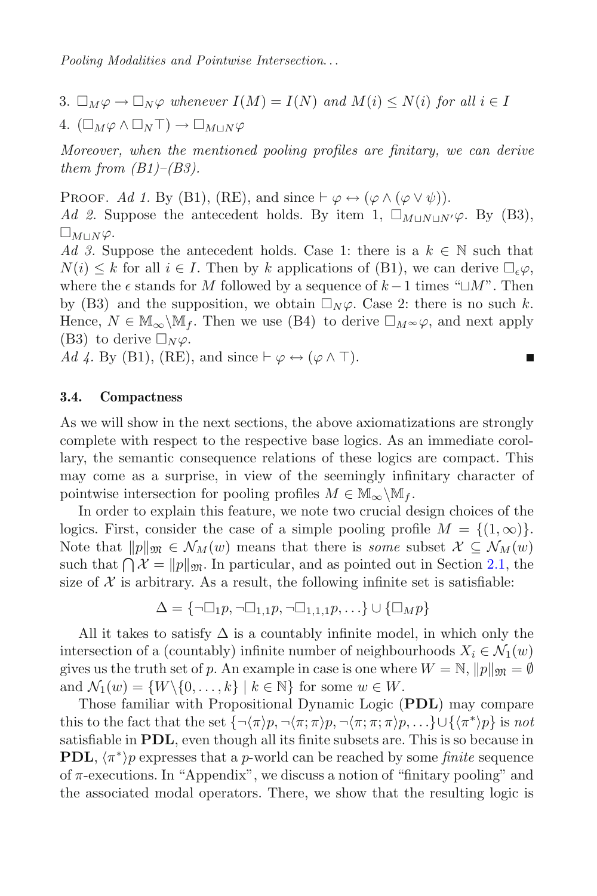3.  $\square_M \varphi \to \square_N \varphi$  whenever  $I(M) = I(N)$  and  $M(i) \leq N(i)$  for all  $i \in I$ 

4.  $(\Box_M \varphi \land \Box_N \top) \to \Box_{M \sqcup N} \varphi$ 

*Moreover, when the mentioned pooling profiles are finitary, we can derive them from (B1)–(B3).*

PROOF. Ad 1. By (B1), (RE), and since  $\vdash \varphi \leftrightarrow (\varphi \wedge (\varphi \vee \psi)).$ *Ad 2.* Suppose the antecedent holds. By item 1,  $\square_{M\sqcup N\sqcup N'}\varphi$ . By (B3),  $\square_{M\sqcup N}\varphi.$ <br>  $\overline{A}d\overset{Q}{\rightarrow}S_{V}$ 

*Ad 3.* Suppose the antecedent holds. Case 1: there is a  $k \in \mathbb{N}$  such that  $N(i) \leq k$  for all  $i \in I$ . Then by k applications of (B1), we can derive  $\Box_{\epsilon} \varphi$ ,<br>where the  $\epsilon$  stands for M followed by a sequence of  $k-1$  times " $\Box M$ ". Then where the  $\epsilon$  stands for M followed by a sequence of  $k-1$  times " $\Box M$ ". Then by (B3) and the supposition, we obtain  $\Box_N \varphi$ . Case 2: there is no such k.<br>Hence  $N \in \mathbb{M}$  We Then we use (B4) to derive  $\Box_{MS}(2, \text{ and next only})$ Hence,  $N \in M_{\infty} \backslash M_f$ . Then we use (B4) to derive  $\Box_M \sim \varphi$ , and next apply (B3) to derive  $\Box_M \circ \varphi$ . (B3) to derive  $\square_N \varphi$ .<br>  $Ad \angle$  By (B1) (BE)

*Ad 4.* By (B1), (RE), and since  $\vdash \varphi \leftrightarrow (\varphi \wedge \top)$ .

### <span id="page-10-0"></span>**3.4. Compactness**

As we will show in the next sections, the above axiomatizations are strongly complete with respect to the respective base logics. As an immediate corollary, the semantic consequence relations of these logics are compact. This may come as a surprise, in view of the seemingly infinitary character of pointwise intersection for pooling profiles  $M \in \mathbb{M}_{\infty}\backslash \mathbb{M}_{f}$ .

In order to explain this feature, we note two crucial design choices of the logics. First, consider the case of a simple pooling profile  $M = \{(1, \infty)\}\.$ Note that  $||p||_{\mathfrak{M}} \in \mathcal{N}_M(w)$  means that there is *some* subset  $\mathcal{X} \subseteq \mathcal{N}_M(w)$ such that  $\bigcap \mathcal{X} = \|p\|_{\mathfrak{M}}$ . In particular, and as pointed out in Section [2.1,](#page-2-1) the size of  $\mathcal{X}$  is arbitrary. As a result, the following infinite set is satisfiable. size of  $X$  is arbitrary. As a result, the following infinite set is satisfiable:

$$
\Delta = \{\neg \Box_1 p, \neg \Box_{1,1} p, \neg \Box_{1,1,1} p, \ldots\} \cup \{\Box_M p\}
$$

All it takes to satisfy  $\Delta$  is a countably infinite model, in which only the intersection of a (countably) infinite number of neighbourhoods  $X_i \in \mathcal{N}_1(w)$ gives us the truth set of p. An example in case is one where  $W = N$ ,  $||p||_{\mathfrak{M}} = \emptyset$ and  $\mathcal{N}_1(w) = \{W \setminus \{0, \ldots, k\} \mid k \in \mathbb{N}\}\$  for some  $w \in W$ .

Those familiar with Propositional Dynamic Logic (**PDL**) may compare this to the fact that the set  $\{\neg \langle \pi \rangle p, \neg \langle \pi; \pi \rangle p, \neg \langle \pi; \pi; \pi \rangle p, \dots\} \cup \{\langle \pi^* \rangle p\}$  is *not* satisfiable in **PDL**, even though all its finite subsets are. This is so because in **PDL**,  $\langle \pi^* \rangle p$  expresses that a p-world can be reached by some *finite* sequence of  $\pi$ -executions. In "Appendix", we discuss a notion of "finitary pooling" and the associated modal operators. There, we show that the resulting logic is

П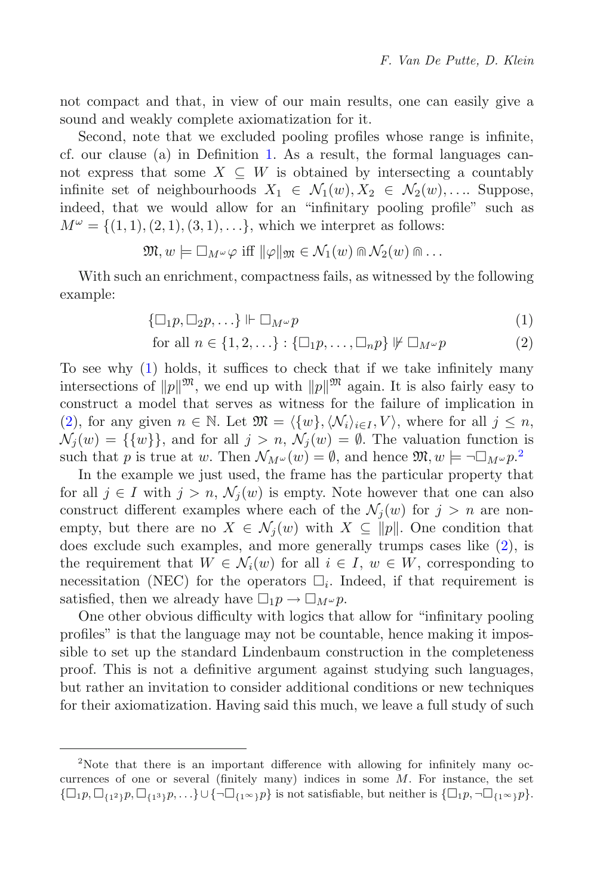not compact and that, in view of our main results, one can easily give a sound and weakly complete axiomatization for it.

Second, note that we excluded pooling profiles whose range is infinite, cf. our clause (a) in Definition [1.](#page-2-2) As a result, the formal languages cannot express that some  $X \subseteq W$  is obtained by intersecting a countably infinite set of neighbourhoods  $X_1 \in \mathcal{N}_1(w), X_2 \in \mathcal{N}_2(w), \ldots$  Suppose, indeed, that we would allow for an "infinitary pooling profile" such as  $M^{\omega} = \{(1, 1), (2, 1), (3, 1), \ldots\}$ , which we interpret as follows:

$$
\mathfrak{M}, w \models \Box_{M^{\omega}} \varphi \text{ iff } \|\varphi\|_{\mathfrak{M}} \in \mathcal{N}_1(w) \cap \mathcal{N}_2(w) \cap \ldots
$$

With such an enrichment, compactness fails, as witnessed by the following example:

$$
\{\Box_1 p, \Box_2 p, \ldots\} \Vdash \Box_{M^\omega} p \tag{1}
$$

<span id="page-11-1"></span><span id="page-11-0"></span>for all 
$$
n \in \{1, 2, \ldots\} : \{\Box_1 p, \ldots, \Box_n p\} \not\vdash \Box_{M^\omega} p
$$
 (2)

To see why [\(1\)](#page-11-0) holds, it suffices to check that if we take infinitely many intersections of  $||p||^{\mathfrak{M}}$ , we end up with  $||p||^{\mathfrak{M}}$  again. It is also fairly easy to construct a model that serves as witness for the failure of implication in [\(2\)](#page-11-1), for any given  $n \in \mathbb{N}$ . Let  $\mathfrak{M} = \langle \{w\}, \langle \mathcal{N}_i \rangle_{i \in I}, V \rangle$ , where for all  $j \leq n$ ,  $\mathcal{N}_i(w) = {\{w\}}$ , and for all  $j > n$ ,  $\mathcal{N}_i(w) = \emptyset$ . The valuation function is such that p is true at w. Then  $\mathcal{N}_{M^{\omega}}(w) = \emptyset$ , and hence  $\mathfrak{M}, w \models \neg \Box_{M^{\omega}} p^2$  $\mathfrak{M}, w \models \neg \Box_{M^{\omega}} p^2$ .<br>In the example we just used, the frame has the particular property the

In the example we just used, the frame has the particular property that for all  $j \in I$  with  $j > n$ ,  $\mathcal{N}_i(w)$  is empty. Note however that one can also construct different examples where each of the  $\mathcal{N}_j(w)$  for  $j>n$  are nonempty, but there are no  $X \in \mathcal{N}_j(w)$  with  $X \subseteq ||p||$ . One condition that does exclude such examples, and more generally trumps cases like [\(2\)](#page-11-1), is the requirement that  $W \in \mathcal{N}_i(w)$  for all  $i \in I, w \in W$ , corresponding to necessitation (NEC) for the operators  $\Box_i$ . Indeed, if that requirement is satisfied, then we already have  $\Box_1 p \to \Box_{M^\omega} p$ .<br>One other obvious difficulty with logics the

One other obvious difficulty with logics that allow for "infinitary pooling profiles" is that the language may not be countable, hence making it impossible to set up the standard Lindenbaum construction in the completeness proof. This is not a definitive argument against studying such languages, but rather an invitation to consider additional conditions or new techniques for their axiomatization. Having said this much, we leave a full study of such

<span id="page-11-2"></span><sup>&</sup>lt;sup>2</sup>Note that there is an important difference with allowing for infinitely many occurrences of one or several (finitely many) indices in some  $M$ . For instance, the set  $\{\Box_1 p, \Box_{\{1^2\}} p, \Box_{\{1^3\}} p, \ldots\} \cup \{\neg \Box_{\{1^\infty\}} p\}$  is not satisfiable, but neither is  $\{\Box_1 p, \neg \Box_{\{1^\infty\}} p\}.$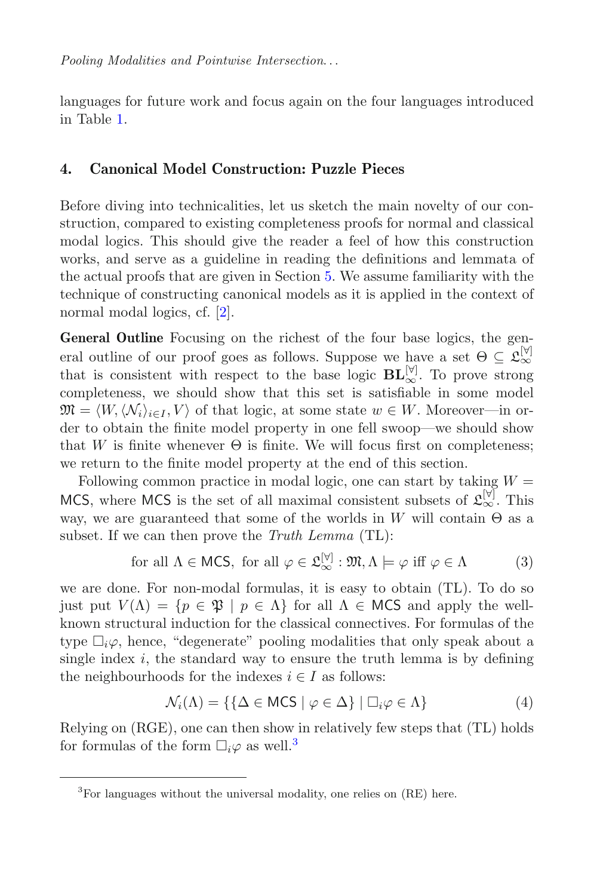languages for future work and focus again on the four languages introduced in Table [1.](#page-3-1)

# <span id="page-12-0"></span>**4. Canonical Model Construction: Puzzle Pieces**

Before diving into technicalities, let us sketch the main novelty of our construction, compared to existing completeness proofs for normal and classical modal logics. This should give the reader a feel of how this construction works, and serve as a guideline in reading the definitions and lemmata of the actual proofs that are given in Section [5.](#page-17-0) We assume familiarity with the technique of constructing canonical models as it is applied in the context of normal modal logics, cf. [\[2](#page-45-1)].

General Outline Focusing on the richest of the four base logics, the general outline of our proof goes as follows. Suppose we have a set  $\Theta \subset \mathcal{L}_{\infty}^{[\forall]}$ that is consistent with respect to the base logic  $\mathbf{BL}_{\infty}^{[\mathbb{V}]}$ . To prove strong completeness, we should show that this set is satisfiable in some model  $\mathfrak{M} = \langle W, \langle \mathcal{N}_i \rangle_{i \in I}, V \rangle$  of that logic, at some state  $w \in W$ . Moreover—in order to obtain the finite model property in one fell swoop—we should show that W is finite whenever  $\Theta$  is finite. We will focus first on completeness; we return to the finite model property at the end of this section.

Following common practice in modal logic, one can start by taking  $W =$ MCS, where MCS is the set of all maximal consistent subsets of  $\mathfrak{L}_{\infty}^{[\forall]}$ . This way, we are guaranteed that some of the worlds in W will contain  $\Theta$  as a subset. If we can then prove the *Truth Lemma* (TL):

for all 
$$
\Lambda \in \text{MCS}
$$
, for all  $\varphi \in \mathfrak{L}_{\infty}^{[\forall]} : \mathfrak{M}, \Lambda \models \varphi \text{ iff } \varphi \in \Lambda$  (3)

we are done. For non-modal formulas, it is easy to obtain (TL). To do so just put  $V(\Lambda) = \{p \in \mathfrak{P} \mid p \in \Lambda\}$  for all  $\Lambda \in \mathsf{MCS}$  and apply the wellknown structural induction for the classical connectives. For formulas of the type  $\Box_i \varphi$ , hence, "degenerate" pooling modalities that only speak about a<br>single index i the standard way to ensure the truth lemma is by defining single index  $i$ , the standard way to ensure the truth lemma is by defining the neighbourhoods for the indexes  $i \in I$  as follows:

$$
\mathcal{N}_i(\Lambda) = \{ \{ \Delta \in \mathsf{MCS} \mid \varphi \in \Delta \} \mid \Box_i \varphi \in \Lambda \}
$$
 (4)

Relying on (RGE), one can then show in relatively few steps that (TL) holds for formulas of the form  $\Box_i \varphi$  as well.<sup>[3](#page-12-1)</sup>

<span id="page-12-1"></span> ${}^{3}$ For languages without the universal modality, one relies on  $(RE)$  here.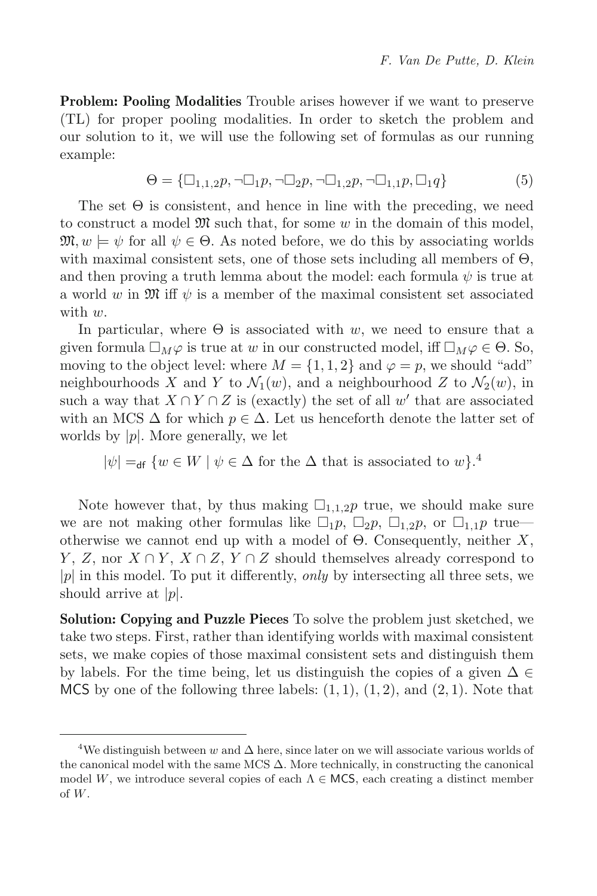**Problem: Pooling Modalities** Trouble arises however if we want to preserve (TL) for proper pooling modalities. In order to sketch the problem and our solution to it, we will use the following set of formulas as our running example:

$$
\Theta = {\square}_{1,1,2}p, \neg \square_1 p, \neg \square_2 p, \neg \square_{1,2}p, \neg \square_{1,1}p, \square_1 q
$$
\n
$$
(5)
$$

The set  $\Theta$  is consistent, and hence in line with the preceding, we need to construct a model  $\mathfrak{M}$  such that, for some w in the domain of this model,  $\mathfrak{M}, w \models \psi$  for all  $\psi \in \Theta$ . As noted before, we do this by associating worlds with maximal consistent sets, one of those sets including all members of  $\Theta$ , and then proving a truth lemma about the model: each formula  $\psi$  is true at a world w in  $\mathfrak{M}$  iff  $\psi$  is a member of the maximal consistent set associated with  $w$ .

In particular, where  $\Theta$  is associated with w, we need to ensure that a given formula  $\square_M\varphi$  is true at w in our constructed model, iff  $\square_M\varphi \in \Theta$ . So,<br>moving to the object level: where  $M = \{1, 1, 2\}$  and  $\varphi = n$  we should "add" moving to the object level: where  $M = \{1, 1, 2\}$  and  $\varphi = p$ , we should "add" neighbourhoods X and Y to  $\mathcal{N}_1(w)$ , and a neighbourhood Z to  $\mathcal{N}_2(w)$ , in such a way that  $X \cap Y \cap Z$  is (exactly) the set of all w' that are associated with an MCS  $\Delta$  for which  $p \in \Delta$ . Let us henceforth denote the latter set of worlds by  $|p|$ . More generally, we let

 $|\psi| =$ <sub>df</sub>  $\{w \in W \mid \psi \in \Delta \text{ for the } \Delta \text{ that is associated to } w\}.$ <sup>4</sup>

Note however that, by thus making  $\square_{1,1,2}p$  true, we should make sure<br>are not making other formulas like  $\square_{1,2} \square_{2,2} \square_{1,2}p$  or  $\square_{1,2} p$  true we are not making other formulas like  $\Box_1 p$ ,  $\Box_2 p$ ,  $\Box_{1,2} p$ , or  $\Box_{1,1} p$  true—<br>otherwise we cannot end up with a model of  $\Theta$ . Consequently, peither X otherwise we cannot end up with a model of  $\Theta$ . Consequently, neither X, Y, Z, nor  $X \cap Y$ ,  $X \cap Z$ ,  $Y \cap Z$  should themselves already correspond to <sup>|</sup>p<sup>|</sup> in this model. To put it differently, *only* by intersecting all three sets, we should arrive at  $|p|$ .

**Solution: Copying and Puzzle Pieces** To solve the problem just sketched, we take two steps. First, rather than identifying worlds with maximal consistent sets, we make copies of those maximal consistent sets and distinguish them by labels. For the time being, let us distinguish the copies of a given  $\Delta \in$ MCS by one of the following three labels:  $(1, 1)$ ,  $(1, 2)$ , and  $(2, 1)$ . Note that

<sup>&</sup>lt;sup>4</sup>We distinguish between w and  $\Delta$  here, since later on we will associate various worlds of the canonical model with the same MCS  $\Delta$ . More technically, in constructing the canonical model W, we introduce several copies of each  $\Lambda \in \text{MCS}$ , each creating a distinct member of W.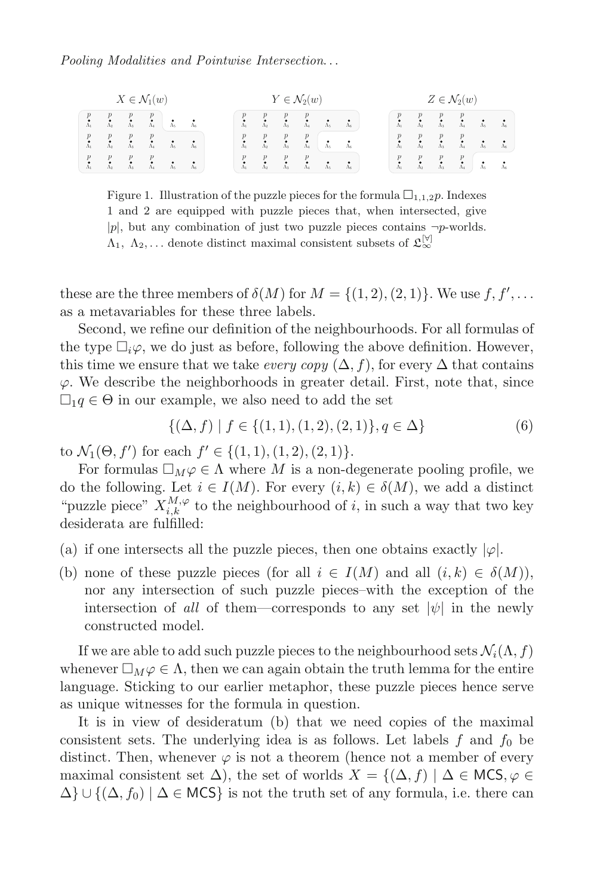| $X \in \mathcal{N}_1(w)$ |                  |                                                 |                                   | $Y \in \mathcal{N}_2(w)$ |             |                       |                       |                       |                             | $Z \in \mathcal{N}_2(w)$ |               |           |                                                                                            |                                 |                                              |                                 |             |
|--------------------------|------------------|-------------------------------------------------|-----------------------------------|--------------------------|-------------|-----------------------|-----------------------|-----------------------|-----------------------------|--------------------------|---------------|-----------|--------------------------------------------------------------------------------------------|---------------------------------|----------------------------------------------|---------------------------------|-------------|
|                          | $\Lambda_2$      | $\begin{matrix} p \\ \mathbf{A}_3 \end{matrix}$ | $\frac{p}{\Lambda_4}$             | $\Lambda_5$              | $\Lambda_6$ | $\frac{p}{\Lambda_1}$ | $\frac{p}{\Lambda_2}$ | $\frac{p}{\Lambda_3}$ | $\Lambda_{4}$               | $\Lambda_5$              | $\Lambda_6$   |           | $\begin{matrix} p & p & p \\ s & -s & s \\ \Lambda_1 & \Lambda_2 & \Lambda_3 \end{matrix}$ |                                 | $\overset{p}{\underset{\Lambda_4}{\bullet}}$ | $\stackrel{\bullet}{\Lambda}_5$ |             |
|                          | $\boldsymbol{p}$ | $\cdot$ <sup>p</sup><br>$\Lambda_{3}$           | $\mathcal{P}$<br>$\Lambda_4$      | Á,                       |             | $\Lambda$             | $\Lambda_2$           | $\frac{p}{\Lambda_3}$ | p<br>٠<br>$\bar{\Lambda}_4$ | $\Lambda_{5}$            | $\Lambda_{6}$ |           | $\cdot$ <sup>p</sup>                                                                       | $\boldsymbol{p}$<br>$\Lambda_3$ | $\Lambda_4$                                  | $\Lambda_{5}$                   | $\Lambda_6$ |
|                          |                  | p<br>$\Lambda$                                  | $\boldsymbol{p}$<br>$\Lambda_{4}$ | $\Lambda$                | $\Lambda_6$ | $\frac{p}{\Lambda_1}$ | $\boldsymbol{p}$      | $\Lambda_{3}$         | $\Lambda$                   | $\Lambda$                | $\Lambda_6$   | $\Lambda$ | p<br>$\tilde{\Lambda}$                                                                     | $\boldsymbol{p}$<br>$\Lambda_3$ | p<br>$\hat{\Lambda}_4$                       | ٠<br>$\Lambda_5$                | $\Lambda_6$ |

<span id="page-14-0"></span>Figure 1. Illustration of the puzzle pieces for the formula  $\square_{1,1,2} p$ . Indexes 1 and 2 are equipped with puzzle pieces that, when intersected, give  $|p|$ , but any combination of just two puzzle pieces contains  $\neg p$ -worlds.  $\Lambda_1, \Lambda_2, \ldots$  denote distinct maximal consistent subsets of  $\mathfrak{L}_{\infty}^{[\forall]}$ 

these are the three members of  $\delta(M)$  for  $M = \{(1, 2), (2, 1)\}\.$  We use f, f',...  $\mathcal{L}$ as a metavariables for these three labels.

Second, we refine our definition of the neighbourhoods. For all formulas of the type  $\Box_i \varphi$ , we do just as before, following the above definition. However, this time we ensure that we take every cany  $(\Delta, f)$  for every  $\Delta$  that contains this time we ensure that we take *every copy*  $(\Delta, f)$ , for every  $\Delta$  that contains  $\varphi$ . We describe the neighborhoods in greater detail. First, note that, since  $\Box_1 q \in \Theta$  in our example, we also need to add the set

$$
\{(\Delta, f) \mid f \in \{ (1, 1), (1, 2), (2, 1) \}, q \in \Delta \}
$$
 (6)

to  $\mathcal{N}_1(\Theta, f')$  for each  $f' \in \{(1, 1), (1, 2), (2, 1)\}.$ <br>For formulas  $\Box_{\mathcal{M}} \circ \in \Lambda$  where M is a non-d

For formulas  $\Box_M \varphi \in \Lambda$  where M is a non-degenerate pooling profile, we the following Let  $i \in I(M)$ . For every  $(i, k) \in \delta(M)$ , we add a distinct do the following. Let  $i \in I(M)$ . For every  $(i, k) \in \delta(M)$ , we add a distinct "puzzle piece"  $X_{i,k}^{M,\varphi}$  to the neighbourhood of i, in such a way that two key desiderata are fulfilled:

- (a) if one intersects all the puzzle pieces, then one obtains exactly  $|\varphi|$ .
- (b) none of these puzzle pieces (for all  $i \in I(M)$  and all  $(i, k) \in \delta(M)$ ), nor any intersection of such puzzle pieces–with the exception of the intersection of *all* of them—corresponds to any set  $|\psi|$  in the newly constructed model.

If we are able to add such puzzle pieces to the neighbourhood sets  $\mathcal{N}_i(\Lambda, f)$ whenever  $\Box_M \varphi \in \Lambda$ , then we can again obtain the truth lemma for the entire<br>language. Sticking to our earlier metaphor, these puzzle pieces hance serve language. Sticking to our earlier metaphor, these puzzle pieces hence serve as unique witnesses for the formula in question.

It is in view of desideratum (b) that we need copies of the maximal consistent sets. The underlying idea is as follows. Let labels  $f$  and  $f_0$  be distinct. Then, whenever  $\varphi$  is not a theorem (hence not a member of every maximal consistent set  $\Delta$ ), the set of worlds  $X = \{(\Delta, f) | \Delta \in \mathsf{MCS}, \varphi \in$  $\Delta$ } $\cup$ {( $\Delta$ ,  $f_0$ ) |  $\Delta \in \text{MCS}$ } is not the truth set of any formula, i.e. there can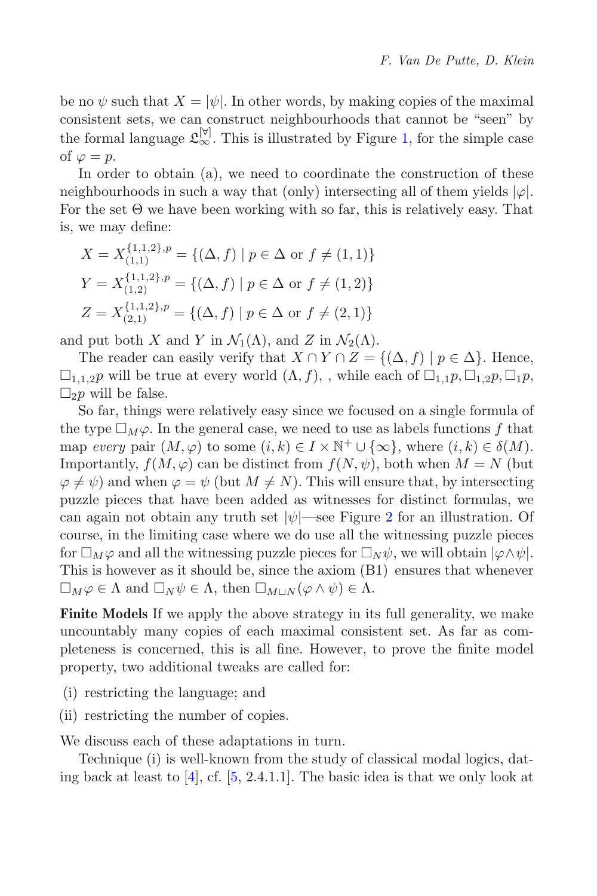be no  $\psi$  such that  $X = |\psi|$ . In other words, by making copies of the maximal consistent sets, we can construct neighbourhoods that cannot be "seen" by the formal language  $\mathfrak{L}_{\infty}^{[\forall]}$ . This is illustrated by Figure [1,](#page-14-0) for the simple case of  $\varphi = p$ .

In order to obtain (a), we need to coordinate the construction of these neighbourhoods in such a way that (only) intersecting all of them yields  $|\varphi|$ . For the set  $\Theta$  we have been working with so far, this is relatively easy. That is, we may define:

$$
X = X_{(1,1)}^{\{1,1,2\},p} = \{ (\Delta, f) \mid p \in \Delta \text{ or } f \neq (1,1) \}
$$
  
\n
$$
Y = X_{(1,2)}^{\{1,1,2\},p} = \{ (\Delta, f) \mid p \in \Delta \text{ or } f \neq (1,2) \}
$$
  
\n
$$
Z = X_{(2,1)}^{\{1,1,2\},p} = \{ (\Delta, f) \mid p \in \Delta \text{ or } f \neq (2,1) \}
$$

and put both X and Y in  $\mathcal{N}_1(\Lambda)$ , and Z in  $\mathcal{N}_2(\Lambda)$ .

The reader can easily verify that  $X \cap Y \cap Z = \{(\Delta, f) \mid p \in \Delta\}$ . Hence,  $\square_{1,1,2}$  will be true at every world  $(\Lambda, f)$ , while each of  $\square_{1,1}$   $p$ ,  $\square_{1,2}$   $p$ ,  $\square_{1}$   $p$ ,  $\square_{1}$  $\square_2 p$  will be false.<br>So far things

So far, things were relatively easy since we focused on a single formula of the type  $\Box_M\varphi$ . In the general case, we need to use as labels functions f that<br>map every pair  $(M\varphi)$  to some  $(i, k) \in I \times \mathbb{N}^+ \sqcup \{\infty\}$ , where  $(i, k) \in \delta(M)$ map *every* pair  $(M, \varphi)$  to some  $(i, k) \in I \times \mathbb{N}^+ \cup {\infty}$ , where  $(i, k) \in \delta(M)$ . Importantly,  $f(M, \varphi)$  can be distinct from  $f(N, \psi)$ , both when  $M = N$  (but  $\varphi \neq \psi$ ) and when  $\varphi = \psi$  (but  $M \neq N$ ). This will ensure that, by intersecting puzzle pieces that have been added as witnesses for distinct formulas, we can again not obtain any truth set  $|\psi|$ —see Figure [2](#page-17-1) for an illustration. Of course, in the limiting case where we do use all the witnessing puzzle pieces for  $\Box_M\varphi$  and all the witnessing puzzle pieces for  $\Box_N\psi$ , we will obtain  $|\varphi \wedge \psi|$ .<br>This is however as it should be since the axiom (B1) ensures that whenever This is however as it should be, since the axiom (B1) ensures that whenever  $\Box_M \varphi \in \Lambda$  and  $\Box_N \psi \in \Lambda$ , then  $\Box_{M\sqcup N} (\varphi \wedge \psi) \in \Lambda$ .

**Finite Models** If we apply the above strategy in its full generality, we make uncountably many copies of each maximal consistent set. As far as completeness is concerned, this is all fine. However, to prove the finite model property, two additional tweaks are called for:

- (i) restricting the language; and
- (ii) restricting the number of copies.

We discuss each of these adaptations in turn.

Technique (i) is well-known from the study of classical modal logics, dating back at least to  $[4]$  $[4]$ , cf.  $[5, 2.4.1.1]$  $[5, 2.4.1.1]$ . The basic idea is that we only look at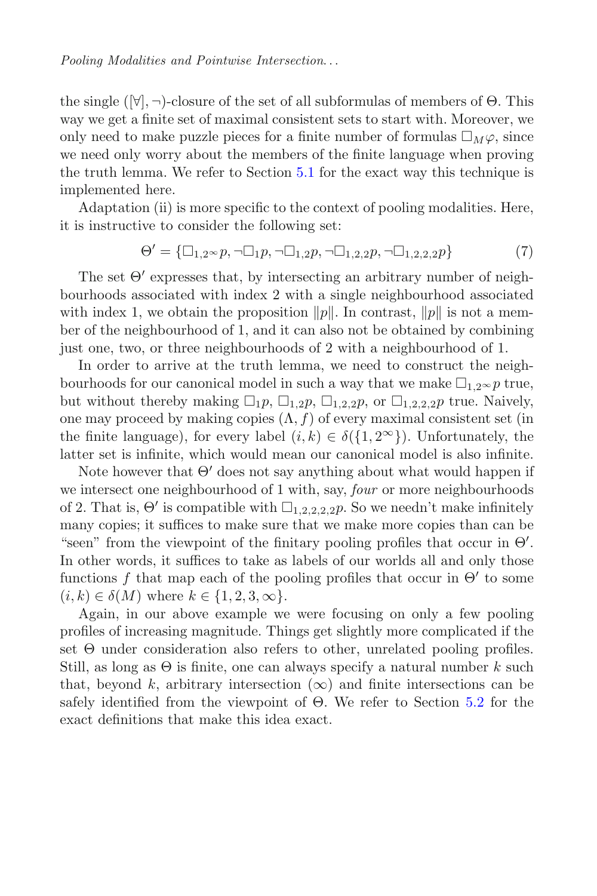the single  $(\forall, \neg)$ -closure of the set of all subformulas of members of  $\Theta$ . This way we get a finite set of maximal consistent sets to start with. Moreover, we only need to make puzzle pieces for a finite number of formulas  $\square_M \varphi$ , since we need only worry about the members of the finite language when proving we need only worry about the members of the finite language when proving the truth lemma. We refer to Section [5.1](#page-18-0) for the exact way this technique is implemented here.

Adaptation (ii) is more specific to the context of pooling modalities. Here, it is instructive to consider the following set:

$$
\Theta' = \{ \Box_{1,2} \sim p, \neg \Box_1 p, \neg \Box_{1,2} p, \neg \Box_{1,2,2} p, \neg \Box_{1,2,2,2} p \} \tag{7}
$$

The set  $\Theta'$  expresses that, by intersecting an arbitrary number of neighbourhoods associated with index 2 with a single neighbourhood associated with index 1, we obtain the proposition  $||p||$ . In contrast,  $||p||$  is not a member of the neighbourhood of 1, and it can also not be obtained by combining just one, two, or three neighbourhoods of 2 with a neighbourhood of 1.

In order to arrive at the truth lemma, we need to construct the neighbourhoods for our canonical model in such a way that we make  $\square_{1,2} \otimes p$  true,<br>but without thereby making  $\square_{1,2} \square_{1,2} \square_{1,2,3}$  or  $\square_{1,2,3}$  and true, Naively but without thereby making  $\Box_1 p$ ,  $\Box_{1,2} p$ ,  $\Box_{1,2,2} p$ , or  $\Box_{1,2,2,2} p$  true. Naively, one may proceed by making copies  $(\Lambda, f)$  of every maximal consistent set (in the finite language), for every label  $(i, k) \in \delta({1, 2^{\infty}})$ . Unfortunately, the latter set is infinite, which would mean our canonical model is also infinite.

Note however that  $\Theta'$  does not say anything about what would happen if we intersect one neighbourhood of 1 with, say, *four* or more neighbourhoods of 2. That is,  $\Theta'$  is compatible with  $\Box_{1,2,2,2,2}$ ,  $p$ . So we needn't make infinitely<br>many copies: it suffices to make sure that we make more copies than can be many copies; it suffices to make sure that we make more copies than can be "seen" from the viewpoint of the finitary pooling profiles that occur in  $\Theta'$ . In other words, it suffices to take as labels of our worlds all and only those functions f that map each of the pooling profiles that occur in  $\Theta'$  to some  $(i, k) \in \delta(M)$  where  $k \in \{1, 2, 3, \infty\}.$ 

Again, in our above example we were focusing on only a few pooling profiles of increasing magnitude. Things get slightly more complicated if the set Θ under consideration also refers to other, unrelated pooling profiles. Still, as long as  $\Theta$  is finite, one can always specify a natural number k such that, beyond k, arbitrary intersection  $(\infty)$  and finite intersections can be safely identified from the viewpoint of Θ. We refer to Section [5.2](#page-19-0) for the exact definitions that make this idea exact.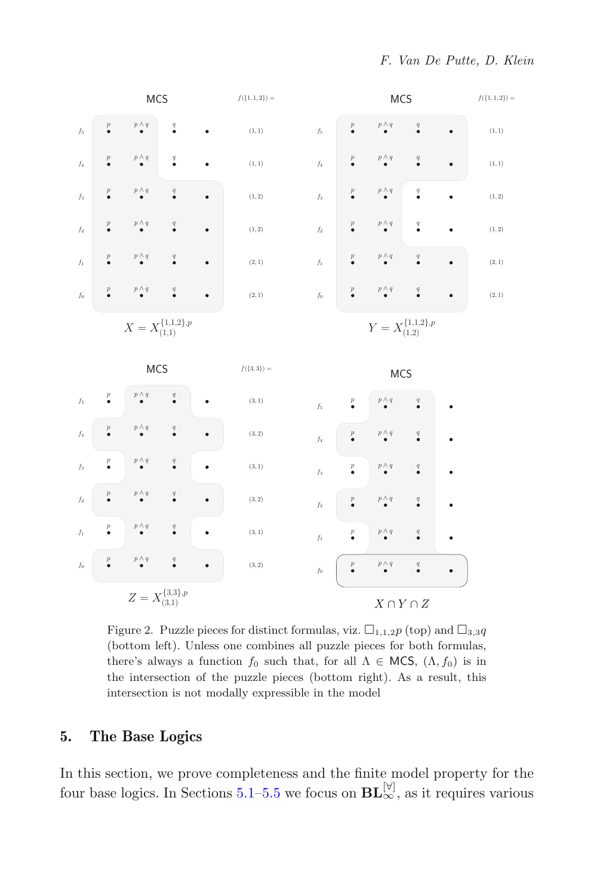

<span id="page-17-1"></span>Figure 2. Puzzle pieces for distinct formulas, viz.  $\Box_{1,1,2} p$  (top) and  $\Box_{3,3} q$ (bottom left). Unless one combines all puzzle pieces for both formulas, there's always a function  $f_0$  such that, for all  $\Lambda \in \text{MCS}$ ,  $(\Lambda, f_0)$  is in the intersection of the puzzle pieces (bottom right). As a result, this intersection is not modally expressible in the model

## <span id="page-17-0"></span>**5. The Base Logics**

In this section, we prove completeness and the finite model property for the four base logics. In Sections [5.1–](#page-18-0)[5.5](#page-25-0) we focus on  $BL_{\infty}^{[\triangledown]}$ , as it requires various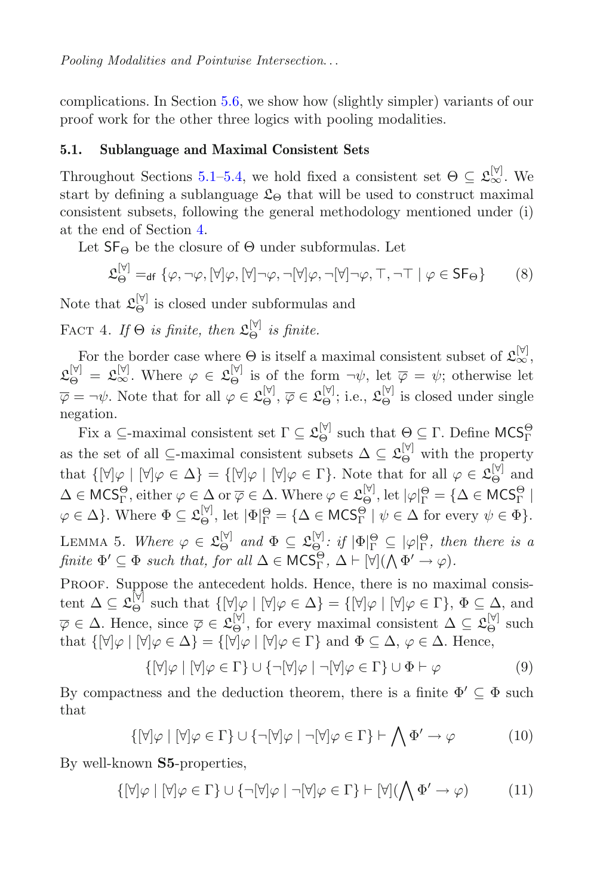complications. In Section [5.6,](#page-26-0) we show how (slightly simpler) variants of our proof work for the other three logics with pooling modalities.

### <span id="page-18-0"></span>**5.1. Sublanguage and Maximal Consistent Sets**

Throughout Sections [5.1](#page-18-0)[–5.4,](#page-22-0) we hold fixed a consistent set  $\Theta \subseteq \mathcal{L}_{\infty}^{[\forall]}$ . We start by defining a sublanguage  $\mathfrak{L}_{\Theta}$  that will be used to construct maximal consistent subsets, following the general methodology mentioned under (i) at the end of Section [4.](#page-12-0)

Let  $SF_{\Theta}$  be the closure of  $\Theta$  under subformulas. Let

$$
\mathfrak{L}_{\Theta}^{[\forall]} =_{\text{df}} \{ \varphi, \neg \varphi, [\forall] \varphi, [\forall] \neg \varphi, \neg [\forall] \varphi, \neg [\forall] \neg \varphi, \top, \neg \top \mid \varphi \in \mathsf{SF}_{\Theta} \} \tag{8}
$$

<span id="page-18-1"></span>Note that  $\mathfrak{L}_{\Theta}^{[\triangledown]}$  is closed under subformulas and

FACT 4. If  $\Theta$  *is finite, then*  $\mathfrak{L}_{\Theta}^{[\forall]}$  *is finite.* 

For the border case where  $\Theta$  is itself a maximal consistent subset of  $\mathfrak{L}_{\infty}^{[\forall]}$ ,  $\mathfrak{L}_{\Theta}^{[\triangledown]} = \mathfrak{L}_{\infty}^{[\triangledown]}$ . Where  $\varphi \in \mathfrak{L}_{\Theta}^{[\triangledown]}$  is of the form  $\neg \psi$ , let  $\overline{\varphi} = \psi$ ; otherwise let  $\overline{\varphi} = \neg \psi$ . Note that for all  $\varphi \in \mathfrak{L}_{\Theta}^{[\forall]}, \overline{\varphi} \in \mathfrak{L}_{\Theta}^{[\forall]}$ ; i.e.,  $\mathfrak{L}_{\Theta}^{[\forall]}$  is closed under single negation.

Fix a  $\subseteq$ -maximal consistent set  $\Gamma \subseteq \mathfrak{L}_{\Theta}^{[\forall]}$  such that  $\Theta \subseteq \Gamma$ . Define  $MCS_{\Gamma}^{\Theta}$ as the set of all  $\subseteq$ -maximal consistent subsets  $\Delta \subseteq \mathfrak{L}_{\Theta}^{[\forall]}$  with the property that  $\{[\forall]\varphi \mid [\forall]\varphi \in \Delta\} = \{[\forall]\varphi \mid [\forall]\varphi \in \Gamma\}$ . Note that for all  $\varphi \in \mathfrak{L}_{\Theta}^{[\forall]}$  and<br>A  $\in \mathcal{MCE}^{\Theta}$  sith space  $\Omega \wedge \mathcal{MSE}^{\Theta}$ .  $\Delta \in \mathsf{MCS}^\Theta_\Gamma,$  either  $\varphi \in \Delta$  or  $\overline{\varphi} \in \Delta$ . Where  $\varphi \in \mathfrak{L}^{[\forall]}_\Theta$ , let  $|\varphi|^\Theta_\Gamma = {\Delta \in \mathsf{MCS}^\Theta_\Gamma}$  $\varphi \in \Delta$ . Where  $\Phi \subseteq \mathfrak{L}_{\Theta}^{[\forall]}$ , let  $|\Phi|_{\Gamma}^{\Theta} = {\{\Delta \in \mathsf{MCS}_{\Gamma}^{\Theta} \mid \psi \in \Delta \text{ for every } \psi \in \Phi\}}$ . LEMMA 5. *Where*  $\varphi \in \mathfrak{L}_{\Theta}^{[\triangledown]}$  and  $\Phi \subseteq \mathfrak{L}_{\Theta}^{[\triangledown]}$ : if  $|\Phi|_{\Gamma}^{\Theta} \subseteq |\varphi|_{\Gamma}^{\Theta}$ , then there is a<br>finite  $\Phi' \subseteq \Phi$  exists that for all  $\Delta \subseteq \mathsf{MCS}^{\Theta}$ ,  $\Delta \models \forall \exists (\Delta \Phi' \cup \Box)$ *finite*  $\Phi' \subseteq \Phi$  *such that, for all*  $\Delta \in \mathsf{MCS}^{\Theta}_\Gamma$ ,  $\Delta \vdash [\forall] (\bigwedge \Phi' \to \varphi)$ *.* 

<span id="page-18-2"></span>Proof. Suppose the antecedent holds. Hence, there is no maximal consistent  $\Delta \subseteq \mathfrak{L}_{\Theta}^{[\mathbb{V}]}$  such that  $\{[\mathbb{V}]\varphi \mid [\mathbb{V}]\varphi \in \Delta\} = \{[\mathbb{V}]\varphi \mid [\mathbb{V}]\varphi \in \Gamma\}, \Phi \subseteq \Delta$ , and  $\overline{\varphi} \in \Delta$ . Hence, since  $\overline{\varphi} \in \mathfrak{L}_{\Theta}^{[\forall]}$ , for every maximal consistent  $\Delta \subseteq \mathfrak{L}_{\Theta}^{[\forall]}$  such that  $\mathfrak{L}[\forall \log | \exists \log \Delta \geq \Delta] = \mathfrak{L}[\forall \log | \exists \log \Delta \geq \Gamma \}$  and  $\Phi \subseteq \Delta$ ,  $\varphi \in \Delta$ . Hence that  $\{[\forall]\varphi \mid [\forall]\varphi \in \Delta\} = \{[\forall]\varphi \mid [\forall]\varphi \in \Gamma\}$  and  $\Phi \subseteq \Delta$ ,  $\varphi \in \Delta$ . Hence,

$$
\{ [\forall] \varphi \mid [\forall] \varphi \in \Gamma \} \cup \{ \neg [\forall] \varphi \mid \neg [\forall] \varphi \in \Gamma \} \cup \Phi \vdash \varphi \tag{9}
$$

By compactness and the deduction theorem, there is a finite  $\Phi' \subseteq \Phi$  such that

$$
\{ [\forall] \varphi \mid [\forall] \varphi \in \Gamma \} \cup \{ \neg [\forall] \varphi \mid \neg [\forall] \varphi \in \Gamma \} \vdash \bigwedge \Phi' \to \varphi \tag{10}
$$

By well-known **S5**-properties,

$$
\{ [\forall] \varphi \mid [\forall] \varphi \in \Gamma \} \cup \{ \neg [\forall] \varphi \mid \neg [\forall] \varphi \in \Gamma \} \vdash [\forall] (\bigwedge \Phi' \to \varphi) \tag{11}
$$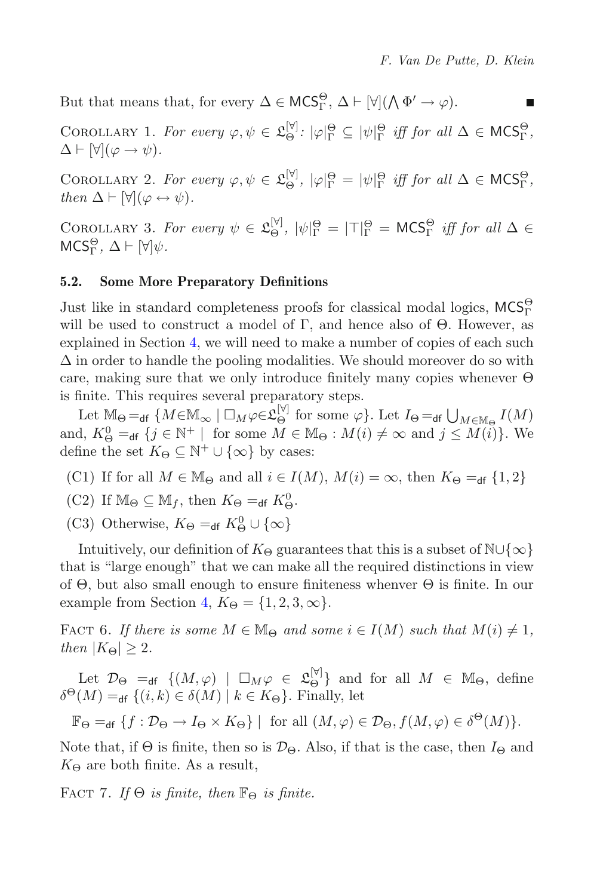<span id="page-19-4"></span>But that means that, for every  $\Delta \in \mathsf{MCS}^{\Theta}_\Gamma$ ,  $\Delta \vdash [\forall] (\bigwedge \Phi' \to \varphi)$ . п

COROLLARY 1. For every  $\varphi, \psi \in \mathfrak{L}_{\Theta}^{[\mathbb{V}]}$ :  $|\varphi|_{\Gamma}^{\Theta} \subseteq |\psi|_{\Gamma}^{\Theta}$  iff for all  $\Delta \in \mathsf{MCS}_{\Gamma}^{\Theta}$ ,<br> $\Delta \vdash \mathbb{W}(\varphi \rightarrow \psi)$  $\Delta \vdash [\forall](\varphi \rightarrow \psi).$ 

<span id="page-19-5"></span>COROLLARY 2. For every  $\varphi, \psi \in \mathfrak{L}_{\Theta}^{[\mathbb{V}]}$ ,  $|\varphi|_{\Gamma}^{\Theta} = |\psi|_{\Gamma}^{\Theta}$  *iff for all*  $\Delta \in \mathsf{MCS}_{\Gamma}^{\Theta}$ ,<br>then  $\Delta \vdash \mathbb{W}(\varphi \leftrightarrow \psi)$ *then*  $\Delta \vdash [\forall](\varphi \leftrightarrow \psi)$ *.* 

<span id="page-19-2"></span>COROLLARY 3. For every  $\psi \in \mathfrak{L}_{\Theta}^{[\mathbb{V}]}$ ,  $|\psi|_{\Gamma}^{\Theta} = |\top|_{\Gamma}^{\Theta} = \mathsf{MCS}_{\Gamma}^{\Theta}$  iff for all  $\Delta \in \mathsf{MCS}_{\Theta}^{\Theta}$   $\Delta \models \mathbb{M}\mathbb{N}$ .  $MCS_{\Gamma}^{\Theta}, \Delta \vdash [\forall]\psi.$ 

### <span id="page-19-0"></span>**5.2. Some More Preparatory Definitions**

Just like in standard completeness proofs for classical modal logics,  $MCS^{\Theta}_{\Gamma}$ will be used to construct a model of Γ, and hence also of  $\Theta$ . However, as explained in Section [4,](#page-12-0) we will need to make a number of copies of each such  $\Delta$  in order to handle the pooling modalities. We should moreover do so with care, making sure that we only introduce finitely many copies whenever Θ is finite. This requires several preparatory steps.

Let  $\mathbb{M}_{\Theta} =_{df} \{ M \in \mathbb{M}_{\infty} \mid \Box_M \varphi \in \mathfrak{L}_{\Theta}^{[\mathbb{V}]} \text{ for some } \varphi \}.$  Let  $I_{\Theta} =_{df} \bigcup_{M \in \mathbb{M}_{\Theta}} I(M)$ and,  $K^0_{\Theta} =_{df} \{j \in \mathbb{N}^+ \mid \text{ for some } M \in \mathbb{M}_{\Theta} : M(i) \neq \infty \text{ and } j \leq M(i)\}\.$  We define the set  $K_{\Theta} \subset \mathbb{N}^+ \cup \{\infty\}$  by cases: define the set  $K_{\Theta} \subseteq \mathbb{N}^+ \cup \{\infty\}$  by cases:

- (C1) If for all  $M \in \mathbb{M}_{\Theta}$  and all  $i \in I(M)$ ,  $M(i) = \infty$ , then  $K_{\Theta} =_{\text{df}} \{1,2\}$
- (C2) If  $\mathbb{M}_{\Theta} \subseteq \mathbb{M}_f$ , then  $K_{\Theta} =_{df} K_{\Theta}^0$ .
- (C3) Otherwise,  $K_{\Theta} =_{df} K_{\Theta}^0 \cup {\infty}$

Intuitively, our definition of  $K_{\Theta}$  guarantees that this is a subset of N∪{∞} that is "large enough" that we can make all the required distinctions in view of Θ, but also small enough to ensure finiteness whenver Θ is finite. In our example from Section [4,](#page-12-0)  $K_{\Theta} = \{1, 2, 3, \infty\}.$ 

<span id="page-19-3"></span>FACT 6. If there is some  $M \in \mathbb{M}_{\Theta}$  and some  $i \in I(M)$  such that  $M(i) \neq 1$ , *then*  $|K_{\Theta}| \geq 2$ *.* 

Let  $\mathcal{D}_{\Theta} =_{df} \{(M, \varphi) \mid \Box_M \varphi \in \mathfrak{L}_{\Theta}^{[\forall]}\}\$ and for all  $M \in \mathbb{M}_{\Theta}$ , define  $(M) = f(i, k) \in \mathcal{S}(M) \mid k \in K_{\Theta}$ , Finally let  $\delta^{\Theta}(M) =_{\text{df}} \{ (i,k) \in \delta(M) \mid k \in K_{\Theta} \}.$  Finally, let

 $\mathbb{F}_{\Theta} =_{df} \{f : \mathcal{D}_{\Theta} \to I_{\Theta} \times K_{\Theta} \} \mid \text{ for all } (M, \varphi) \in \mathcal{D}_{\Theta}, f(M, \varphi) \in \delta^{\Theta}(M) \}.$ 

<span id="page-19-1"></span>Note that, if  $\Theta$  is finite, then so is  $\mathcal{D}_{\Theta}$ . Also, if that is the case, then  $I_{\Theta}$  and  $K_{\Theta}$  are both finite. As a result,

FACT 7. If  $\Theta$  *is finite, then*  $\mathbb{F}_{\Theta}$  *is finite.*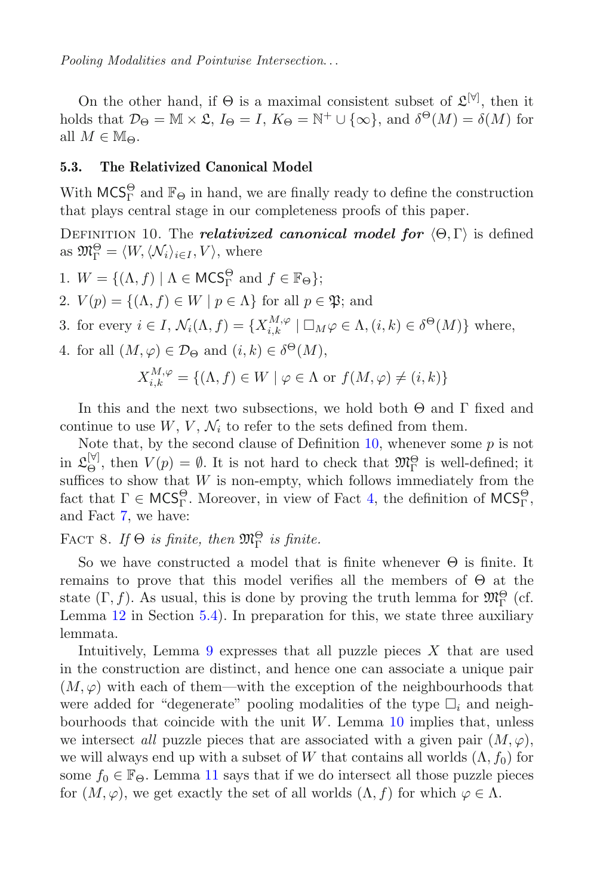*Pooling Modalities and Pointwise Intersection*...

On the other hand, if  $\Theta$  is a maximal consistent subset of  $\mathfrak{L}^{[\forall]}$ , then it holds that  $\mathcal{D}_{\Theta} = \mathbb{M} \times \mathfrak{L}$ ,  $I_{\Theta} = I$ ,  $K_{\Theta} = \mathbb{N}^+ \cup \{\infty\}$ , and  $\delta^{\Theta}(M) = \delta(M)$  for all  $M \in \mathbb{M}_{\Theta}$ .

### <span id="page-20-2"></span>**5.3. The Relativized Canonical Model**

With  $MCS<sub>\Gamma</sub><sup>\Theta</sup>$  and  $\mathbb{F}_{\Theta}$  in hand, we are finally ready to define the construction that plays central stage in our completeness proofs of this paper.

DEFINITION 10. The *relativized canonical model for*  $(\Theta, \Gamma)$  is defined as  $\mathfrak{M}_{\Gamma}^{\Theta} = \langle W, \langle \mathcal{N}_i \rangle_{i \in I}, V \rangle$ , where

- 1.  $W = \{(\Lambda, f) | \Lambda \in \mathsf{MCS}^{\Theta}_{\Gamma} \text{ and } f \in \mathbb{F}_{\Theta}\};$
- 2.  $V(p) = \{(\Lambda, f) \in W \mid p \in \Lambda\}$  for all  $p \in \mathfrak{P}$ ; and
- 3. for every  $i \in I$ ,  $\mathcal{N}_i(\Lambda, f) = \{X_{i,k}^{M,\varphi} \mid \Box_M \varphi \in \Lambda, (i,k) \in \delta^{\Theta}(M)\}\$  where,
- 4. for all  $(M, \varphi) \in \mathcal{D}_{\Theta}$  and  $(i, k) \in \delta^{\Theta}(M)$ ,

<span id="page-20-0"></span>
$$
X_{i,k}^{M,\varphi} = \{ (\Lambda, f) \in W \mid \varphi \in \Lambda \text{ or } f(M, \varphi) \neq (i,k) \}
$$

In this and the next two subsections, we hold both  $\Theta$  and  $\Gamma$  fixed and continue to use  $W, V, \mathcal{N}_i$  to refer to the sets defined from them.

Note that, by the second clause of Definition [10,](#page-20-0) whenever some  $p$  is not in  $\mathfrak{L}_{\Theta}^{[\mathbb{V}]}$ , then  $V(p) = \emptyset$ . It is not hard to check that  $\mathfrak{M}_{\Gamma}^{\Theta}$  is well-defined; it suffices to show that W is non-empty which follows immediately from the suffices to show that  $W$  is non-empty, which follows immediately from the fact that  $\Gamma \in \mathsf{MCS}^\Theta_\Gamma$ . Moreover, in view of Fact [4,](#page-18-1) the definition of  $\mathsf{MCS}^\Theta_\Gamma$ , and Fact [7,](#page-19-1) we have:

# <span id="page-20-1"></span>FACT 8. If  $\Theta$  *is finite, then*  $\mathfrak{M}_{\Gamma}^{\Theta}$  *is finite.*

So we have constructed a model that is finite whenever  $\Theta$  is finite. It remains to prove that this model verifies all the members of Θ at the state  $(\Gamma, f)$ . As usual, this is done by proving the truth lemma for  $\mathfrak{M}_{\Gamma}^{\Theta}$  (cf.<br>Lemma 12 in Section 5.4). In preparation for this, we state three auxiliary Lemma [12](#page-22-1) in Section [5.4\)](#page-22-0). In preparation for this, we state three auxiliary lemmata.

Intuitively, Lemma [9](#page-21-0) expresses that all puzzle pieces  $X$  that are used in the construction are distinct, and hence one can associate a unique pair  $(M, \varphi)$  with each of them—with the exception of the neighbourhoods that were added for "degenerate" pooling modalities of the type  $\Box_i$  and neighbourhoods that coincide with the unit  $W$ . Lemma [10](#page-21-1) implies that, unless we intersect *all* puzzle pieces that are associated with a given pair  $(M, \varphi)$ , we will always end up with a subset of W that contains all worlds  $(\Lambda, f_0)$  for some  $f_0 \in \mathbb{F}_{\Theta}$ . Lemma [11](#page-21-2) says that if we do intersect all those puzzle pieces for  $(M, \varphi)$ , we get exactly the set of all worlds  $(\Lambda, f)$  for which  $\varphi \in \Lambda$ .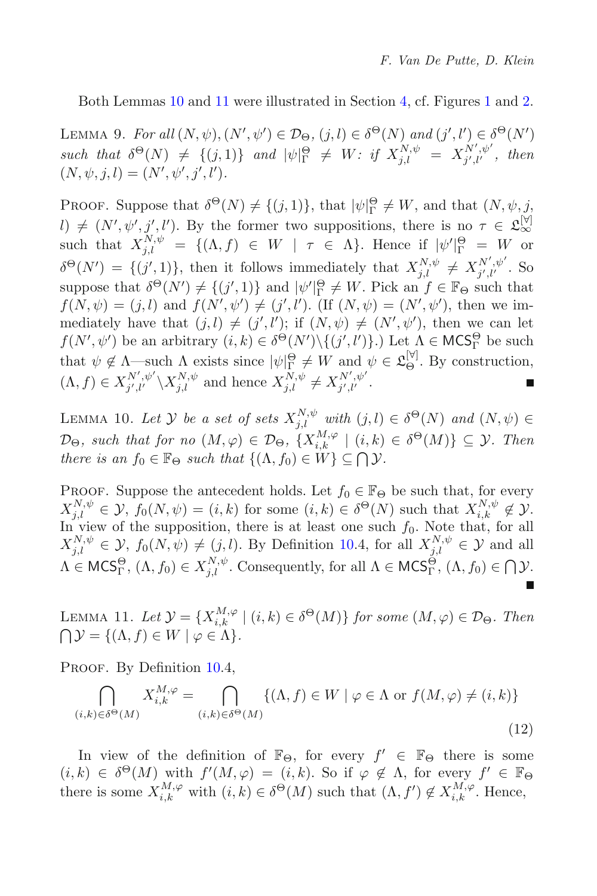<span id="page-21-0"></span>Both Lemmas [10](#page-21-1) and [11](#page-21-2) were illustrated in Section [4,](#page-12-0) cf. Figures [1](#page-14-0) and [2.](#page-17-1)

LEMMA 9. For all  $(N, \psi), (N', \psi') \in \mathcal{D}_{\Theta}$ ,  $(j, l) \in \delta^{\Theta}(N)$  and  $(j', l') \in \delta^{\Theta}(N')$ <br>cycle that  $S^{\Theta}(N)$ ,  $( (j, 1) )$  and  $|\psi|^{\Theta}$ ,  $(W, j^{\epsilon} \circ \mathbf{V}^{N, \psi} \circ \mathbf{V}^{N', \psi'}$  than such that  $\delta^{\Theta}(N) \neq \{ (j, 1) \}$  and  $|\psi|_{\Gamma}^{\Theta} \neq W$ : if  $X_{j,l}^{N,\psi} = X_{j',l'}^{N',\psi'}$ , then<br>  $(N, \psi, i, l) = (N', \psi', i', l')$  $(N, \psi, j, l) = (N', \psi', j', l').$ 

**PROOF.** Suppose that  $\delta^{\Theta}(N) \neq \{(j,1)\}\$ , that  $|\psi|_{\Gamma}^{\Theta} \neq W$ , and that  $(N, \psi, j, \psi)$  $l) \neq (N', \psi', j', l')$ . By the former two suppositions, there is no  $\tau \in \mathfrak{L}_{\infty}^{[\forall]}$ such that  $X_{j,l}^{N,\psi} = \{(\Lambda, f) \in W \mid \tau \in \Lambda\}$ . Hence if  $|\psi'|_{\Gamma}^{\Theta} = W$  or  $\delta^{\Theta}(N') = \{(j',1)\}\$ , then it follows immediately that  $X_{j,l}^{N,\psi} \neq X_{j',l'}^{N',\psi'}$ . So suppose that  $\delta^{\Theta}(N') \neq \{(j',1)\}\$  and  $|\psi'|_{\Gamma}^{\Theta} \neq W$ . Pick an  $f \in \mathbb{F}_{\Theta}$  such that  $f(N_{j'}) = (j, l)$  and  $f(N'_{j'})' \neq (j', l')$  (If  $(N_{j'}) = (N'_{j'})'$ ) then we im $f(N, \psi) = (j, l)$  and  $f(N', \psi') \neq (j', l')$ . (If  $(N, \psi) = (N', \psi')$ , then we im-<br>mediately have that  $(i, l) \neq (i' l')$ ; if  $(N, \psi) \neq (N', \psi')$ , then we can let mediately have that  $(j, l) \neq (j', l')$ ; if  $(N, \psi) \neq (N', \psi')$ <br> $f(N', \psi')$  be an arbitrary  $(i, k) \in \delta\Theta(N') \setminus f(i', l') \setminus I$  of mediately have that  $(j, l) \neq (j', l')$ ; if  $(N, \psi) \neq (N', \psi')$ , then we can let  $f(N', \psi')$  be an arbitrary  $(i, k) \in \delta^{\Theta}(N') \setminus \{(j', l')\}$ .) Let  $\Lambda \in \mathsf{MCS}^{\Theta}_\Gamma$  be such that  $\phi \notin \Lambda$  such  $\Lambda$  suits since  $|\phi|^{\Theta} \in W$  and  $\phi \in \mathcal{S}^{[\mathbb{V}]}$ . By construction that  $\psi \notin \Lambda$ —such  $\Lambda$  exists since  $|\psi|_{\Gamma}^{\Theta} \neq W$  and  $\psi \in \mathfrak{L}_{\Theta}^{[\mathbb{V}]}$ . By construction,<br>  $(A, f) \in \mathbf{V}^{N', \psi'} \setminus \mathbf{V}^{N, \psi}$  and hence  $\mathbf{V}^{N, \psi'} \in \mathbf{V}^{N', \psi'}$  $(\Lambda, f) \in X_{j',l'}^{N',\psi'} \backslash X_{j,l}^{N,\psi}$  and hence  $X_{j,l}^{N,\psi} \neq X_{j',l'}^{N',\psi'}.$ 

<span id="page-21-1"></span>LEMMA 10. Let  $\mathcal{Y}$  *be a set of sets*  $X_{j,l}^{N,\psi}$  *with*  $(j, l) \in \delta^{\Theta}(N)$  *and*  $(N, \psi) \in \mathbb{R}$  $\mathcal{D}_{\Theta}$ , such that for no  $(M, \varphi) \in \mathcal{D}_{\Theta}$ ,  $\{X_{i,k}^{M,\varphi} \mid (i,k) \in \delta^{\Theta}(M)\} \subseteq \mathcal{Y}$ *. Then*<br>there is an  $f_{\Theta} \subset \mathbb{F}_{\Theta}$  such that  $\{(A, f_{\Theta}) \subset W\} \subset \mathcal{D}$  $\mathcal{Y}$ *there is an*  $f_0 \in \mathbb{F}_{\Theta}$  *such that*  $\{(\Lambda, f_0) \in W\} \subseteq \bigcap \mathcal{Y}$ *.* 

PROOF. Suppose the antecedent holds. Let  $f_0 \in \mathbb{F}_{\Theta}$  be such that, for every  $X^{N,\psi} \subset \mathcal{Y}$ ,  $f_0(N,\psi) = (i, k)$  for some  $(i, k) \in \delta^{\Theta}(N)$  such that  $X^{N,\psi} \not\subset \mathcal{Y}$ .  $X_{j,l}^{N,\psi} \in \mathcal{Y}, f_0(N,\psi) = (i,k)$  for some  $(i,k) \in \delta^{\Theta}(N)$  such that  $X_{i,k}^{N,\psi} \notin \mathcal{Y}.$ <br>In view of the supposition, there is at least one such  $f_0$ . Note that, for all In view of the supposition, there is at least one such  $f_0$ . Note that, for all  $X^{N,\psi} \subset \mathcal{Y}$   $f_0(N,\psi) \neq (i, l)$ . By Definition 10.4, for all  $X^{N,\psi} \subset \mathcal{Y}$  and all  $X_{j,l}^{N,\psi} \in \mathcal{Y}, f_0(N,\psi) \neq (j,l)$ . By Definition [10.](#page-20-0)4, for all  $X_{j,l}^{N,\psi} \in \mathcal{Y}$  and all  $\Lambda \in \mathsf{MCS}^\Theta_\Gamma$ ,  $(\Lambda, f_0) \in X^{N,\psi}_{j,l}$ . Consequently, for all  $\Lambda \in \mathsf{MCS}^\Theta_\Gamma$ ,  $(\Lambda, f_0) \in \bigcap \mathcal{Y}$ .

<span id="page-21-2"></span>LEMMA 11. Let  $\mathcal{Y} = \{X_{i,k}^{M,\varphi} \mid (i,k) \in \delta^{\Theta}(M)\}\$  for some  $(M,\varphi) \in \mathcal{D}_{\Theta}$ . Then  $\bigcap \mathcal{Y} = \{(\Lambda, f) \in W \mid \varphi \in \Lambda\}.$ 

PROOF. By Definition [10.](#page-20-0)4,

$$
\bigcap_{(i,k)\in\delta^{\Theta}(M)} X_{i,k}^{M,\varphi} = \bigcap_{(i,k)\in\delta^{\Theta}(M)} \{ (\Lambda, f) \in W \mid \varphi \in \Lambda \text{ or } f(M, \varphi) \neq (i,k) \}
$$
\n(12)

In view of the definition of  $\mathbb{F}_{\Theta}$ , for every  $f' \in \mathbb{F}_{\Theta}$  there is some  $(i,k) \in \delta^{\Theta}(M)$  with  $f'(M,\varphi) = (i,k)$ . So if  $\varphi \notin \Lambda$ , for every  $f' \in \mathbb{F}_{\Theta}$ <br>there is some  $X^{M,\varphi}$  with  $(i,k) \in \delta^{\Theta}(M)$  such that  $(A, f') \notin X^{M,\varphi}$  Hence there is some  $X_{i,k}^{M,\varphi}$  with  $(i,k) \in \delta^{\Theta}(M)$  such that  $(\Lambda, f') \notin X_{i,k}^{M,\varphi}$ . Hence,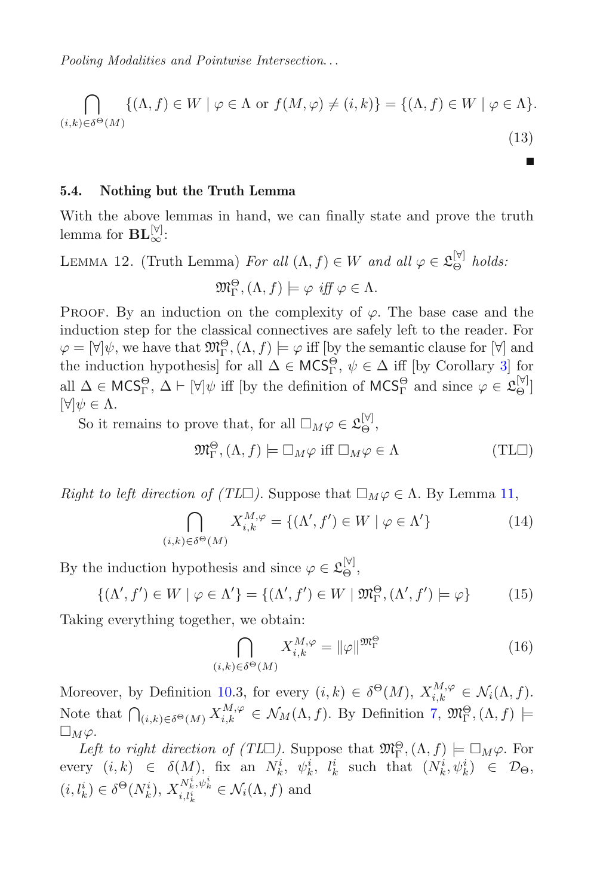*Pooling Modalities and Pointwise Intersection*...

$$
\bigcap_{(i,k)\in\delta^{\Theta}(M)} \{ (\Lambda, f) \in W \mid \varphi \in \Lambda \text{ or } f(M, \varphi) \neq (i,k) \} = \{ (\Lambda, f) \in W \mid \varphi \in \Lambda \}. \tag{13}
$$

#### <span id="page-22-0"></span>**5.4. Nothing but the Truth Lemma**

<span id="page-22-1"></span>With the above lemmas in hand, we can finally state and prove the truth lemma for  $\mathbf{BL}_{\infty}^{[\forall]}.$ 

LEMMA 12. (Truth Lemma) *For all*  $(\Lambda, f) \in W$  *and all*  $\varphi \in \mathfrak{L}_{\Theta}^{[\mathbb{V}]}$  *holds:* 

$$
\mathfrak{M}_{\Gamma}^{\Theta}, (\Lambda, f) \models \varphi \text{ iff } \varphi \in \Lambda.
$$

PROOF. By an induction on the complexity of  $\varphi$ . The base case and the induction step for the classical connectives are safely left to the reader. For  $\varphi = [\forall] \psi$ , we have that  $\mathfrak{M}^{\Theta}_{\Gamma}$ ,  $(\Lambda, f) \models \varphi$  iff [by the semantic clause for  $[\forall]$  and<br>the induction bypothesis for all  $\Lambda \subset \mathbf{MCS}^{\Theta}$  as  $\subset \Lambda$  iff [by Corollary 3] for the induction hypothesis] for all  $\Delta \in \mathsf{MCS}^\Theta_\Gamma$ ,  $\psi \in \Delta$  iff [by Corollary [3\]](#page-19-2) for<br>clu  $\Delta \subset \mathsf{MCS}^\Theta$ ,  $\Delta \vdash \mathbb{M}$  iff [by the definition of  $\mathsf{MCS}^\Theta$  and since  $\Delta \subseteq \mathsf{S}^{[\forall]}$ ] all  $\Delta \in \text{MCS}_\Gamma^{\Theta}$ ,  $\Delta \vdash [\forall] \psi$  iff [by the definition of  $\text{MCS}_\Gamma^{\Theta}$  and since  $\varphi \in \mathfrak{L}_{\Theta}^{[\forall]}$ ]  $[\forall] \psi \in \Lambda.$ 

So it remains to prove that, for all  $\square_M \varphi \in \mathfrak{L}_{\Theta}^{[\forall]}$ ,

$$
\mathfrak{M}_{\Gamma}^{\Theta}, (\Lambda, f) \models \Box_M \varphi \text{ iff } \Box_M \varphi \in \Lambda \tag{TL\Box}
$$

Right to left direction of 
$$
(TL\Box)
$$
. Suppose that  $\Box_M \varphi \in \Lambda$ . By Lemma 11,  
\n
$$
\bigcap_{(i,k)\in\delta^{\Theta}(M)} X_{i,k}^{M,\varphi} = \{ (\Lambda', f') \in W \mid \varphi \in \Lambda' \}
$$
\n(14)

By the induction hypothesis and since  $\varphi \in \mathfrak{L}_{\Theta}^{[\forall]}$ ,

$$
\{ (\Lambda', f') \in W \mid \varphi \in \Lambda' \} = \{ (\Lambda', f') \in W \mid \mathfrak{M}_{\Gamma}^{\Theta}, (\Lambda', f') \models \varphi \} \tag{15}
$$

Taking everything together, we obtain:

$$
\bigcap_{(i,k)\in\delta^{\Theta}(M)} X_{i,k}^{M,\varphi} = \|\varphi\|^{\mathfrak{M}_{\Gamma}^{\Theta}} \tag{16}
$$

Moreover, by Definition [10.](#page-20-0)3, for every  $(i,k) \in \delta^{\Theta}(M)$ ,  $X_{i,k}^{M,\varphi} \in \mathcal{N}_i(\Lambda, f)$ . Note that  $\bigcap_{(i,k)\in\delta^{\Theta}(M)} X_{i,k}^{M,\varphi} \in \mathcal{N}_M(\Lambda, f)$ . By Definition [7,](#page-4-2)  $\mathfrak{M}_{\Gamma}^{\Theta}$ ,  $(\Lambda, f) \models$  $\square_M \varphi.$ 

Left to right direction of  $(TL\Box)$ . Suppose that  $\mathfrak{M}^{\Theta}_{\Gamma}$ ,  $(\Lambda, f) \models \Box_M \varphi$ . For every  $(i, k) \in \delta(M)$ , fix an  $N_k^i$ ,  $\psi_k^i$ ,  $l_k^i$  such that  $(N_k^i, \psi_k^i) \in \mathcal{D}_{\Theta}$ ,  $(i, l_k^i) \in \delta^{\Theta}(N_k^i), X_{i, l_k^i}^{N_k^i, \psi_k^i} \in \mathcal{N}_i(\Lambda, f)$  and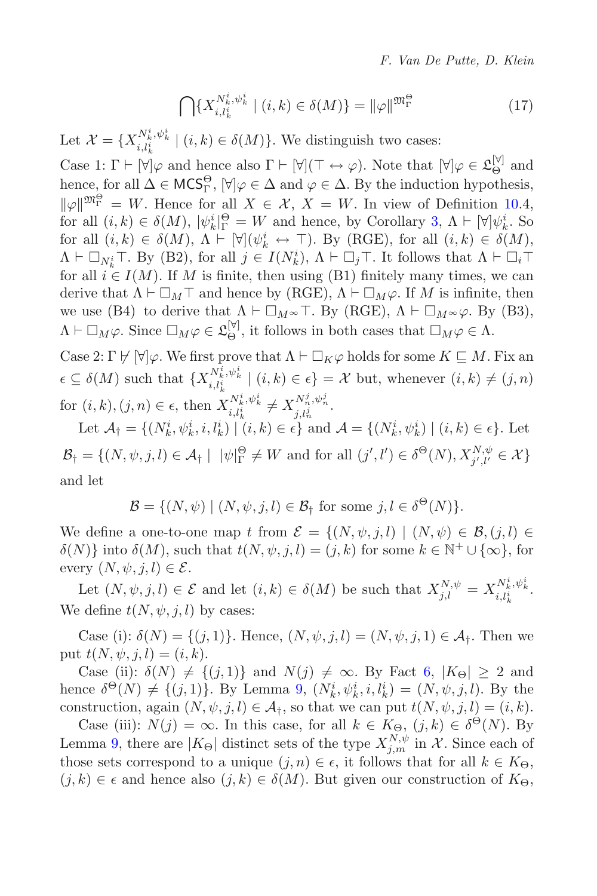<span id="page-23-0"></span>
$$
\bigcap \{ X_{i,l_k^i}^{N_k^i, \psi_k^i} \mid (i,k) \in \delta(M) \} = \|\varphi\| \mathfrak{M}^{\Theta}_{\Gamma} \tag{17}
$$

Let  $\mathcal{X} = \{X_{i,l_k^i}^{N_k^i, \psi_k^i} \mid (i,k) \in \delta(M)\}\.$  We distinguish two cases:

Case 1:  $\Gamma \vdash [\forall]\varphi$  and hence also  $\Gamma \vdash [\forall](\top \leftrightarrow \varphi)$ . Note that  $[\forall]\varphi \in \mathfrak{L}_{\Theta}^{[\forall]}$  and hence for all  $\Lambda \in \mathcal{MCS}^{\Theta}$ .  $\forall \ell \in \Lambda$  and  $\varphi \in \Lambda$ . By the induction hypothesis hence, for all  $\Delta \in \mathsf{MCS}^{\Theta}_\Gamma$ ,  $[\forall] \varphi \in \Delta$  and  $\varphi \in \Delta$ . By the induction hypothesis,  $\|\varphi\|_{\mathcal{V}}^{\mathfrak{M}_{\Gamma}} = W$ . Hence for all  $X \in \mathcal{X}, X = W$ . In view of Definition 10.4,  $\widetilde{F} = W$ . Hence for all  $X \in \mathcal{X}$ ,  $X = W$ . In view of Definition [10.](#page-20-0)4,<br> $\widetilde{F}(i,k) \in \delta(M)$   $|y_i|^i \Theta = W$  and hence by Corollary 3,  $A \vdash [\forall]y_i^i$ . So for all  $(i, k) \in \delta(M)$ ,  $|\psi_k^i|_p^{\Theta} = W$  and hence, by Corollary [3,](#page-19-2)  $\Lambda \vdash [\forall] \psi_k^i$ . So<br>for all  $(i, k) \in \delta(M)$ ,  $\Lambda \vdash [\forall] (\psi_i^i \leftrightarrow \top)$ . By (RGE), for all  $(i, k) \in \delta(M)$ for all  $(i,k) \in \delta(M)$ ,  $\Lambda \vdash [\forall](\psi_k^i \leftrightarrow \top)$ . By (RGE), for all  $(i,k) \in \delta(M)$ ,<br> $\Lambda \vdash \Box \vdash \top$ . By (B2), for all  $i \in I(N^i)$ ,  $\Lambda \vdash \Box \vdash$  It follows that  $\Lambda \vdash \Box \vdash$  $\Lambda \vdash \Box_{N_k^i} \top$ . By (B2), for all  $j \in I(N_k^i)$ ,  $\Lambda \vdash \Box_j \top$ . It follows that  $\Lambda \vdash \Box_i \top$ <br>for all  $i \in I(M)$ . If M is finite, then using (B1) finitely many times, we can for all  $i \in I(M)$ . If M is finite, then using (B1) finitely many times, we can derive that  $\Lambda \vdash \Box_M \top$  and hence by (RGE),  $\Lambda \vdash \Box_M \varphi$ . If M is infinite, then<br>we use (B4) to derive that  $\Lambda \vdash \Box_M \varphi \top$  By (RGE)  $\Lambda \vdash \Box_M \varphi(2)$  By (B3) we use (B4) to derive that  $\Lambda \vdash \Box_M \infty \top$ . By (RGE),  $\Lambda \vdash \Box_M \infty \varphi$ . By (B3),  $\Lambda \vdash \Box_M \varphi$ . Since  $\Box_M \varphi \in \mathfrak{L}_{\Theta}^{[\forall]}$ , it follows in both cases that  $\Box_M \varphi \in \Lambda$ .

Case 2: Γ  $\forall$  [∀] $\varphi$ . We first prove that  $\Lambda \vdash \Box_K \varphi$  holds for some  $K \sqsubseteq M$ . Fix an  $\epsilon \subseteq \delta(M)$  such that  $\{X_{i,l_k^i}^{N_k^i, \psi_k^i} \mid (i,k) \in \epsilon\} = \mathcal{X}$  but, whenever  $(i,k) \neq (j,n)$ for  $(i, k), (j, n) \in \epsilon$ , then  $X_{i, l_k^i}^{N_k^i, \psi_k^i} \neq X_{j, l_n^j}^{N_n^j, \psi_n^j}$ .

Let  $\mathcal{A}_{\dagger} = \{ (N_k^i, \psi_k^i, i, l_k^i) \mid (i, k) \in \epsilon \}$  and  $\mathcal{A} = \{ (N_k^i, \psi_k^i) \mid (i, k) \in \epsilon \}$ . Let  $\mathcal{B}_{\dagger} = \{ (N, \psi, j, l) \in \mathcal{A}_{\dagger} \mid |\psi|_{\Gamma}^{\Theta} \neq W \text{ and for all } (j', l') \in \delta^{\Theta}(N), X_{j', l'}^{N, \psi} \in \mathcal{X} \}$ and let

 $\mathcal{B} = \{(N, \psi) \mid (N, \psi, j, l) \in \mathcal{B}_f \text{ for some } j, l \in \delta^{\Theta}(N) \}.$ 

We define a one-to-one map t from  $\mathcal{E} = \{(N, \psi, j, l) \mid (N, \psi) \in \mathcal{B}, (j, l) \in$  $\delta(N)$ } into  $\delta(M)$ , such that  $t(N, \psi, j, l)=(j, k)$  for some  $k \in \mathbb{N}^+ \cup {\infty}$ , for every  $(N, \psi, j, l) \in \mathcal{E}$ .

Let  $(N, \psi, j, l) \in \mathcal{E}$  and let  $(i, k) \in \delta(M)$  be such that  $X_{j,l}^{N, \psi} = X_{i, l_k^i}^{N_k^i, \psi_k^i}$ . We define  $t(N, \psi, j, l)$  by cases:

Case (i):  $\delta(N) = \{(j, 1)\}\.$  Hence,  $(N, \psi, j, l) = (N, \psi, j, 1) \in \mathcal{A}_{\dagger}$ . Then we put  $t(N, \psi, i, l) = (i, k)$ .

Case (ii):  $\delta(N) \neq \{(j, 1)\}\$ and  $N(j) \neq \infty$ . By Fact [6,](#page-19-3)  $|K_{\Theta}| \geq 2$  and hence  $\delta^{\Theta}(N) \neq \{(j,1)\}\.$  By Lemma [9,](#page-21-0)  $(N_k^i, \psi_k^i, i, l_k^i) = (N, \psi, j, l)$ . By the construction again  $(N, \psi, i, l) \in A$ , so that we can put  $t(N, \psi, i, l) = (i, k)$ construction, again  $(N, \psi, j, l) \in \mathcal{A}_{\dagger}$ , so that we can put  $t(N, \psi, j, l) = (i, k)$ .

Case (iii):  $N(j) = \infty$ . In this case, for all  $k \in K_{\Theta}$ ,  $(j, k) \in \delta^{\Theta}(N)$ . By Lemma [9,](#page-21-0) there are  $|K_{\Theta}|$  distinct sets of the type  $X_{j,m}^{N,\psi}$  in  $\mathcal{X}$ . Since each of those sets correspond to a unique  $(i, n) \in \epsilon$  it follows that for all  $k \in K_{\infty}$ those sets correspond to a unique  $(j, n) \in \epsilon$ , it follows that for all  $k \in K_{\Theta}$ ,  $(j, k) \in \epsilon$  and hence also  $(j, k) \in \delta(M)$ . But given our construction of  $K_{\Theta}$ ,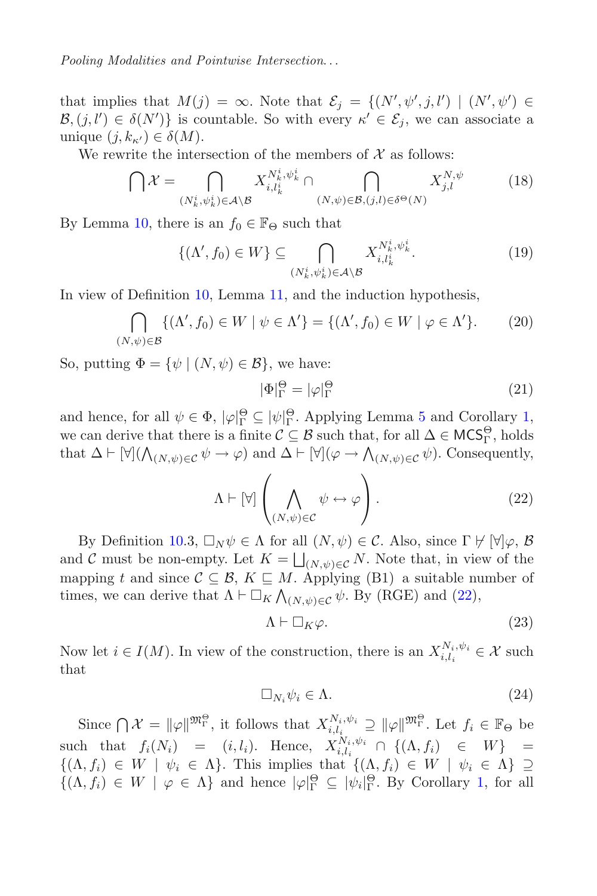that implies that  $M(j) = \infty$ . Note that  $\mathcal{E}_j = \{(N', \psi', j, l') \mid (N', \psi') \in \mathcal{B} \mid (j'') \in \mathcal{S}(N')\}$  is countable. So with every  $\kappa' \in \mathcal{E}$ , we can associate a  $\mathcal{B}, (j, l') \in \delta(N')\}$  is countable. So with every  $\kappa' \in \mathcal{E}_j$ , we can associate a unique  $(i, k) \in \delta(M)$ unique  $(j, k_{\kappa'}) \in \delta(M)$ .<br>We rewrite the inter

We rewrite the intersection of the members of  $\mathcal X$  as follows:

$$
\bigcap \mathcal{X} = \bigcap_{(N_k^i, \psi_k^i) \in \mathcal{A} \setminus \mathcal{B}} X_{i, l_k^i}^{N_k^i, \psi_k^i} \cap \bigcap_{(N, \psi) \in \mathcal{B}, (j, l) \in \delta^\Theta(N)} X_{j, l}^{N, \psi} \tag{18}
$$

By Lemma [10,](#page-21-1) there is an  $f_0 \in \mathbb{F}_{\Theta}$  such that

$$
\{(\Lambda', f_0) \in W\} \subseteq \bigcap_{(N_k^i, \psi_k^i) \in \mathcal{A} \setminus \mathcal{B}} X_{i, l_k^i}^{N_k^i, \psi_k^i}.
$$
\n(19)

In view of Definition [10,](#page-20-0) Lemma [11,](#page-21-2) and the induction hypothesis,

$$
\bigcap_{(N,\psi)\in\mathcal{B}} \{ (\Lambda', f_0) \in W \mid \psi \in \Lambda' \} = \{ (\Lambda', f_0) \in W \mid \varphi \in \Lambda' \}. \tag{20}
$$

So, putting  $\Phi = {\psi | (N, \psi) \in \mathcal{B}}$ , we have:

<span id="page-24-4"></span><span id="page-24-3"></span><span id="page-24-0"></span>
$$
|\Phi|_{\Gamma}^{\Theta} = |\varphi|_{\Gamma}^{\Theta} \tag{21}
$$

and hence, for all  $\psi \in \Phi$ ,  $|\varphi|_{\Gamma}^{\Theta} \subseteq |\psi|_{\Gamma}^{\Theta}$ . Applying Lemma [5](#page-18-2) and Corollary [1,](#page-19-4)<br>we can derive that there is a finite  $\mathcal{C} \subseteq \mathcal{B}$  such that for all  $\Delta \subseteq \mathcal{MCS}^{\Theta}$  holds  $\tilde{\Gamma} \subseteq |\psi|$ <br>finite  $\mathcal C$ we can derive that there is a finite  $\mathcal{C} \subseteq \mathcal{B}$  such that, for all  $\Delta \in \mathsf{MCS}^\Theta_\Gamma$ , holds that  $\Delta \vdash [\forall] (\bigwedge_{(N,\psi)\in \mathcal{C}} \psi \to \varphi)$  and  $\Delta \vdash [\forall] (\varphi \to \bigwedge_{(N,\psi)\in \mathcal{C}} \psi)$ . Consequently,

$$
\Lambda \vdash [\forall] \left( \bigwedge_{(N,\psi)\in \mathcal{C}} \psi \leftrightarrow \varphi \right). \tag{22}
$$

By Definition [10.](#page-20-0)3,  $\Box_N \psi \in \Lambda$  for all  $(N, \psi) \in \mathcal{C}$ . Also, since  $\Gamma \not\vdash [\forall] \varphi$ ,  $\mathcal{B}$ <br>d  $\mathcal{C}$  must be non-empty Let  $K = \Box \Box N$ . Note that in view of the and C must be non-empty. Let  $K = \bigsqcup_{(N,\psi) \in \mathcal{C}} N$ . Note that, in view of the mapping t and since  $C \subseteq \mathcal{B}$ ,  $K \sqsubseteq M$ . Applying (B1) a suitable number of times, we can derive that  $\Lambda \vdash \Box_K \bigwedge_{(N,\psi)\in\mathcal{C}} \psi$ . By (RGE) and [\(22\)](#page-24-0),

<span id="page-24-2"></span>
$$
\Lambda \vdash \Box_K \varphi. \tag{23}
$$

Now let  $i \in I(M)$ . In view of the construction, there is an  $X_{i,l_i}^{N_i, \psi_i} \in \mathcal{X}$  such that that

<span id="page-24-1"></span>
$$
\Box_{N_i} \psi_i \in \Lambda. \tag{24}
$$

Since  $\bigcap \mathcal{X} = \|\varphi\|^{m_{\Gamma}^{\Theta}}$ , it follows that  $X_{i,l_i}^{N_i,\psi_i} \supseteq \|\varphi\|^{m_{\Gamma}^{\Theta}}$ . Let  $f_i \in \mathbb{F}_{\Theta}$  be such that  $f_i(N_i) = (i, l_i)$ . Hence,  $X_{i, l_i}^{N_i, \psi_i} \cap \{(\Lambda, f_i) \in W\} =$ <br> $f(\Lambda, f_i) \subset W + \psi_i \subset \Lambda$ , This implies that  $f(\Lambda, f_i) \subset W + \psi_i \subset \Lambda$ ,  $\supset$  $\{(\Lambda, f_i) \in W \mid \psi_i \in \Lambda\}.$  This implies that  $\{(\Lambda, f_i) \in W \mid \psi_i \in \Lambda\} \supseteq \{(\Lambda, f_i) \in W \mid \psi_i \in \Lambda\}.$  $\{(\Lambda, f_i) \in W \mid \varphi \in \Lambda\}$  and hence  $|\varphi|_{\Gamma}^{\Theta} \subseteq |\psi_i|_{\Gamma}^{\Theta}$ . By Corollary [1,](#page-19-4) for all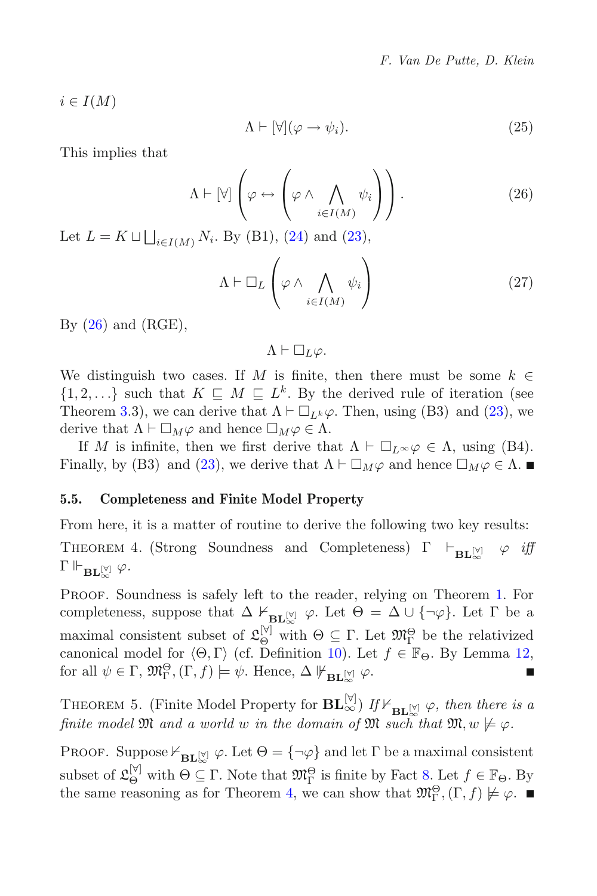$i \in I(M)$ 

<span id="page-25-1"></span>
$$
\Lambda \vdash [\forall](\varphi \to \psi_i). \tag{25}
$$

This implies that

$$
\Lambda \vdash [\forall] \left( \varphi \leftrightarrow \left( \varphi \land \bigwedge_{i \in I(M)} \psi_i \right) \right). \tag{26}
$$

Let  $L = K \sqcup \bigsqcup_{i \in I(M)} N_i$ . By (B1), [\(24\)](#page-24-1) and [\(23\)](#page-24-2),

$$
\Lambda \vdash \Box_L \left( \varphi \land \bigwedge_{i \in I(M)} \psi_i \right) \tag{27}
$$

By  $(26)$  and  $(RGE)$ ,

<span id="page-25-2"></span> $\Lambda \vdash \Box_L \varphi.$ 

We distinguish two cases. If M is finite, then there must be some  $k \in$  $\{1, 2, ...\}$  such that  $K \subseteq M \subseteq L^k$ . By the derived rule of iteration (see Theorem [3.](#page-9-1)3), we can derive that  $\Lambda \vdash \Box_{L^k} \varphi$ . Then, using (B3) and [\(23\)](#page-24-2), we derive that  $\Lambda \vdash \Box_{L^k} \varphi$  and hence  $\Box_{L^k} \varphi \in \Lambda$ derive that  $\Lambda \vdash \Box_M \varphi$  and hence  $\Box_M \varphi \in \Lambda$ .<br>If M is infinite, then we first derive the

If M is infinite, then we first derive that  $\Lambda \vdash \Box_L \sim \varphi \in \Lambda$ , using (B4).<br>
usily by (B3) and (23) we derive that  $\Lambda \vdash \Box_{\Lambda}$  and hence  $\Box_{\Lambda}$   $\varphi \in \Lambda$ . Finally, by (B3) and [\(23\)](#page-24-2), we derive that  $\Lambda \vdash \Box_M \varphi$  and hence  $\Box_M \varphi \in \Lambda$ .

## <span id="page-25-0"></span>**5.5. Completeness and Finite Model Property**

From here, it is a matter of routine to derive the following two key results:

THEOREM 4. (Strong Soundness and Completeness)  $\Gamma \vdash_{BL} [\forall] \varphi \text{ iff}$  $\Gamma\Vdash_{\mathbf{BL}_{\infty}^{[\forall]}}\varphi.$ 

PROOF. Soundness is safely left to the reader, relying on Theorem [1.](#page-6-1) For completeness, suppose that  $\Delta \nvDash_{\mathbf{BL}^{[\mathbb{V}]}} \varphi$ . Let  $\Theta = \Delta \cup \{\neg \varphi\}$ . Let  $\Gamma$  be a maximal consistent subset of  $\mathfrak{L}_{\Theta}^{[\triangledown]}$  with  $\Theta \subseteq \Gamma$ . Let  $\mathfrak{M}_{\Gamma}^{\Theta}$  be the relativized canonical model for  $\langle \Theta, \Gamma \rangle$  (cf. Definition [10\)](#page-20-0). Let  $f \in \mathbb{F}_{\Theta}$ . By Lemma [12,](#page-22-1) for all  $\psi \in \Gamma$ ,  $\mathfrak{M}^{\Theta}_{\Sigma}$ .  $(\Gamma, f) \models \psi$ . Hence,  $\Delta \not \Vdash_{\neg} \psi$ . for all  $\psi \in \Gamma$ ,  $\mathfrak{M}^{\Theta}_{\Gamma}$ ,  $(\Gamma, f) \models \psi$ . Hence,  $\Delta \not\Vdash_{\mathbf{BL}^{[\triangledown]}_{\infty}} \varphi$ .

THEOREM 5. (Finite Model Property for  $\mathbf{BL}_{\infty}^{[\forall]}$ ) *If*  $\vdash_{\mathbf{BL}_{\infty}^{[\forall]}} \varphi$ , then there is a<br>finite model  $\mathfrak{M}$  and a suce of such that  $\mathfrak{M}$  and  $\vdash_{\mathcal{M}} \mathfrak{M}$  and  $\vdash_{\mathcal{M}} \mathfrak{M}$ *finite model*  $\mathfrak{M}$  *and a world* w *in the domain of*  $\mathfrak{M}$  *such that*  $\mathfrak{M}, w \not\models \varphi$ *.* 

PROOF. Suppose  $V_{\text{BL}^{[\mathsf{Y}]}}$   $\varphi$ . Let  $\Theta = {\neg \varphi}$  and let  $\Gamma$  be a maximal consistent subset of  $\mathfrak{L}_{\Theta}^{[\forall]}$  with  $\Theta \subseteq \Gamma$ . Note that  $\mathfrak{M}_{\Gamma}^{\Theta}$  is finite by Fact [8.](#page-20-1) Let  $f \in \mathbb{F}_{\Theta}$ . By the same reasoning as for Theorem [4,](#page-25-2) we can show that  $\mathfrak{M}^{\Theta}_{\Gamma}$ ,  $(\Gamma, f) \not\models \varphi$ .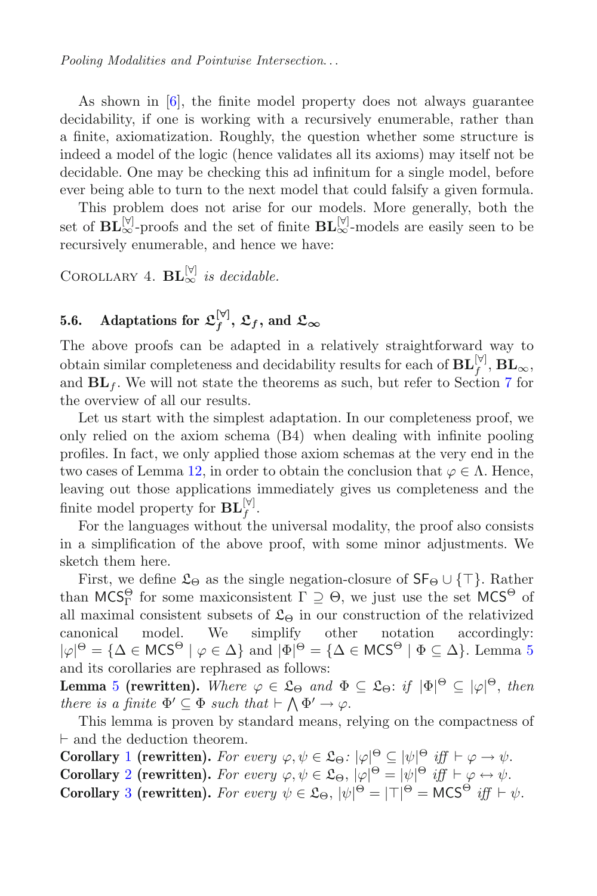As shown in [\[6](#page-46-3)], the finite model property does not always guarantee decidability, if one is working with a recursively enumerable, rather than a finite, axiomatization. Roughly, the question whether some structure is indeed a model of the logic (hence validates all its axioms) may itself not be decidable. One may be checking this ad infinitum for a single model, before ever being able to turn to the next model that could falsify a given formula.

This problem does not arise for our models. More generally, both the set of  $\mathbf{BL}_{\infty}^{[\forall]}$ -proofs and the set of finite  $\mathbf{BL}_{\infty}^{[\forall]}$ -models are easily seen to be recursively enumerable, and hence we have:

COROLLARY 4.  $\mathbf{BL}_{\infty}^{[\triangledown]}$  *is decidable.* 

# <span id="page-26-0"></span>**5.6.** Adaptations for  $\mathfrak{L}_f^{[\triangledown]}$ ,  $\mathfrak{L}_f$ , and  $\mathfrak{L}_{\infty}$

The above proofs can be adapted in a relatively straightforward way to obtain similar completeness and decidability results for each of  $\mathbf{BL}_{f}^{[\mathbb{V}]}, \mathbf{BL}_{\infty}$ , and  $BL_f$ . We will not state the theorems as such, but refer to Section [7](#page-41-0) for the overview of all our results.

Let us start with the simplest adaptation. In our completeness proof, we only relied on the axiom schema (B4) when dealing with infinite pooling profiles. In fact, we only applied those axiom schemas at the very end in the two cases of Lemma [12,](#page-22-1) in order to obtain the conclusion that  $\varphi \in \Lambda$ . Hence, leaving out those applications immediately gives us completeness and the finite model property for  $\mathbf{BL}_f^{[\forall]}$ .

For the languages without the universal modality, the proof also consists in a simplification of the above proof, with some minor adjustments. We sketch them here.

First, we define  $\mathfrak{L}_{\Theta}$  as the single negation-closure of  $\mathsf{SF}_{\Theta} \cup \{\top\}$ . Rather than  $MCS_{\Gamma}^{\Theta}$  for some maxiconsistent  $\Gamma \supseteq \Theta$ , we just use the set  $MCS^{\Theta}$  of all maximal consistent subsets of  $\mathfrak{L}_{\Theta}$  in our construction of the relativized canonical model. We simplify other notation accordingly:  $|\varphi|$ <sup>o</sup> = { $\Delta \in WCS$  |  $\varphi \in \Delta$ } and  $|\Psi|$ <sup>o</sup> = {<br>and its corollaries are rephrased as follows:  $\Theta = {\Delta \in \text{MCS}^{\Theta} \mid \varphi \in \Delta} \text{ and } |\Phi|^{\Theta} = {\Delta \in \text{MCS}^{\Theta} \mid \Phi \subseteq \Delta}. \text{ Lemma 53333.}$  $\Theta = {\Delta \in \text{MCS}^{\Theta} \mid \varphi \in \Delta} \text{ and } |\Phi|^{\Theta} = {\Delta \in \text{MCS}^{\Theta} \mid \Phi \subseteq \Delta}. \text{ Lemma 53333.}$  $\Theta = {\Delta \in \text{MCS}^{\Theta} \mid \varphi \in \Delta} \text{ and } |\Phi|^{\Theta} = {\Delta \in \text{MCS}^{\Theta} \mid \Phi \subseteq \Delta}. \text{ Lemma 53333.}$ 

**Lemma** [5](#page-18-2) **(rewritten).** *Where*  $\varphi \in \mathfrak{L}_{\Theta}$  *and*  $\Phi \subseteq \mathfrak{L}_{\Theta}$ : *if*  $|\Phi|^{\Theta} \subseteq |\varphi|^{\Theta}$ , *then there is a finite*  $\Phi' \subseteq \Phi$  *such that*  $\vdash \Lambda \Phi' \to \emptyset$ . *there is a finite*  $\Phi' \subseteq \Phi$  *such that*  $\vdash \bigwedge \Phi' \to \varphi$ .

This lemma is proven by standard means, relying on the compactness of  $\vdash$  and the deduction theorem.

**Corollary** [1](#page-19-4) **(rewritten).** *For every*  $\varphi, \psi \in \mathfrak{L}_{\Theta}$ :  $|\varphi|^{\Theta} \subseteq |\psi|^{\Theta}$  *iff*  $\nvdash \varphi \rightarrow \psi$ .<br> **Corollary** 2 **(rewritten)** *For every*  $\varphi, \psi \in \mathfrak{L}_{\Theta}$ ,  $|\varphi|^{\Theta} = |\psi|^{\Theta}$  *iff*  $\nvdash \varphi \leftrightarrow \psi$ . **Corollary** [2](#page-19-5) **(rewritten).** *For every*  $\varphi, \psi \in \mathfrak{L}_{\Theta}$ ,  $|\varphi|^{\Theta} = |\psi|^{\Theta}$  *iff*  $\vdash \varphi \leftrightarrow \psi$ .<br> **Corollary** 3 **(rowritten)** *For every*  $\psi \in \mathfrak{L}_{\Theta}$ ,  $|\psi|^{\Theta} = |\top|^{\Theta} = \mathsf{MCS}^{\Theta}$  *iff*  $\vdash \bot$ **Corollary** [3](#page-19-2) (rewritten). *For every*  $\psi \in \mathfrak{L}_{\Theta}$ ,  $|\psi|^{\Theta} = |\mathsf{T}|^{\Theta} = \mathsf{MCS}^{\Theta}$  *iff*  $\vdash \psi$ .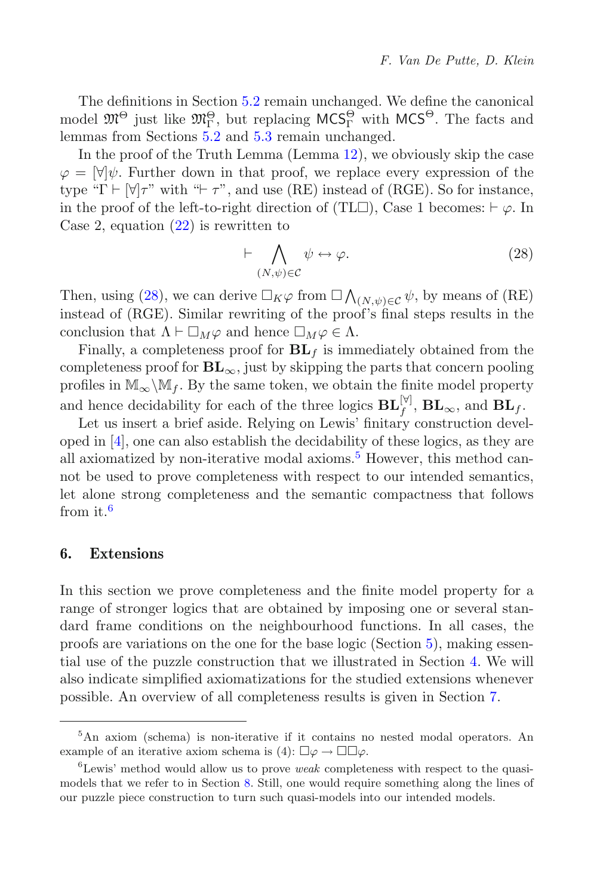The definitions in Section [5.2](#page-19-0) remain unchanged. We define the canonical model  $\mathfrak{M}^{\Theta}$  just like  $\mathfrak{M}^{\Theta}_\Gamma$ , but replacing  $\mathsf{MCS}^{\Theta}_\Gamma$  with  $\mathsf{MCS}^{\Theta}$ . The facts and lemmas from Sections [5.2](#page-19-0) and [5.3](#page-20-2) remain unchanged.

In the proof of the Truth Lemma (Lemma [12\)](#page-22-1), we obviously skip the case  $\varphi = [\forall] \psi$ . Further down in that proof, we replace every expression of the type "Γ  $\vdash \forall \tau$ " with " $\vdash \tau$ ", and use (RE) instead of (RGE). So for instance, in the proof of the left-to-right direction of (TL $\square$ ), Case 1 becomes:  $\vdash \varphi$ . In Case 2 equation (22) is rewritten to Case 2, equation  $(22)$  is rewritten to

<span id="page-27-1"></span>
$$
\vdash \bigwedge_{(N,\psi)\in\mathcal{C}} \psi \leftrightarrow \varphi. \tag{28}
$$

Then, using [\(28\)](#page-27-1), we can derive  $\Box_K \varphi$  from  $\Box \bigwedge_{(N,\psi) \in \mathcal{C}} \psi$ , by means of (RE) instead of (RCF). Similar rewriting of the proof's final stops results in the instead of (RGE). Similar rewriting of the proof's final steps results in the conclusion that  $\Lambda \vdash \Box_M \varphi$  and hence  $\Box_M \varphi \in \Lambda$ .<br>Finally a completeness proof for **BL** is jump

Finally, a completeness proof for  $BL_f$  is immediately obtained from the completeness proof for  $BL_{\infty}$ , just by skipping the parts that concern pooling profiles in  $\mathbb{M}_{\infty}\backslash\mathbb{M}_f$ . By the same token, we obtain the finite model property and hence decidability for each of the three logics  $\mathbf{BL}_{f}^{[\forall]}$ ,  $\mathbf{BL}_{\infty}$ , and  $\mathbf{BL}_{f}$ .

Let us insert a brief aside. Relying on Lewis' finitary construction developed in [\[4\]](#page-46-1), one can also establish the decidability of these logics, as they are all axiomatized by non-iterative modal axioms.<sup>[5](#page-27-2)</sup> However, this method cannot be used to prove completeness with respect to our intended semantics, let alone strong completeness and the semantic compactness that follows from it.[6](#page-27-3)

## <span id="page-27-0"></span>**6. Extensions**

In this section we prove completeness and the finite model property for a range of stronger logics that are obtained by imposing one or several standard frame conditions on the neighbourhood functions. In all cases, the proofs are variations on the one for the base logic (Section [5\)](#page-17-0), making essential use of the puzzle construction that we illustrated in Section [4.](#page-12-0) We will also indicate simplified axiomatizations for the studied extensions whenever possible. An overview of all completeness results is given in Section [7.](#page-41-0)

<span id="page-27-2"></span><sup>5</sup>An axiom (schema) is non-iterative if it contains no nested modal operators. An example of an iterative axiom schema is  $(4)$ :  $\square \varphi \rightarrow \square \square \varphi$ .

<span id="page-27-3"></span><sup>6</sup>Lewis' method would allow us to prove *weak* completeness with respect to the quasimodels that we refer to in Section [8.](#page-42-0) Still, one would require something along the lines of our puzzle piece construction to turn such quasi-models into our intended models.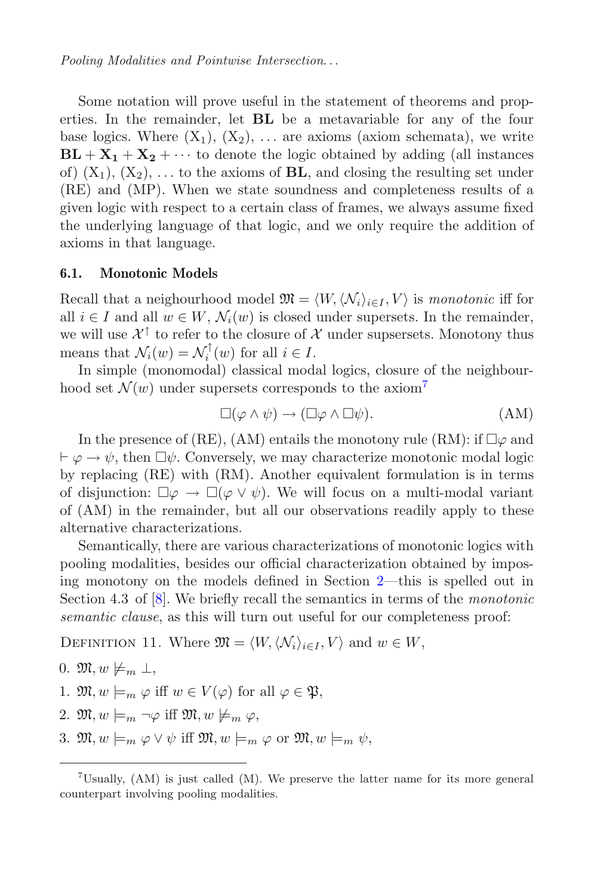*Pooling Modalities and Pointwise Intersection*...

Some notation will prove useful in the statement of theorems and properties. In the remainder, let **BL** be a metavariable for any of the four base logics. Where  $(X_1)$ ,  $(X_2)$ , ... are axioms (axiom schemata), we write  $BL + X_1 + X_2 + \cdots$  to denote the logic obtained by adding (all instances of)  $(X_1)$ ,  $(X_2)$ , ... to the axioms of **BL**, and closing the resulting set under (RE) and (MP). When we state soundness and completeness results of a given logic with respect to a certain class of frames, we always assume fixed the underlying language of that logic, and we only require the addition of axioms in that language.

### <span id="page-28-2"></span>**6.1. Monotonic Models**

Recall that a neighourhood model  $\mathfrak{M} = \langle W, \langle \mathcal{N}_i \rangle_{i \in I}, V \rangle$  is *monotonic* iff for all  $i \in I$  and all  $w \in W$ ,  $\mathcal{N}_i(w)$  is closed under supersets. In the remainder, we will use  $\mathcal{X}^{\uparrow}$  to refer to the closure of X under supsersets. Monotony thus means that  $\mathcal{N}_i(w) = \mathcal{N}_i^{\dagger}(w)$  for all  $i \in I$ .<br>In simple (monomodal) classical mod

In simple (monomodal) classical modal logics, closure of the neighbourhood set  $\mathcal{N}(w)$  under supersets corresponds to the axiom<sup>[7](#page-28-0)</sup>

<span id="page-28-1"></span>
$$
\Box(\varphi \land \psi) \to (\Box \varphi \land \Box \psi). \tag{AM}
$$

In the presence of (RE), (AM) entails the monotony rule (RM): if  $\Box \varphi$  and<br> $\Box \rightarrow \psi$  then  $\Box \psi$ . Conversely, we may characterize monotonic model logic  $\vdash \varphi \rightarrow \psi$ , then  $\Box \psi$ . Conversely, we may characterize monotonic modal logic<br>by replacing (RE) with (RM) Apother equivalent formulation is in terms by replacing (RE) with (RM). Another equivalent formulation is in terms of disjunction:  $\Box \varphi \to \Box (\varphi \vee \psi)$ . We will focus on a multi-modal variant of  $(AM)$  in the remainder but all our observations readily apply to these of (AM) in the remainder, but all our observations readily apply to these alternative characterizations.

Semantically, there are various characterizations of monotonic logics with pooling modalities, besides our official characterization obtained by imposing monotony on the models defined in Section [2—](#page-2-0)this is spelled out in Section 4.3 of [\[8](#page-46-0)]. We briefly recall the semantics in terms of the *monotonic semantic clause*, as this will turn out useful for our completeness proof:

DEFINITION 11. Where  $\mathfrak{M} = \langle W, \langle \mathcal{N}_i \rangle_{i \in I}, V \rangle$  and  $w \in W$ ,

- 0.  $\mathfrak{M}, w \not\models_m \bot,$
- 1.  $\mathfrak{M}, w \models_m \varphi$  iff  $w \in V(\varphi)$  for all  $\varphi \in \mathfrak{P},$
- 2.  $\mathfrak{M}, w \models_m \neg \varphi$  iff  $\mathfrak{M}, w \not\models_m \varphi$ ,
- 3.  $\mathfrak{M}, w \models_m \varphi \lor \psi$  iff  $\mathfrak{M}, w \models_m \varphi$  or  $\mathfrak{M}, w \models_m \psi$ ,

<span id="page-28-0"></span> $7$ Usually, (AM) is just called (M). We preserve the latter name for its more general counterpart involving pooling modalities.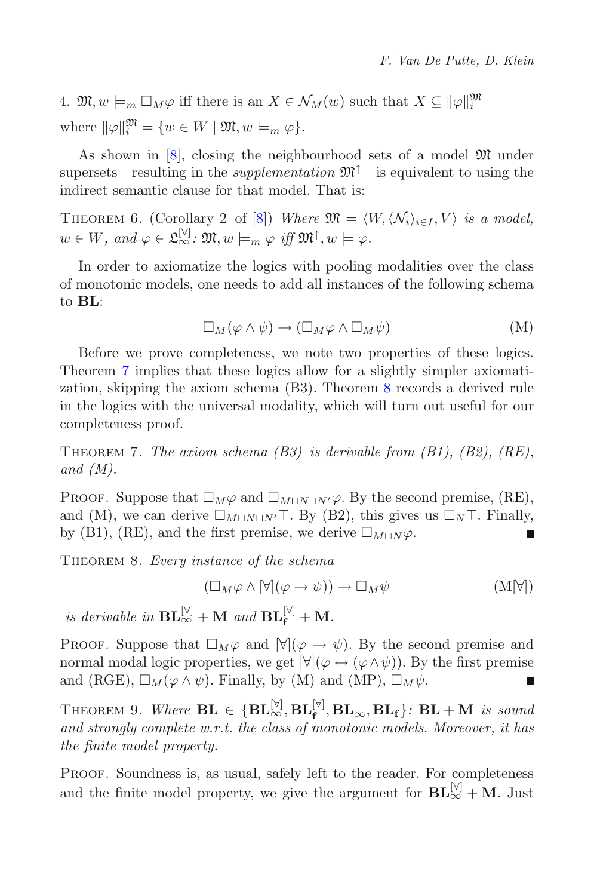4.  $\mathfrak{M}, w \models_m \Box_M \varphi$  iff there is an  $X \in \mathcal{N}_M(w)$  such that  $X \subseteq ||\varphi||_i^{\mathfrak{M}}$ where  $\|\varphi\|_i^{\mathfrak{M}} = \{w \in W \mid \mathfrak{M}, w \models_m \varphi\}.$ 

As shown in  $[8]$ , closing the neighbourhood sets of a model  $\mathfrak{M}$  under supersets—resulting in the *supplementation*  $\mathfrak{M}^{\uparrow}$ —is equivalent to using the indirect semantic clause for that model. That is:

THEOREM 6. (Corollary 2 of [\[8](#page-46-0)]) *Where*  $\mathfrak{M} = \langle W, \langle \mathcal{N}_i \rangle_{i \in I}, V \rangle$  *is a model,*  $w \in W$ *, and*  $\varphi \in \mathfrak{L}_{\infty}^{[\forall]}$ *:*  $\mathfrak{M}, w \models_{m} \varphi$  *iff*  $\mathfrak{M}^{\uparrow}, w \models \varphi$ *.* 

In order to axiomatize the logics with pooling modalities over the class of monotonic models, one needs to add all instances of the following schema to **BL**:

<span id="page-29-2"></span>
$$
\Box_M(\varphi \land \psi) \to (\Box_M \varphi \land \Box_M \psi)
$$
 (M)

Before we prove completeness, we note two properties of these logics. Theorem [7](#page-29-0) implies that these logics allow for a slightly simpler axiomatization, skipping the axiom schema (B3). Theorem [8](#page-29-1) records a derived rule in the logics with the universal modality, which will turn out useful for our completeness proof.

<span id="page-29-0"></span>Theorem 7. *The axiom schema (B3) is derivable from (B1), (B2), (RE), and (M).*

PROOF. Suppose that  $\square_M \varphi$  and  $\square_{M\sqcup N\sqcup N'} \varphi$ . By the second premise, (RE),<br>and (M) we can derive  $\square_{M\sqcup N\sqcup N'} \top$  By (B2) this gives us  $\square_N \top$  Finally and (M), we can derive  $\square_{M\sqcup N\sqcup N'}\top$ . By (B2), this gives us  $\square_N\top$ . Finally, by (B1), (RE), and the first premise, we derive  $\square_{M\sqcup N}\varphi$ .

<span id="page-29-1"></span>Theorem 8. *Every instance of the schema*

$$
(\Box_M \varphi \land [\forall](\varphi \to \psi)) \to \Box_M \psi \tag{M[\forall]}
$$

*is derivable in*  $\mathbf{BL}_{\infty}^{[\forall]}$  + **M** *and*  $\mathbf{BL}_{\mathbf{f}}^{[\forall]}$  + **M***.* 

**PROOF.** Suppose that  $\Box_M\varphi$  and  $[\forall](\varphi \rightarrow \psi)$ . By the second premise and normal modal logic properties we get  $[\forall](\varphi \rightarrow (\varphi \land \psi))$ . By the first premise normal modal logic properties, we get  $[\forall](\varphi \leftrightarrow (\varphi \wedge \psi))$ . By the first premise and (RGE),  $\Box_M(\varphi \land \psi)$ . Finally, by (M) and (MP),  $\Box_M \psi$ .

THEOREM 9. Where  $\mathbf{BL} \in \{\mathbf{BL}_{\infty}^{[\mathbb{V}]}, \mathbf{BL}_{\mathbf{f}}^{\mathbb{V}}, \mathbf{BL}_{\infty}, \mathbf{BL}_{\mathbf{f}}\}$ :  $\mathbf{BL} + \mathbf{M}$  is sound<br>and strongly complete  $w$  r t, the class of monotonic models. Moreover, it has *and strongly complete w.r.t. the class of monotonic models. Moreover, it has the finite model property.*

PROOF. Soundness is, as usual, safely left to the reader. For completeness and the finite model property, we give the argument for  $\mathbf{BL}_{\infty}^{[\triangledown]} + \mathbf{M}$ . Just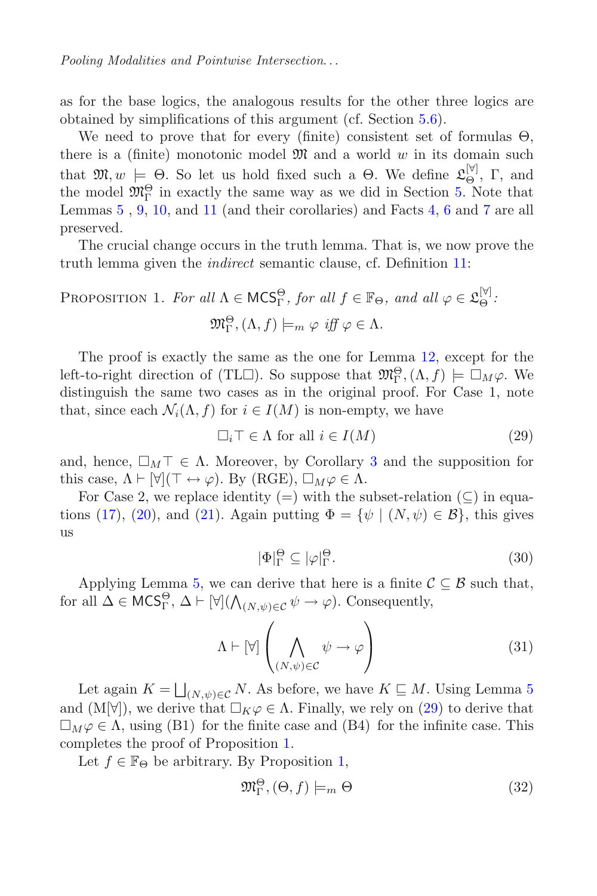as for the base logics, the analogous results for the other three logics are obtained by simplifications of this argument (cf. Section [5.6\)](#page-26-0).

We need to prove that for every (finite) consistent set of formulas  $\Theta$ , there is a (finite) monotonic model  $\mathfrak{M}$  and a world w in its domain such<br>that  $\mathfrak{M}$  and  $\vdash \Theta$ . So let us hold fixed such a  $\Theta$ . We define  $\mathfrak{G}^{[\gamma]}$ . E and that  $\mathfrak{M}, w \models \Theta$ . So let us hold fixed such a  $\Theta$ . We define  $\mathfrak{L}_{\Theta}^{[\mathbb{V}]}, \Gamma$ , and the model  $\mathfrak{M}^{\Theta}$  in exactly the same way as we did in Section 5. Note that the model  $\mathfrak{M}_{\Gamma}^{\Theta}$  in exactly the same way as we did in Section [5.](#page-17-0) Note that Lemmas [5](#page-18-2) , [9,](#page-21-0) [10,](#page-21-1) and [11](#page-21-2) (and their corollaries) and Facts [4,](#page-18-1) [6](#page-19-3) and [7](#page-19-1) are all preserved.

The crucial change occurs in the truth lemma. That is, we now prove the truth lemma given the *indirect* semantic clause, cf. Definition [11:](#page-28-1)

<span id="page-30-1"></span>PROPOSITION 1. For all 
$$
\Lambda \in \text{MCS}_\Gamma^{\Theta}
$$
, for all  $f \in \mathbb{F}_{\Theta}$ , and all  $\varphi \in \mathfrak{L}_{\Theta}^{[\mathbb{V}]}$ :  

$$
\mathfrak{M}_{\Gamma}^{\Theta}, (\Lambda, f) \models_m \varphi \text{ iff } \varphi \in \Lambda.
$$

The proof is exactly the same as the one for Lemma [12,](#page-22-1) except for the left-to-right direction of (TL $\square$ ). So suppose that  $\mathfrak{M}^{\Theta}_{\Gamma}(\Lambda, f) \models \square_M \varphi$ . We<br>distinguish the same two cases as in the original proof. For Case 1, note distinguish the same two cases as in the original proof. For Case 1, note that, since each  $\mathcal{N}_i(\Lambda, f)$  for  $i \in I(M)$  is non-empty, we have

$$
\Box_i \top \in \Lambda \text{ for all } i \in I(M) \tag{29}
$$

and, hence,  $\square_M \top \in \Lambda$ . Moreover, by Corollary [3](#page-19-2) and the supposition for this case,  $\Lambda \vdash [\forall](\top \leftrightarrow \varphi)$ . By (RGE),  $\square_M \varphi \in \Lambda$ .<br>For Case 2, we replace identity  $(-)$  with the sp

For Case 2, we replace identity (=) with the subset-relation  $(\subseteq)$  in equa-tions [\(17\)](#page-23-0), [\(20\)](#page-24-3), and [\(21\)](#page-24-4). Again putting  $\Phi = {\psi | (N, \psi) \in \mathcal{B}}$ , this gives us

<span id="page-30-0"></span>
$$
|\Phi|_{\Gamma}^{\Theta} \subseteq |\varphi|_{\Gamma}^{\Theta}.
$$
\n(30)

Applying Lemma [5,](#page-18-2) we can derive that here is a finite  $\mathcal{C} \subseteq \mathcal{B}$  such that, for all  $\Delta \in \mathsf{MCS}^{\Theta}_\Gamma$ ,  $\Delta \vdash [\forall] (\bigwedge_{(N,\psi)\in\mathcal{C}} \psi \to \varphi)$ . Consequently,

$$
\Lambda \vdash [\forall] \left( \bigwedge_{(N,\psi)\in \mathcal{C}} \psi \to \varphi \right) \tag{31}
$$

Let again  $K = \bigsqcup_{(N,\psi) \in \mathcal{C}} N$ . As before, we have  $K \sqsubseteq M$ . Using Lemma [5](#page-18-2)<br>d (M\vi) we derive that  $\square_{\mathcal{C}} \circ \mathcal{C} \wedge \longrightarrow$  Finally we rely on (20) to derive that and  $(M[\forall])$ , we derive that  $\Box_K \varphi \in \Lambda$ . Finally, we rely on [\(29\)](#page-30-0) to derive that  $\Box_K \varphi \in \Lambda$ , using (B1) for the finite case and (B4) for the infinite case. This  $\Box_M \varphi \in \Lambda$ , using (B1) for the finite case and (B4) for the infinite case. This completes the proof of Proposition 1 completes the proof of Proposition [1.](#page-30-1)

Let  $f \in \mathbb{F}_{\Theta}$  be arbitrary. By Proposition [1,](#page-30-1)

$$
\mathfrak{M}_{\Gamma}^{\Theta}, (\Theta, f) \models_{m} \Theta \tag{32}
$$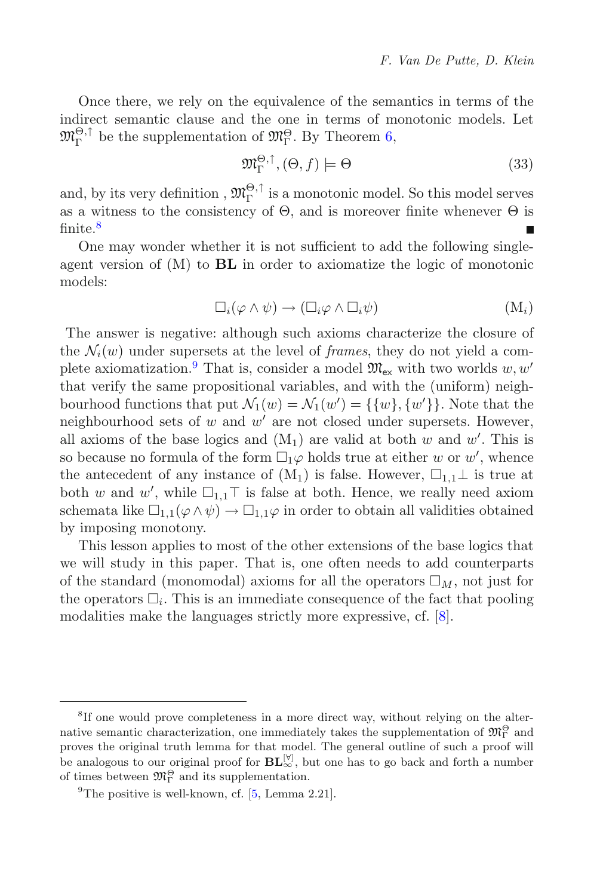Once there, we rely on the equivalence of the semantics in terms of the indirect semantic clause and the one in terms of monotonic models. Let  $\mathfrak{M}_{\Gamma}^{\Theta,\uparrow}$  be the supplementation of  $\mathfrak{M}_{\Gamma}^{\Theta}$ . By Theorem [6,](#page-29-2)

$$
\mathfrak{M}_{\Gamma}^{\Theta,\uparrow}, (\Theta, f) \models \Theta \tag{33}
$$

and, by its very definition ,  $\mathfrak{M}_{\Gamma}^{\Theta,\uparrow}$  is a monotonic model. So this model serves as a witness to the consistency of  $\Theta$ , and is moreover finite whenever  $\Theta$  is finite.<sup>[8](#page-31-0)</sup>

One may wonder whether it is not sufficient to add the following singleagent version of (M) to **BL** in order to axiomatize the logic of monotonic models:

$$
\Box_i(\varphi \wedge \psi) \rightarrow (\Box_i \varphi \wedge \Box_i \psi) \tag{M_i}
$$

The answer is negative: although such axioms characterize the closure of the  $\mathcal{N}_i(w)$  under supersets at the level of *frames*, they do not yield a com-plete axiomatization.<sup>[9](#page-31-1)</sup> That is, consider a model  $\mathfrak{M}_{\mathsf{ex}}$  with two worlds w, w' that verify the same propositional variables, and with the (uniform) neighbourhood functions that put  $\mathcal{N}_1(w) = \mathcal{N}_1(w') = \{\{w\}, \{w'\}\}\.$  Note that the neighbourhood sets of w and w' are not closed under supersets. However neighbourhood sets of  $w$  and  $w'$  are not closed under supersets. However, all axioms of the base logics and  $(M_1)$  are valid at both w and w'. This is<br>so because no formula of the form  $\Box$  a holds true at either w or w' whence so because no formula of the form  $\Box_1\varphi$  holds true at either w or w', whence<br>the antecedent of any instance of  $(M_*)$  is false. However  $\Box_{\Box}$  is true at the antecedent of any instance of  $(M_1)$  is false. However,  $\square_{1,1}\bot$  is true at both w and w', while  $\square_{1,1} \top$  is false at both. Hence, we really need axiom<br>schemata like  $\square_{1,1}(\emptyset \wedge \psi) \rightarrow \square_{1,1}(\emptyset)$  in order to obtain all validities obtained schemata like  $\square_{1,1}(\varphi \wedge \psi) \rightarrow \square_{1,1}\varphi$  in order to obtain all validities obtained<br>by imposing monotony by imposing monotony.

This lesson applies to most of the other extensions of the base logics that we will study in this paper. That is, one often needs to add counterparts of the standard (monomodal) axioms for all the operators  $\Box_M$ , not just for the operators  $\Box_i$ . This is an immediate consequence of the fact that pooling modalities make the languages strictly more expressive, cf. [\[8\]](#page-46-0).

<span id="page-31-0"></span><sup>&</sup>lt;sup>8</sup>If one would prove completeness in a more direct way, without relying on the alternative semantic characterization, one immediately takes the supplementation of  $\mathfrak{M}_{\Gamma}^{\Theta}$  and proves the original truth lemma for that model. The general outline of such a proof will be analogous to our original proof for  $\mathbf{BL}_{\infty}^{|\mathcal{V}|}$ , but one has to go back and forth a number of times between  $\mathfrak{M}_{\Gamma}^{\Theta}$  and its supplementation.

<span id="page-31-1"></span><sup>&</sup>lt;sup>9</sup>The positive is well-known, cf.  $[5, \text{Lemma } 2.21]$  $[5, \text{Lemma } 2.21]$ .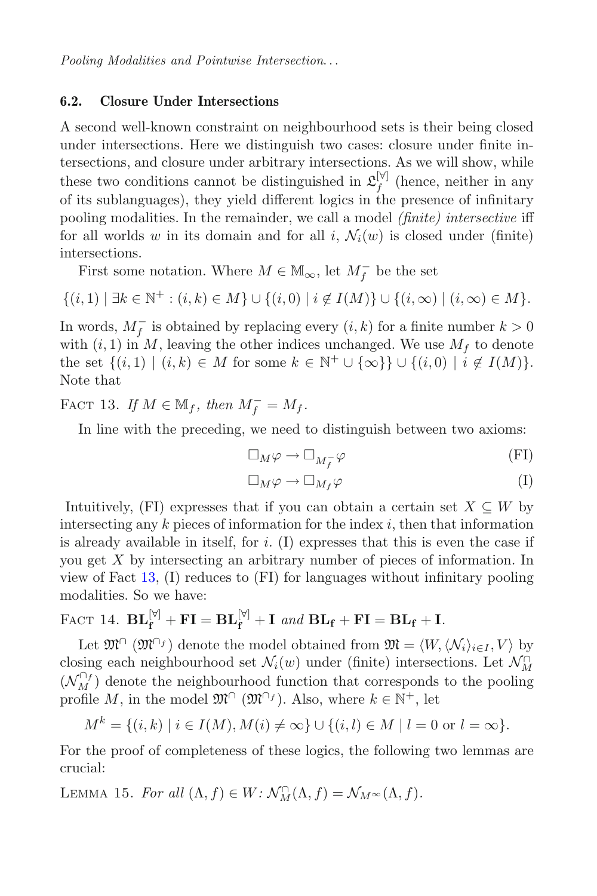### <span id="page-32-3"></span>**6.2. Closure Under Intersections**

A second well-known constraint on neighbourhood sets is their being closed under intersections. Here we distinguish two cases: closure under finite intersections, and closure under arbitrary intersections. As we will show, while these two conditions cannot be distinguished in  $\mathcal{L}^{[\forall]}_f$  (hence, neither in any of its sublanguages), they yield different logics in the presence of infinitary pooling modalities. In the remainder, we call a model *(finite) intersective* iff for all worlds w in its domain and for all i,  $\mathcal{N}_i(w)$  is closed under (finite) intersections.

First some notation. Where  $M \in \mathbb{M}_{\infty}$ , let  $M_f^-$  be the set

$$
\{(i,1) \mid \exists k \in \mathbb{N}^+ : (i,k) \in M\} \cup \{(i,0) \mid i \notin I(M)\} \cup \{(i,\infty) \mid (i,\infty) \in M\}.
$$

In words,  $M_f^-$  is obtained by replacing every  $(i, k)$  for a finite number  $k > 0$ <br>with  $(i, 1)$  in M, leaving the other indices unchanged. We use  $M_t$  to denote with  $(i, 1)$  in M, leaving the other indices unchanged. We use  $M_f$  to denote the set  $\{(i,1) | (i,k) \in M \text{ for some } k \in \mathbb{N}^+ \cup \{\infty\}\} \cup \{(i,0) | i \notin I(M)\}.$ Note that

<span id="page-32-0"></span>FACT 13. *If*  $M \in M_f$ *, then*  $M_f^- = M_f$ *.* 

In line with the preceding, we need to distinguish between two axioms:

$$
\Box_M \varphi \to \Box_{M_f^-} \varphi \tag{F1}
$$

$$
\Box_M \varphi \to \Box_{M_f} \varphi \tag{I}
$$

Intuitively, (FI) expresses that if you can obtain a certain set  $X \subseteq W$  by intersecting any  $k$  pieces of information for the index  $i$ , then that information is already available in itself, for  $i$ . (I) expresses that this is even the case if you get X by intersecting an arbitrary number of pieces of information. In view of Fact [13,](#page-32-0) (I) reduces to (FI) for languages without infinitary pooling modalities. So we have:

<span id="page-32-2"></span>FACT 14. 
$$
\mathbf{BL}_{\mathbf{f}}^{[\triangledown]} + \mathbf{FI} = \mathbf{BL}_{\mathbf{f}}^{[\triangledown]} + \mathbf{I} \text{ and } \mathbf{BL}_{\mathbf{f}} + \mathbf{FI} = \mathbf{BL}_{\mathbf{f}} + \mathbf{I}.
$$

Let  $\mathfrak{M}^{\cap}(\mathfrak{M}^{\cap f})$  denote the model obtained from  $\mathfrak{M} = \langle W, \langle \mathcal{N}_i \rangle_{i \in I}, V \rangle$  by closing each neighbourhood set  $\mathcal{N}_i(w)$  under (finite) intersections. Let  $\mathcal{N}_{\Omega}^{\cap}$ <br> $(M^{\cap}I)$  denote the neighbourhood function that corresponds to the pooling  $(\mathcal{N}_M^{\perp_f})$  denote the neighbourhood function that corresponds to the pooling profile M, in the model  $\mathfrak{M}^{\cap}(\mathfrak{M}^{\cap f})$ . Also, where  $k \in \mathbb{N}^+$ , let

$$
M^{k} = \{(i,k) \mid i \in I(M), M(i) \neq \infty\} \cup \{(i,l) \in M \mid l = 0 \text{ or } l = \infty\}.
$$

<span id="page-32-1"></span>For the proof of completeness of these logics, the following two lemmas are crucial:

LEMMA 15. *For all*  $(\Lambda, f) \in W$ :  $\mathcal{N}_{M}^{\cap}(\Lambda, f) = \mathcal{N}_{M^{\infty}}(\Lambda, f)$ .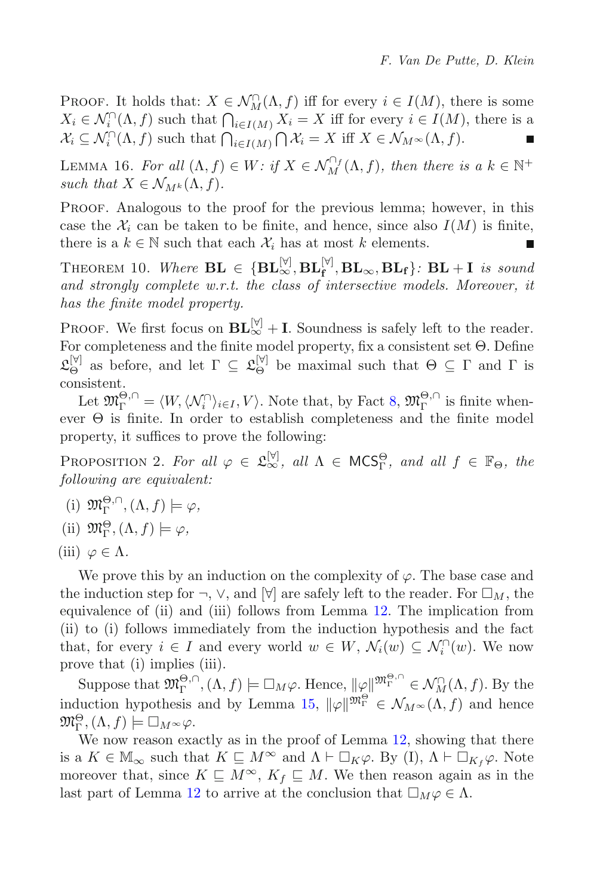PROOF. It holds that:  $X \in \mathcal{N}_{M}^{\cap}(\Lambda, f)$  iff for every  $i \in I(M)$ , there is some  $X \in \mathcal{N}_{M}^{\cap}(\Lambda, f)$  such that  $\bigcap_{X \in \mathcal{X}} X \subseteq X$  iff for every  $i \in I(M)$  there is a  $X_i \in \mathcal{N}_i^{\cap}(\Lambda, f)$  such that  $\bigcap_{i \in I(M)} X_i = X$  iff for every  $i \in I(M)$ , there is a<br> $\mathcal{X} \subset \mathcal{N}^{\cap}(\Lambda, f)$  such that  $\bigcap_{i \in I(M)} X_i = X$  iff  $X \subset \mathcal{N}_{\infty}$ ,  $(\Lambda, f)$  $\mathcal{X}_i \subseteq \mathcal{N}_i^{\cap}(\Lambda, f)$  such that  $\bigcap_{i \in I(M)} \bigcap \mathcal{X}_i = X$  iff  $X \in \mathcal{N}_{M^{\infty}}(\Lambda, f)$ .

<span id="page-33-1"></span>LEMMA 16. For all  $(\Lambda, f) \in W$ : if  $X \in \mathcal{N}_M^{\cap_f}(\Lambda, f)$ , then there is a  $k \in \mathbb{N}^+$ <br>such that  $X \in \mathcal{N}_{\infty}(\Lambda, f)$ *such that*  $X \in \mathcal{N}_{M^k}(\Lambda, f)$ .

PROOF. Analogous to the proof for the previous lemma; however, in this case the  $\mathcal{X}_i$  can be taken to be finite, and hence, since also  $I(M)$  is finite, there is a  $k \in \mathbb{N}$  such that each  $\mathcal{X}_i$  has at most k elements.

<span id="page-33-0"></span>THEOREM 10. Where  $\mathbf{BL} \in \{\mathbf{BL}_{\infty}^{[\forall]}, \mathbf{BL}_{\infty}, \mathbf{BL}_{\mathbf{f}}\}$ :  $\mathbf{BL} + \mathbf{I}$  is sound<br>and strongly complete  $w$  *x t* the class of intersective models. Moreover, it *and strongly complete w.r.t. the class of intersective models. Moreover, it has the finite model property.*

PROOF. We first focus on  $BL_{\infty}^{[\forall]}$  + **I**. Soundness is safely left to the reader. For completeness and the finite model property, fix a consistent set Θ. Define  $\mathfrak{L}_{\Theta}^{[\triangledown]}$  as before, and let  $\Gamma \subseteq \mathfrak{L}_{\Theta}^{[\triangledown]}$  be maximal such that  $\Theta \subseteq \Gamma$  and  $\Gamma$  is consistent.

Let  $\mathfrak{M}_{\Gamma}^{\Theta,\cap} = \langle W, \langle \mathcal{N}_i^{\cap} \rangle_{i \in I}, V \rangle$ . Note that, by Fact [8,](#page-20-1)  $\mathfrak{M}_{\Gamma}^{\Theta,\cap}$  is finite when-<br>r.  $\Theta$  is finite. In order to establish completeness and the finite model ever Θ is finite. In order to establish completeness and the finite model property, it suffices to prove the following:

PROPOSITION 2. For all  $\varphi \in \mathfrak{L}_{\infty}^{[\forall]}$ , all  $\Lambda \in \mathsf{MCS}_{\Gamma}^{\Theta}$ , and all  $f \in \mathbb{F}_{\Theta}$ , the following are equivalent: *following are equivalent:*

- (i)  $\mathfrak{M}_{\Gamma}^{\Theta,\cap}$ ,  $(\Lambda, f) \models \varphi$ ,
- (ii)  $\mathfrak{M}_{\Gamma}^{\Theta}, (\Lambda, f) \models \varphi,$
- (iii)  $\varphi \in \Lambda$ .

We prove this by an induction on the complexity of  $\varphi$ . The base case and the induction step for  $\neg$ ,  $\vee$ , and  $[\forall]$  are safely left to the reader. For  $\square_M$ , the equivalence of (ii) and (iii) follows from Lemma [12.](#page-22-1) The implication from (ii) to (i) follows immediately from the induction hypothesis and the fact that, for every  $i \in I$  and every world  $w \in W$ ,  $\mathcal{N}_i(w) \subseteq \mathcal{N}_i^{\cap}(w)$ . We now prove that (i) implies (iii).

Suppose that  $\mathfrak{M}_{\Gamma}^{\Theta,\cap}$ ,  $(\Lambda, f) \models \Box_M \varphi$ . Hence,  $\|\varphi\|_{\mathfrak{M}_{\Gamma}}^{\mathfrak{M}_{\Gamma}^{\Theta,\cap}} \in \mathcal{N}_{M}^{\cap}(\Lambda, f)$ . By the induction hypothesis and by Lemma [15,](#page-32-1)  $\|\varphi\|^{m_{\Gamma}^{\Theta}} \in \mathcal{N}_{M^{\infty}}(\Lambda, f)$  and hence  $m^{\Theta}$  ( $\Lambda, f$ )  $\vdash \Box_{M^{\infty}}(2)$  $\mathfrak{M}^{\Theta}_{\Gamma}, (\Lambda, f) \models \Box_{M^{\infty}} \varphi.$ We now reason exp

We now reason exactly as in the proof of Lemma [12,](#page-22-1) showing that there is a  $K \in \mathbb{M}_{\infty}$  such that  $K \subseteq M^{\infty}$  and  $\Lambda \vdash \Box_K \varphi$ . By (I),  $\Lambda \vdash \Box_{K_f} \varphi$ . Note moreover that, since  $K \subseteq M^{\infty}$ ,  $K_f \subseteq M$ . We then reason again as in the last part of Lemma [12](#page-22-1) to arrive at the conclusion that  $\Box_M \varphi \in \Lambda$ .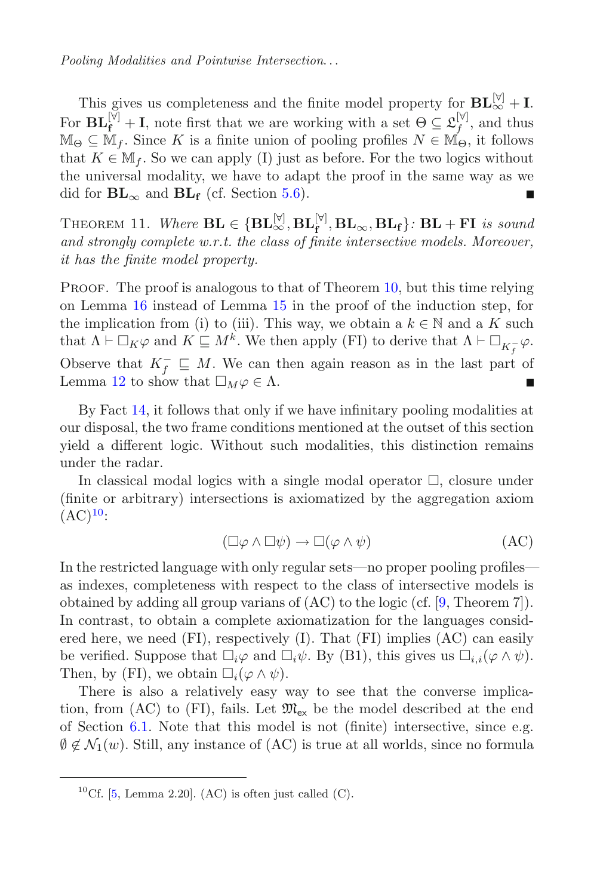This gives us completeness and the finite model property for  $\mathbf{BL}_{\infty}^{[\forall]}$  + **I**. For  $\mathbf{BL}_{\mathbf{f}}^{[\mathbf{V}]}$  + **I**, note first that we are working with a set  $\Theta \subseteq \mathcal{L}_{\mathbf{f}}^{[\mathbf{V}]}$ , and thus  $\mathbb{M}_{\Theta} \subset \mathbb{M}_f$ . Since K is a finite union of pooling profiles  $N \in \mathbb{M}_{\Theta}$ , it follows that  $K \in \mathbb{M}_f$ . So we can apply (I) just as before. For the two logics without the universal modality, we have to adapt the proof in the same way as we did for  $BL_{\infty}$  and  $BL_{\bf f}$  (cf. Section [5.6\)](#page-26-0). п

<span id="page-34-1"></span>THEOREM 11. Where  $\mathbf{BL} \in \{\mathbf{BL}_{\infty}^{[\mathbb{V}]}, \mathbf{BL}_{\mathbf{f}}, \mathbf{BL}_{\infty}, \mathbf{BL}_{\mathbf{f}}\}$ :  $\mathbf{BL} + \mathbf{FI}$  is sound<br>and strongly complete  $w$  r t, the class of finite intersective models. Moreover *and strongly complete w.r.t. the class of finite intersective models. Moreover, it has the finite model property.*

PROOF. The proof is analogous to that of Theorem [10,](#page-33-0) but this time relying on Lemma [16](#page-33-1) instead of Lemma [15](#page-32-1) in the proof of the induction step, for the implication from (i) to (iii). This way, we obtain a  $k \in \mathbb{N}$  and a K such<br>that  $\Lambda \vdash \Box_{K}(2 \text{ and } K \sqsubset M^k)$  We then apply (EI) to derive that  $\Lambda \vdash \Box$ that  $\Lambda \vdash \Box_K \varphi$  and  $K \sqsubseteq M^k$ . We then apply (FI) to derive that  $\Lambda \vdash \Box_{K^-_f} \varphi$ . Observe that  $K_f^- \subseteq M$ . We can then again reason as in the last part of Lemma 12 to show that  $\Box_{M}$   $\in \Lambda$ Lemma [12](#page-22-1) to show that  $\Box_M \varphi \in \Lambda$ .

By Fact [14,](#page-32-2) it follows that only if we have infinitary pooling modalities at our disposal, the two frame conditions mentioned at the outset of this section yield a different logic. Without such modalities, this distinction remains under the radar.

In classical modal logics with a single modal operator  $\Box$ , closure under (finite or arbitrary) intersections is axiomatized by the aggregation axiom  $(AC)^{10}$  $(AC)^{10}$  $(AC)^{10}$ :

$$
(\Box \varphi \land \Box \psi) \to \Box (\varphi \land \psi) \tag{AC}
$$

In the restricted language with only regular sets—no proper pooling profiles as indexes, completeness with respect to the class of intersective models is obtained by adding all group varians of  $(AC)$  to the logic (cf. [\[9,](#page-46-4) Theorem 7]). In contrast, to obtain a complete axiomatization for the languages considered here, we need (FI), respectively (I). That (FI) implies (AC) can easily be verified. Suppose that  $\Box_i \varphi$  and  $\Box_i \psi$ . By (B1), this gives us  $\Box_{i,i}(\varphi \wedge \psi)$ .<br>Then by (EI), we obtain  $\Box_i(\varphi \wedge \psi)$ . Then, by (FI), we obtain  $\Box_i(\varphi \wedge \psi)$ .<br>There is also a relatively easy y

There is also a relatively easy way to see that the converse implication, from (AC) to (FI), fails. Let  $\mathfrak{M}_{ex}$  be the model described at the end of Section [6.1.](#page-28-2) Note that this model is not (finite) intersective, since e.g.  $\emptyset \notin \mathcal{N}_1(w)$ . Still, any instance of (AC) is true at all worlds, since no formula

<span id="page-34-0"></span><sup>&</sup>lt;sup>10</sup>Cf. [\[5](#page-46-2), Lemma 2.20]. (AC) is often just called (C).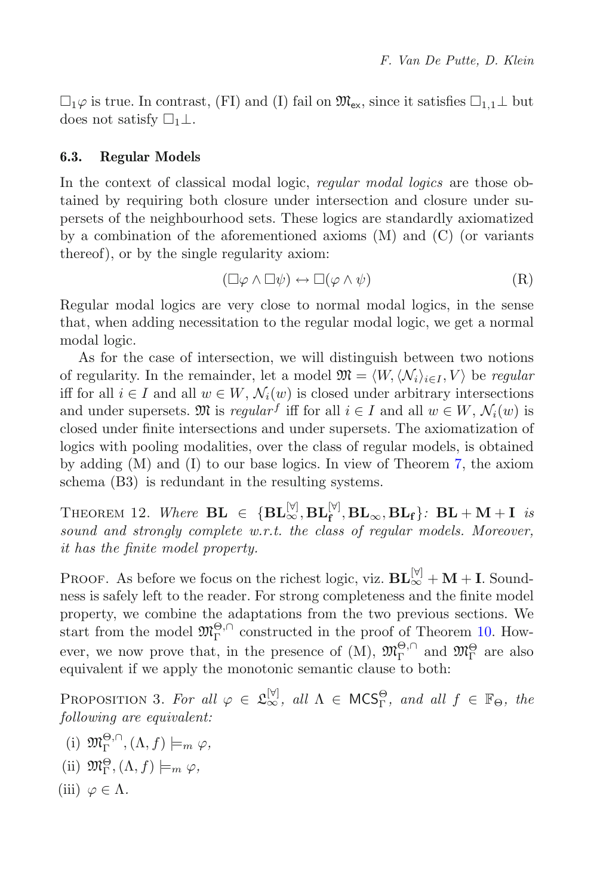$\Box_1\varphi$  is true. In contrast, (FI) and (I) fail on  $\mathfrak{M}_{\text{ex}}$ , since it satisfies  $\Box_{1,1}\bot$  but does not satisfy  $\Box_1$ . does not satisfy  $\square_1 \bot$ .

### <span id="page-35-1"></span>**6.3. Regular Models**

In the context of classical modal logic, *regular modal logics* are those obtained by requiring both closure under intersection and closure under supersets of the neighbourhood sets. These logics are standardly axiomatized by a combination of the aforementioned axioms (M) and (C) (or variants thereof), or by the single regularity axiom:

$$
(\Box \varphi \land \Box \psi) \leftrightarrow \Box (\varphi \land \psi) \tag{R}
$$

Regular modal logics are very close to normal modal logics, in the sense that, when adding necessitation to the regular modal logic, we get a normal modal logic.

As for the case of intersection, we will distinguish between two notions of regularity. In the remainder, let a model  $\mathfrak{M} = \langle W, \langle \mathcal{N}_i \rangle_{i \in I}, V \rangle$  be *regular* iff for all  $i \in I$  and all  $w \in W$ ,  $\mathcal{N}_i(w)$  is closed under arbitrary intersections and under supersets.  $\mathfrak{M}$  is *regular*<sup>f</sup> iff for all  $i \in I$  and all  $w \in W$ ,  $\mathcal{N}_i(w)$  is closed under finite intersections and under supersets. The axiomatization of logics with pooling modalities, over the class of regular models, is obtained by adding (M) and (I) to our base logics. In view of Theorem [7,](#page-29-0) the axiom schema (B3) is redundant in the resulting systems.

<span id="page-35-0"></span>THEOREM 12. Where  $\mathbf{BL} \in \{\mathbf{BL}_{\infty}^{[\mathbb{V}]}, \mathbf{BL}_{\mathbf{f}}, \mathbf{BL}_{\infty}, \mathbf{BL}_{\mathbf{f}}\}$ :  $\mathbf{BL} + \mathbf{M} + \mathbf{I}$  is<br>sound and strongly complete w.r.t. the class of regular models. Moreover *sound and strongly complete w.r.t. the class of regular models. Moreover, it has the finite model property.*

PROOF. As before we focus on the richest logic, viz.  $BL_{\infty}^{[\forall]} + M + I$ . Soundness is safely left to the reader. For strong completeness and the finite model property, we combine the adaptations from the two previous sections. We start from the model  $\mathfrak{M}_{\Gamma}^{\Theta,\cap}$  constructed in the proof of Theorem [10.](#page-33-0) However, we now prove that, in the presence of  $(M)$ ,  $\mathfrak{M}_{\Gamma}^{\Theta,\cap}$  and  $\mathfrak{M}_{\Gamma}^{\Theta}$  are also equivalent if we apply the monotonic semantic clause to both:

PROPOSITION 3. For all  $\varphi \in \mathfrak{L}_{\infty}^{[\forall]}$ , all  $\Lambda \in \mathsf{MCS}_{\Gamma}^{\Theta}$ , and all  $f \in \mathbb{F}_{\Theta}$ , the following are equivalent: *following are equivalent:*

- (i)  $\mathfrak{M}_{\Gamma}^{\Theta,\cap}$ ,  $(\Lambda, f) \models_m \varphi$ ,
- (ii)  $\mathfrak{M}_{\Gamma}^{\Theta}, (\Lambda, f) \models_m \varphi,$
- (iii)  $\varphi \in \Lambda$ .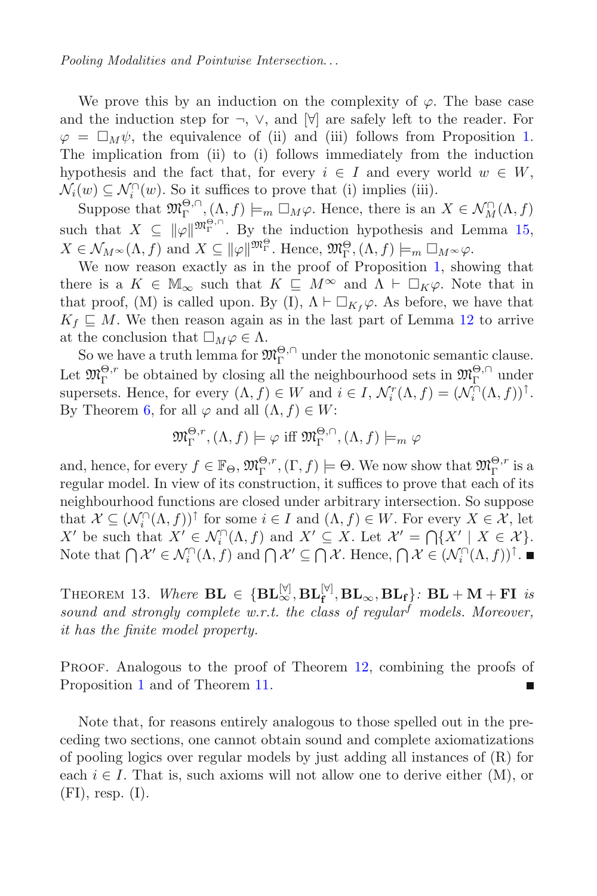We prove this by an induction on the complexity of  $\varphi$ . The base case and the induction step for  $\neg$ ,  $\vee$ , and  $[\forall]$  are safely left to the reader. For  $\varphi = \Box_M \psi$ , the equivalence of (ii) and (iii) follows from Proposition [1.](#page-30-1)<br>The implication from (ii) to (i) follows immediately from the induction The implication from (ii) to (i) follows immediately from the induction hypothesis and the fact that, for every  $i \in I$  and every world  $w \in W$ ,  $\mathcal{N}_i(w) \subseteq \mathcal{N}_i^{\cap}(w)$ . So it suffices to prove that (i) implies (iii).

 $i(w) \subseteq \mathcal{N}_i^{\cap}(w)$ . So it suffices to prove that (i) implies (iii).<br>Suppose that  $\mathfrak{M}_\Gamma^{\Theta,\cap}$ ,  $(\Lambda, f) \models_m \Box_M \varphi$ . Hence, there is an  $X \in \mathcal{N}_M^{\cap}(\Lambda, f)$ <br>is that  $X \subseteq \text{Hull}_{\Gamma}^{\Theta,\cap}$ . By the induction hypothesis an such that  $X \subseteq ||\varphi||^{m_{\Gamma}^{\Theta,\cap}}$ . By the induction hypothesis and Lemma [15,](#page-32-1)<br> $Y \subset \mathcal{N}$  (A, f) and  $Y \subset \mathbb{R}$  when Hange  $\mathfrak{M}^{\Theta}$  (A, f)  $\sqsubset \square$  $X \in \mathcal{N}_M \setminus (\Lambda, f)$  and  $X \subseteq ||\varphi||^{\mathfrak{M}^{\Theta}_\Gamma}$ . Hence,  $\mathfrak{M}^{\Theta}_\Gamma, (\Lambda, f) \models_m \Box_M \leadsto \varphi$ .<br>We now reason exactly as in the proof of Proposition 1, show

We now reason exactly as in the proof of Proposition [1,](#page-30-1) showing that there is a  $K \in \mathbb{M}_{\infty}$  such that  $K \subseteq M^{\infty}$  and  $\Lambda \vdash \Box_K \varphi$ . Note that in that proof  $(M)$  is called upon  $B_V(I) \uparrow \vdash \Box_K \varphi$ . As before we have that that proof, (M) is called upon. By (I),  $\Lambda \vdash \Box_{K_f} \varphi$ . As before, we have that  $K_f \sqsubset M$ . We then reason again as in the last part of Lemma 12 to arrive  $K_f \subseteq M$ . We then reason again as in the last part of Lemma [12](#page-22-1) to arrive at the conclusion that  $\Box_M \varphi \in \Lambda$ .

the conclusion that  $\Box_M \varphi \in \Lambda$ .<br>So we have a truth lemma for  $\mathfrak{M}^{\Theta,\cap}_{\Gamma}$  under the monotonic semantic clause. Let  $\mathfrak{M}_{\Gamma}^{\Theta,r}$  be obtained by closing all the neighbourhood sets in  $\mathfrak{M}_{\Gamma}^{\Theta,\cap}$  under supersets. Hence, for every  $(\Lambda, f) \in W$  and  $i \in I$ ,  $\mathcal{N}_i^r(\Lambda, f) = (\mathcal{N}_i^{\cap}(\Lambda, f))^{\uparrow}$ .<br>By Theorem 6, for all  $\emptyset$  and all  $(\Lambda, f) \in W$ . By Theorem [6,](#page-29-2) for all  $\varphi$  and all  $(\Lambda, f) \in W$ :

$$
\mathfrak{M}_{\Gamma}^{\Theta,r},(\Lambda,f)\models\varphi\text{ iff }\mathfrak{M}_{\Gamma}^{\Theta,\cap},(\Lambda,f)\models_m\varphi
$$

and, hence, for every  $f \in \mathbb{F}_{\Theta}$ ,  $\mathfrak{M}_{\Gamma}^{\Theta,r}$ ,  $(\Gamma, f) \models \Theta$ . We now show that  $\mathfrak{M}_{\Gamma}^{\Theta,r}$  is a regular model. In view of its construction, it suffices to prove that each of its regular model. In view of its construction, it suffices to prove that each of its neighbourhood functions are closed under arbitrary intersection. So suppose that  $\mathcal{X} \subseteq (\mathcal{N}_i^{\cap}(\Lambda, f))^{\top}$  for some  $i \in I$  and  $(\Lambda, f) \in W$ . For every  $X \in \mathcal{X}$ , let  $X' \cap X$  be such that  $X' \subseteq \mathcal{N}^{\cap}(\Lambda, f)$  and  $X' \subseteq X$ . Let  $\mathcal{X}' = \bigcap X' \mid X \subseteq \mathcal{X}^{\perp}$ X' be such that  $X' \in \mathcal{N}_i^{\cap}(\Lambda, f)$  and  $X' \subseteq X$ . Let  $\mathcal{X}' = \bigcap \{X' \mid X \in \mathcal{X}\}\$ .<br>Note that  $\bigcap \mathcal{X}' \subseteq \Lambda^{\cap}(\Lambda, f)$  and  $\bigcap \mathcal{X}' \subseteq \bigcap \mathcal{X}$ . Hence  $\bigcap \mathcal{X} \subseteq (\Lambda^{\cap}(\Lambda, f))$ . Note that  $\bigcap \mathcal{X}' \in \mathcal{N}_i^{\cap}(\Lambda, f)$  and  $\bigcap \mathcal{X}' \subseteq \bigcap \mathcal{X}$ . Hence,  $\bigcap \mathcal{X} \in (\mathcal{N}_i^{\cap}(\Lambda, f))^{\cap}$ .

THEOREM 13. Where  $\mathbf{BL} \in \{\mathbf{BL}_{\infty}^{[\forall]}, \mathbf{BL}_{\infty}, \mathbf{BL}_{\mathbf{f}}\}$ :  $\mathbf{BL} + \mathbf{M} + \mathbf{FI}$  is<br>sound and strongly complete w.r.t. the class of regular models. Moreover *sound and strongly complete w.r.t. the class of regular*<sup>f</sup> *models. Moreover, it has the finite model property.*

PROOF. Analogous to the proof of Theorem [12,](#page-35-0) combining the proofs of Proposition [1](#page-30-1) and of Theorem [11.](#page-34-1)

Note that, for reasons entirely analogous to those spelled out in the preceding two sections, one cannot obtain sound and complete axiomatizations of pooling logics over regular models by just adding all instances of (R) for each  $i \in I$ . That is, such axioms will not allow one to derive either  $(M)$ , or  $(FI)$ , resp.  $(I)$ .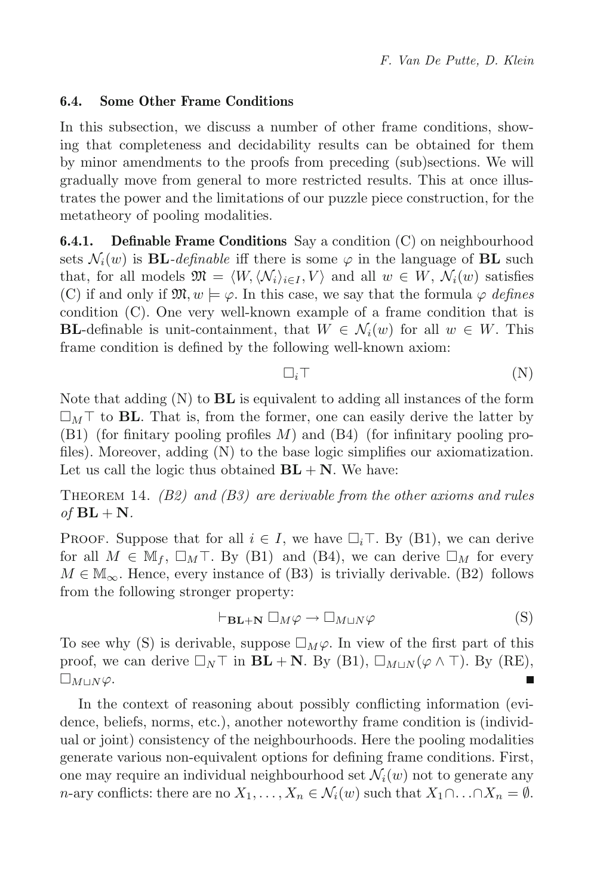## **6.4. Some Other Frame Conditions**

In this subsection, we discuss a number of other frame conditions, showing that completeness and decidability results can be obtained for them by minor amendments to the proofs from preceding (sub)sections. We will gradually move from general to more restricted results. This at once illustrates the power and the limitations of our puzzle piece construction, for the metatheory of pooling modalities.

**6.4.1. Definable Frame Conditions** Say a condition (C) on neighbourhood sets  $\mathcal{N}_i(w)$  is **BL***-definable* iff there is some  $\varphi$  in the language of **BL** such that, for all models  $\mathfrak{M} = \langle W, \langle \mathcal{N}_i \rangle_{i \in I}, V \rangle$  and all  $w \in W, \mathcal{N}_i(w)$  satisfies (C) if and only if  $\mathfrak{M}, w \models \varphi$ . In this case, we say that the formula  $\varphi$  *defines* condition (C). One very well-known example of a frame condition that is **BL**-definable is unit-containment, that  $W \in \mathcal{N}_i(w)$  for all  $w \in W$ . This frame condition is defined by the following well-known axiom:

$$
\Box_i \top \tag{N}
$$

Note that adding (N) to **BL** is equivalent to adding all instances of the form  $\square_M$ <sup>T</sup> to **BL**. That is, from the former, one can easily derive the latter by  $(B1)$  (for finitary pooling profiles M) and  $(B4)$  (for infinitary pooling profiles). Moreover, adding (N) to the base logic simplifies our axiomatization. Let us call the logic thus obtained  $BL + N$ . We have:

Theorem 14. *(B2) and (B3) are derivable from the other axioms and rules*  $of$   $BL + N$ *.* 

PROOF. Suppose that for all  $i \in I$ , we have  $\square_i \top$ . By (B1), we can derive<br>for all  $M \in \mathbb{M}_i$ ,  $\square_{i \in I} \top$  By (B1) and (B4), we can derive  $\square_{i \in I}$  for every for all  $M \in M_f$ ,  $\square_M \top$ . By (B1) and (B4), we can derive  $\square_M$  for every  $M \in M$ . Hence every instance of (B3) is trivially derivable (B2) follows  $M \in \mathbb{M}_{\infty}$ . Hence, every instance of (B3) is trivially derivable. (B2) follows from the following stronger property:

$$
\vdash_{\mathbf{BL}+\mathbf{N}} \Box_M \varphi \to \Box_{M\sqcup N} \varphi \tag{S}
$$

To see why (S) is derivable, suppose  $\Box_M \varphi$ . In view of the first part of this proof, we can derive  $\Box_{\mathcal{M}} \Box_{\mathcal{M}} + \mathbf{N}$ , By (B1),  $\Box_{\mathcal{M}\mathcal{M}}(Q \land \Box)$  By (BE) proof, we can derive  $\Box_N \top$  in  $BL + N$ . By (B1),  $\Box_{M\sqcup N}(\varphi \wedge \top)$ . By (RE),  $\square_{M\sqcup N}\varphi.$ 

In the context of reasoning about possibly conflicting information (evidence, beliefs, norms, etc.), another noteworthy frame condition is (individual or joint) consistency of the neighbourhoods. Here the pooling modalities generate various non-equivalent options for defining frame conditions. First, one may require an individual neighbourhood set  $\mathcal{N}_i(w)$  not to generate any n-ary conflicts: there are no  $X_1,\ldots,X_n \in \mathcal{N}_i(w)$  such that  $X_1 \cap \ldots \cap X_n = \emptyset$ .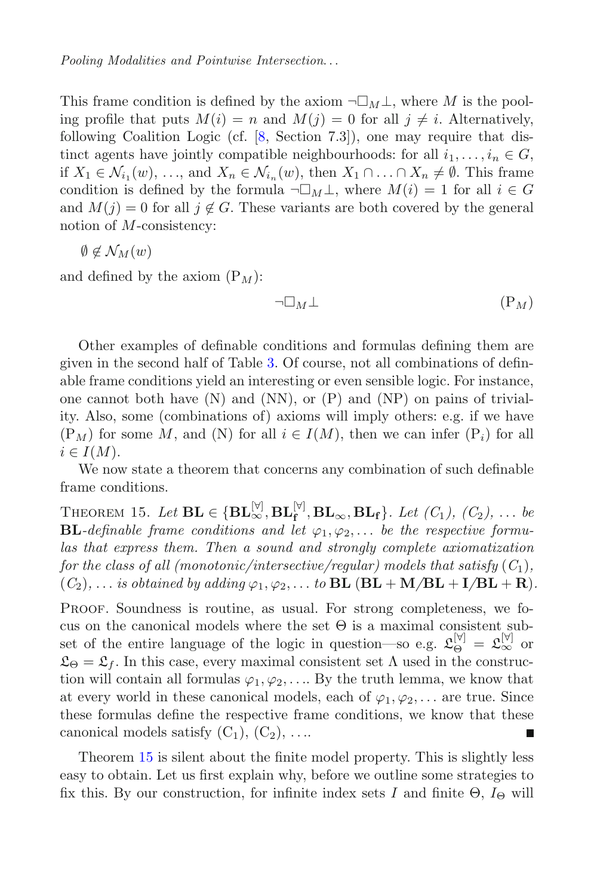This frame condition is defined by the axiom  $\neg \Box_M \bot$ , where M is the pool-<br>ing profile that puts  $M(i) = n$  and  $M(i) = 0$  for all  $i \neq i$ . Alternatively ing profile that puts  $M(i) = n$  and  $M(j) = 0$  for all  $j \neq i$ . Alternatively, following Coalition Logic (cf. [\[8,](#page-46-0) Section 7.3]), one may require that distinct agents have jointly compatible neighbourhoods: for all  $i_1, \ldots, i_n \in G$ , if  $X_1 \in \mathcal{N}_{i_1}(w), \ldots$ , and  $X_n \in \mathcal{N}_{i_n}(w)$ , then  $X_1 \cap \ldots \cap X_n \neq \emptyset$ . This frame condition is defined by the formula  $\neg \Box_M \bot$ , where  $M(i) = 1$  for all  $i \in G$ <br>and  $M(i) = 0$  for all  $i \notin G$ . These variants are both covered by the general and  $M(i) = 0$  for all  $j \notin G$ . These variants are both covered by the general notion of M-consistency:

$$
\emptyset \notin \mathcal{N}_M(w)
$$

and defined by the axiom  $(P_M)$ :

$$
\neg \Box_M \bot \qquad \qquad (\mathcal{P}_M)
$$

Other examples of definable conditions and formulas defining them are given in the second half of Table [3.](#page-42-1) Of course, not all combinations of definable frame conditions yield an interesting or even sensible logic. For instance, one cannot both have  $(N)$  and  $(NN)$ , or  $(P)$  and  $(NP)$  on pains of triviality. Also, some (combinations of) axioms will imply others: e.g. if we have  $(P_M)$  for some M, and (N) for all  $i \in I(M)$ , then we can infer  $(P_i)$  for all  $i \in I(M)$ .

<span id="page-38-0"></span>We now state a theorem that concerns any combination of such definable frame conditions.

THEOREM 15. Let  $\mathbf{BL} \in \{\mathbf{BL}_{\infty}^{[\forall]}, \mathbf{BL}_{\infty}, \mathbf{BL}_{\mathbf{f}}\}$ . Let  $(C_1)$ ,  $(C_2)$ , ... be<br>**RL** definable frame conditions and let  $(c_2, c_2)$  be the respective formu-**BL***-definable frame conditions and let*  $\varphi_1, \varphi_2, \ldots$  *be the respective formulas that express them. Then a sound and strongly complete axiomatization for the class of all (monotonic/intersective/regular) models that satisfy*  $(C_1)$ *,*  $(C_2)$ , ... *is obtained by adding*  $\varphi_1, \varphi_2, \ldots$  *to*  $BL$   $(BL + M/BL + I/BL + R)$ *.* 

PROOF. Soundness is routine, as usual. For strong completeness, we focus on the canonical models where the set  $\Theta$  is a maximal consistent subset of the entire language of the logic in question—so e.g.  $\mathfrak{L}_{\Theta}^{[\forall]} = \mathfrak{L}_{\infty}^{[\forall]}$  or  $\mathfrak{L}_{\Theta} = \mathfrak{L}_f$ . In this case, every maximal consistent set  $\Lambda$  used in the construction will contain all formulas  $\varphi_1, \varphi_2, \ldots$  By the truth lemma, we know that at every world in these canonical models, each of  $\varphi_1, \varphi_2, \ldots$  are true. Since these formulas define the respective frame conditions, we know that these canonical models satisfy  $(C_1)$ ,  $(C_2)$ , ....

Theorem [15](#page-38-0) is silent about the finite model property. This is slightly less easy to obtain. Let us first explain why, before we outline some strategies to fix this. By our construction, for infinite index sets I and finite  $\Theta$ ,  $I_{\Theta}$  will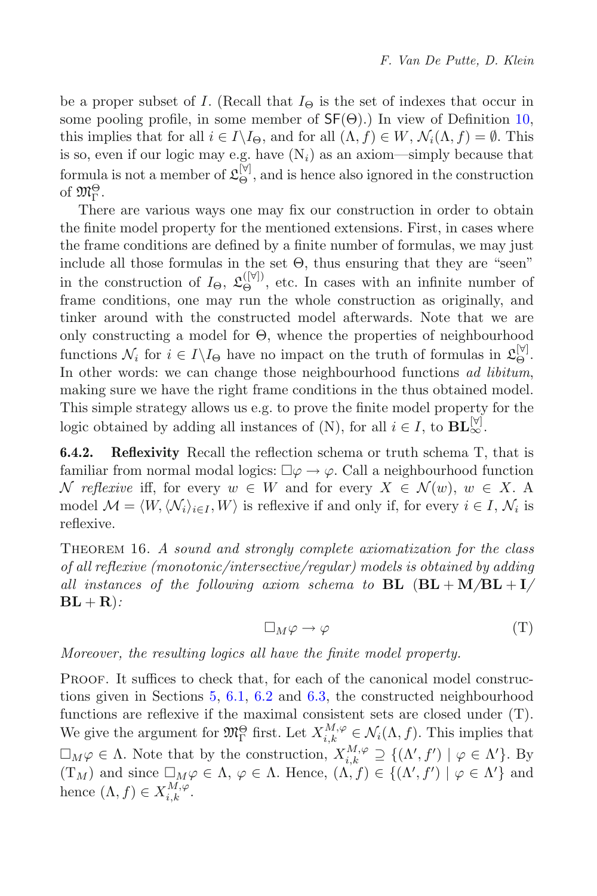be a proper subset of I. (Recall that  $I_{\Theta}$  is the set of indexes that occur in some pooling profile, in some member of  $\mathsf{SF}(\Theta)$ .) In view of Definition [10,](#page-20-0) this implies that for all  $i \in I \backslash I_{\Theta}$ , and for all  $(\Lambda, f) \in W$ ,  $\mathcal{N}_i(\Lambda, f) = \emptyset$ . This is so, even if our logic may e.g. have  $(N_i)$  as an axiom—simply because that formula is not a member of  $\mathfrak{L}_{\Theta}^{[\forall]}$ , and is hence also ignored in the construction of  $\mathfrak{M}^{\Theta}_{\Gamma}$ .

There are various ways one may fix our construction in order to obtain the finite model property for the mentioned extensions. First, in cases where the frame conditions are defined by a finite number of formulas, we may just include all those formulas in the set  $\Theta$ , thus ensuring that they are "seen" in the construction of  $I_{\Theta}$ ,  $\mathfrak{L}_{\Theta}^{([\mathbb{V}])}$ , etc. In cases with an infinite number of frame conditions, one may run the whole construction as originally and frame conditions, one may run the whole construction as originally, and tinker around with the constructed model afterwards. Note that we are only constructing a model for Θ, whence the properties of neighbourhood functions  $\mathcal{N}_i$  for  $i \in I \backslash I_{\Theta}$  have no impact on the truth of formulas in  $\mathfrak{L}_{\Theta}^{[\forall]}$ .<br>In other words: we can change those neighbourhood functions *od libitum* In other words: we can change those neighbourhood functions *ad libitum*, making sure we have the right frame conditions in the thus obtained model. This simple strategy allows us e.g. to prove the finite model property for the logic obtained by adding all instances of (N), for all  $i \in I$ , to  $BL^{\forall j}_{\infty}$ .<br>**6.4.2. Reflexivity** Recall the reflection schema or truth schema T.

**Reflexivity** Recall the reflection schema or truth schema T, that is familiar from normal modal logics:  $\square \varphi \to \varphi$ . Call a neighbourhood function  $\mathcal{N}$  reflexive iff for every  $w \in W$  and for every  $X \in \mathcal{N}(w)$ ,  $w \in X$ . N reflexive iff, for every  $w \in W$  and for every  $X \in \mathcal{N}(w)$ ,  $w \in X$ . A model  $\mathcal{M} = \langle W, \langle \mathcal{N}_i \rangle_{i \in I}, W \rangle$  is reflexive if and only if, for every  $i \in I, \mathcal{N}_i$  is reflexive.

Theorem 16. *A sound and strongly complete axiomatization for the class of all reflexive (monotonic/intersective/regular) models is obtained by adding all instances of the following axiom schema to* **BL** (**BL** + **M***/***BL** + **I***/*  $BL + R$ ):

$$
\Box_M \varphi \to \varphi \tag{T}
$$

*Moreover, the resulting logics all have the finite model property.*

Proof. It suffices to check that, for each of the canonical model constructions given in Sections [5,](#page-17-0) [6.1,](#page-28-2) [6.2](#page-32-3) and [6.3,](#page-35-1) the constructed neighbourhood functions are reflexive if the maximal consistent sets are closed under (T). We give the argument for  $\mathfrak{M}_{\Gamma}^{\Theta}$  first. Let  $X_{i,k}^{M,\varphi} \in \mathcal{N}_i(\Lambda, f)$ . This implies that  $\Box_M \varphi \in \Lambda$ . Note that by the construction,  $X_{i,k}^{M,\varphi} \supseteq \{(\Lambda', f') \mid \varphi \in \Lambda'\}$ . By  $(T_M)$  and since  $\Box_M \varphi \in \Lambda$ ,  $\varphi \in \Lambda$ . Hence,  $(\Lambda, f) \in \{(\Lambda', f') \mid \varphi \in \Lambda'\}$  and hence  $(\Lambda, f) \subset \mathcal{X}^{M, \varphi}$ hence  $(\Lambda, f) \in X_{i,k}^{M,\varphi}$ .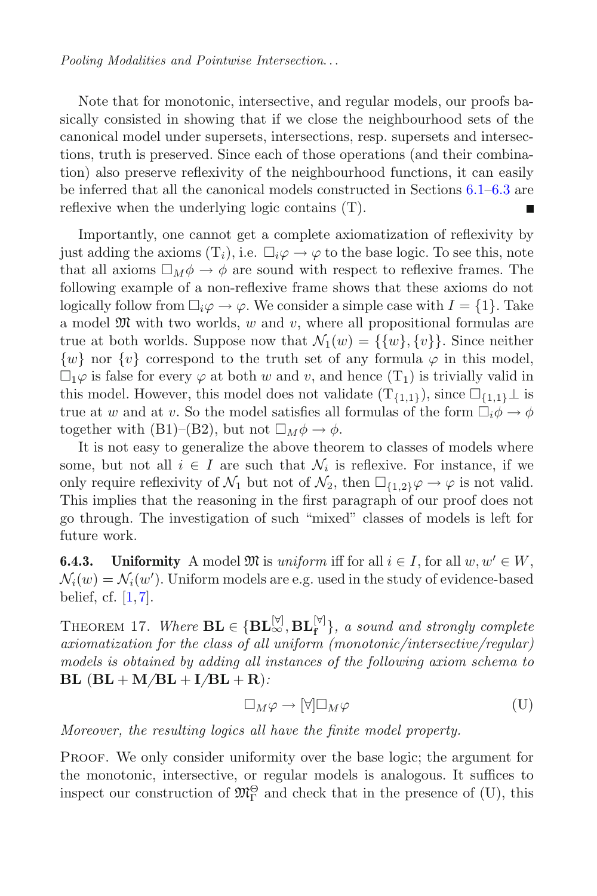Note that for monotonic, intersective, and regular models, our proofs basically consisted in showing that if we close the neighbourhood sets of the canonical model under supersets, intersections, resp. supersets and intersections, truth is preserved. Since each of those operations (and their combination) also preserve reflexivity of the neighbourhood functions, it can easily be inferred that all the canonical models constructed in Sections [6.1–](#page-28-2)[6.3](#page-35-1) are reflexive when the underlying logic contains (T).

Importantly, one cannot get a complete axiomatization of reflexivity by just adding the axioms  $(T_i)$ , i.e.  $\Box_i \varphi \to \varphi$  to the base logic. To see this, note<br>that all axioms  $\Box_{\mathcal{M}} \phi \to \phi$  are sound with respect to reflexive frames. The that all axioms  $\Box_M \phi \to \phi$  are sound with respect to reflexive frames. The following example of a non-reflexive frame shows that these axioms do not following example of a non-reflexive frame shows that these axioms do not logically follow from  $\Box_i \varphi \to \varphi$ . We consider a simple case with  $I = \{1\}$ . Take a model  $\mathfrak{M}$  with two worlds, w and v, where all propositional formulas are true at both worlds. Suppose now that  $\mathcal{N}_1(w) = \{\{w\}, \{v\}\}\.$  Since neither  $\{w\}$  nor  $\{v\}$  correspond to the truth set of any formula  $\varphi$  in this model,  $\Box_1\varphi$  is false for every  $\varphi$  at both w and v, and hence  $(T_1)$  is trivially valid in<br>this model. However, this model does not validate  $(T_{(i,j)})$  since  $\Box_{(i,j)}$  is this model. However, this model does not validate  $(T_{\{1,1\}})$ , since  $\square_{\{1,1\}}\bot$  is true at w and at v. So the model satisfies all formulas of the form  $\Box_i \phi \to \phi$ <br>together with  $(B1)_{\alpha}(B2)$  but not  $\Box_i \phi \to \phi$ together with (B1)–(B2), but not  $\square_M \phi \to \phi$ .<br>It is not easy to generalize the above theory

It is not easy to generalize the above theorem to classes of models where some, but not all  $i \in I$  are such that  $\mathcal{N}_i$  is reflexive. For instance, if we only require reflexivity of  $\mathcal{N}_1$  but not of  $\mathcal{N}_2$ , then  $\Box_{\{1,2\}}\varphi \to \varphi$  is not valid.<br>This implies that the reasoning in the first paragraph of our proof does not This implies that the reasoning in the first paragraph of our proof does not go through. The investigation of such "mixed" classes of models is left for future work.

**6.4.3.** Uniformity A model  $\mathfrak{M}$  is *uniform* iff for all  $i \in I$ , for all  $w, w' \in W$ ,  $\mathcal{N}_i(w) = \mathcal{N}_i(w')$ . Uniform models are e.g. used in the study of evidence-based belief of [1,7] belief, cf.  $[1,7]$  $[1,7]$ .

THEOREM 17. Where  $\mathbf{BL} \in \{\mathbf{BL}_{\infty}^{[\forall]}, \mathbf{BL}_{\mathbf{f}}^{[\forall]}\}\text{, a sound and strongly complete  
grion atization for the class of all uniform (monotonic/intersective/reculer)$ *axiomatization for the class of all uniform (monotonic/intersective/regular) models is obtained by adding all instances of the following axiom schema to*  $BL$  ( $BL + M/BL + I/BL + R$ ):

$$
\Box_M \varphi \to [\forall] \Box_M \varphi \tag{U}
$$

*Moreover, the resulting logics all have the finite model property.*

Proof. We only consider uniformity over the base logic; the argument for the monotonic, intersective, or regular models is analogous. It suffices to inspect our construction of  $\mathfrak{M}_{\Gamma}^{\Theta}$  and check that in the presence of (U), this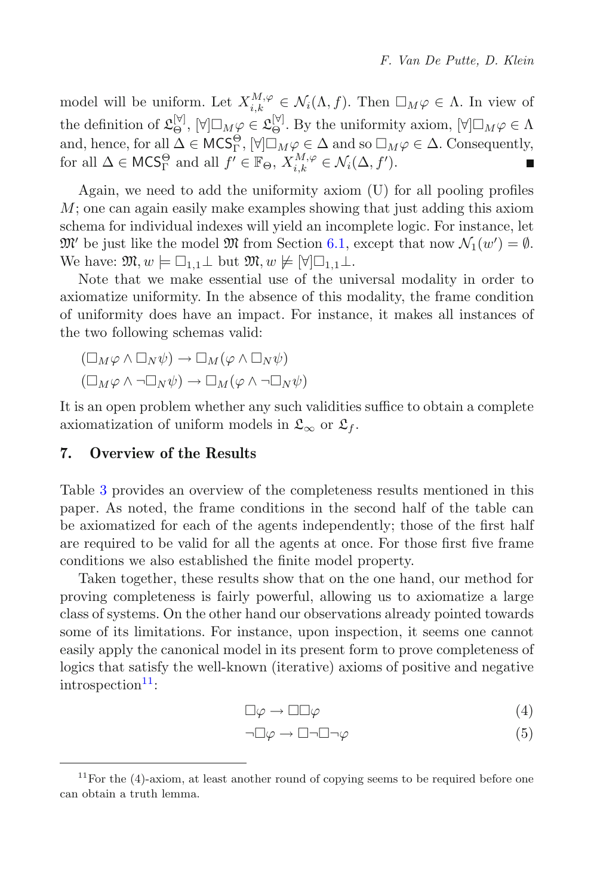model will be uniform. Let  $X_{i,k}^{M,\varphi} \in \mathcal{N}_i(\Lambda, f)$ . Then  $\Box_M \varphi \in \Lambda$ . In view of the definition of  $\mathfrak{L}_{\Theta}^{[\forall]}$ ,  $[\forall] \Box_M \varphi \in \mathfrak{L}_{\Theta}^{[\forall]}$ . By the uniformity axiom,  $[\forall] \Box_M \varphi \in \Lambda$ <br>and hence for all  $\Lambda \subset MCS^{\Theta}$ .  $[\forall] \Box_{\mathcal{M}} \varphi \subset \Lambda$  and so  $\Box_{\mathcal{M}} \varphi \subset \Lambda$ . Consequently and, hence, for all  $\Delta \in \mathsf{MCS}_\Gamma^\Theta$ ,  $[\forall] \Box_M \varphi \in \Delta$  and so  $\Box_M \varphi \in \Delta$ . Consequently,<br>for all  $\Delta \subset \mathsf{MCS}^\Theta$  and all  $f' \subset \mathbb{F}_{\alpha}$ ,  $X^{M,\varphi} \subset \Lambda$ .  $(\Delta, f')$ for all  $\Delta \in \mathsf{MCS}^{\Theta}_{\Gamma}$  and all  $f' \in \mathbb{F}_{\Theta}, X^{M,\varphi}_{i,k} \in \mathcal{N}_i(\Delta, f').$ 

Again, we need to add the uniformity axiom (U) for all pooling profiles M; one can again easily make examples showing that just adding this axiom schema for individual indexes will yield an incomplete logic. For instance, let  $\mathfrak{M}'$  be just like the model  $\mathfrak{M}$  from Section [6.1,](#page-28-2) except that now  $\mathcal{N}_1(w') = \emptyset$ .<br>We have:  $\mathfrak{M} \otimes w \vdash \Box_{i,j} \vdash \text{but } \mathfrak{M} \otimes w \vdash \text{M} \Box_{i,j} \vdash$ We have:  $\mathfrak{M}, w \models \Box_{1,1} \bot \text{ but } \mathfrak{M}, w \not\models [\forall] \Box_{1,1} \bot.$ <br>Note that we make essential use of the un

Note that we make essential use of the universal modality in order to axiomatize uniformity. In the absence of this modality, the frame condition of uniformity does have an impact. For instance, it makes all instances of the two following schemas valid:

$$
(\Box_M \varphi \land \Box_N \psi) \to \Box_M (\varphi \land \Box_N \psi)
$$

$$
(\Box_M \varphi \land \neg \Box_N \psi) \to \Box_M (\varphi \land \neg \Box_N \psi)
$$

It is an open problem whether any such validities suffice to obtain a complete axiomatization of uniform models in  $\mathfrak{L}_{\infty}$  or  $\mathfrak{L}_{f}$ .

## <span id="page-41-0"></span>**7. Overview of the Results**

Table [3](#page-42-1) provides an overview of the completeness results mentioned in this paper. As noted, the frame conditions in the second half of the table can be axiomatized for each of the agents independently; those of the first half are required to be valid for all the agents at once. For those first five frame conditions we also established the finite model property.

Taken together, these results show that on the one hand, our method for proving completeness is fairly powerful, allowing us to axiomatize a large class of systems. On the other hand our observations already pointed towards some of its limitations. For instance, upon inspection, it seems one cannot easily apply the canonical model in its present form to prove completeness of logics that satisfy the well-known (iterative) axioms of positive and negative  $introspection<sup>11</sup>$  $introspection<sup>11</sup>$  $introspection<sup>11</sup>$ :

$$
\Box \varphi \to \Box \Box \varphi \tag{4}
$$

$$
\neg \Box \varphi \to \Box \neg \Box \neg \varphi \tag{5}
$$

<span id="page-41-1"></span> $11$  For the (4)-axiom, at least another round of copying seems to be required before one can obtain a truth lemma.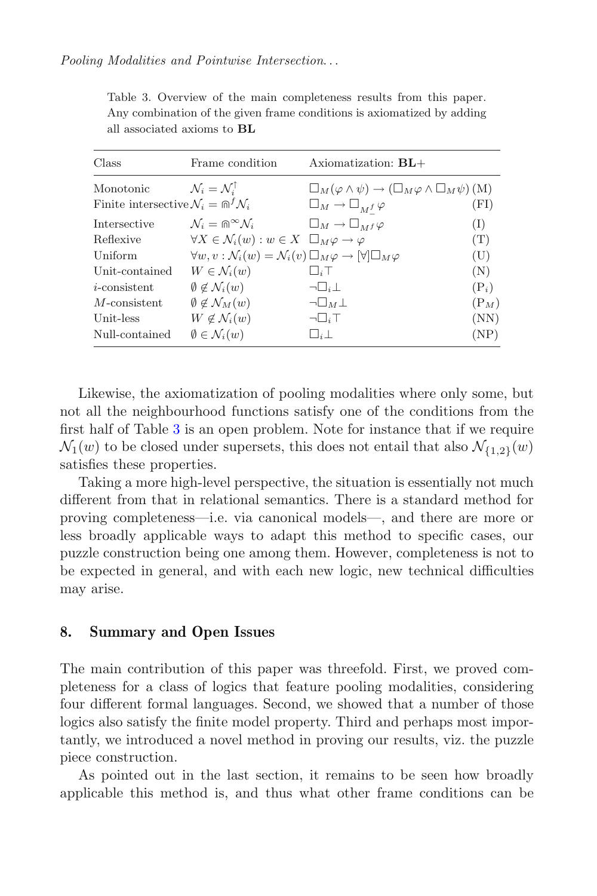| Class                                                            | Frame condition                                                                                              | Axiomatization: $BL+$                                                             |         |
|------------------------------------------------------------------|--------------------------------------------------------------------------------------------------------------|-----------------------------------------------------------------------------------|---------|
| Monotonic                                                        | $\mathcal{N}_i = \mathcal{N}_i^{\uparrow}$                                                                   | $\Box_M(\varphi \wedge \psi) \rightarrow (\Box_M \varphi \wedge \Box_M \psi)$ (M) |         |
| Finite intersective $\mathcal{N}_i = \mathbb{R}^f \mathcal{N}_i$ |                                                                                                              | $\square_M \to \square_M^{\vphantom{\perp}} f \varphi$                            | (FI)    |
| Intersective                                                     | $\mathcal{N}_i = \mathbb{R}^\infty \mathcal{N}_i$                                                            | $\square_M \to \square_{Mf} \varphi$                                              | (I)     |
| Reflexive                                                        | $\forall X \in \mathcal{N}_i(w) : w \in X \ \Box_M \varphi \to \varphi$                                      |                                                                                   | (T)     |
| Uniform                                                          | $\forall w, v : \mathcal{N}_i(w) = \mathcal{N}_i(v) \square_M \varphi \rightarrow \forall \square_M \varphi$ |                                                                                   | (U)     |
| Unit-contained                                                   | $W \in \mathcal{N}_i(w)$                                                                                     | $\Box_i$                                                                          | (N)     |
| $i$ -consistent                                                  | $\emptyset \notin \mathcal{N}_i(w)$                                                                          | $\neg\Box_i\bot$                                                                  | $(P_i)$ |
| $M$ -consistent                                                  | $\emptyset \notin \mathcal{N}_M(w)$                                                                          | $\neg\Box_M\bot$                                                                  | $(P_M)$ |
| Unit-less                                                        | $W \notin \mathcal{N}_i(w)$                                                                                  | $\neg\Box_i$ T                                                                    | (NN)    |
| Null-contained                                                   | $\emptyset \in \mathcal{N}_i(w)$                                                                             | $\Box_i \bot$                                                                     | (NP)    |

<span id="page-42-1"></span>Table 3. Overview of the main completeness results from this paper. Any combination of the given frame conditions is axiomatized by adding all associated axioms to **BL**

Likewise, the axiomatization of pooling modalities where only some, but not all the neighbourhood functions satisfy one of the conditions from the first half of Table [3](#page-42-1) is an open problem. Note for instance that if we require  $\mathcal{N}_1(w)$  to be closed under supersets, this does not entail that also  $\mathcal{N}_{\{1,2\}}(w)$ satisfies these properties.

Taking a more high-level perspective, the situation is essentially not much different from that in relational semantics. There is a standard method for proving completeness—i.e. via canonical models—, and there are more or less broadly applicable ways to adapt this method to specific cases, our puzzle construction being one among them. However, completeness is not to be expected in general, and with each new logic, new technical difficulties may arise.

## <span id="page-42-0"></span>**8. Summary and Open Issues**

The main contribution of this paper was threefold. First, we proved completeness for a class of logics that feature pooling modalities, considering four different formal languages. Second, we showed that a number of those logics also satisfy the finite model property. Third and perhaps most importantly, we introduced a novel method in proving our results, viz. the puzzle piece construction.

As pointed out in the last section, it remains to be seen how broadly applicable this method is, and thus what other frame conditions can be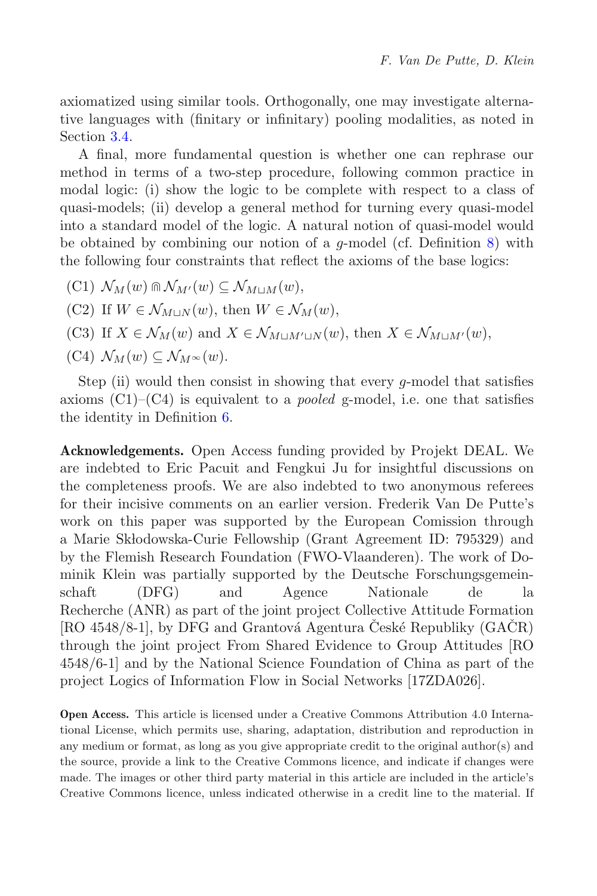axiomatized using similar tools. Orthogonally, one may investigate alternative languages with (finitary or infinitary) pooling modalities, as noted in Section [3.4.](#page-10-0)

A final, more fundamental question is whether one can rephrase our method in terms of a two-step procedure, following common practice in modal logic: (i) show the logic to be complete with respect to a class of quasi-models; (ii) develop a general method for turning every quasi-model into a standard model of the logic. A natural notion of quasi-model would be obtained by combining our notion of a  $q$ -model (cf. Definition [8\)](#page-7-1) with the following four constraints that reflect the axioms of the base logics:

- $(\text{C1})$   $\mathcal{N}_M(w) \cap \mathcal{N}_{M'}(w) \subseteq \mathcal{N}_{M \sqcup M}(w),$
- (C2) If  $W \in \mathcal{N}_{M\cup N}(w)$ , then  $W \in \mathcal{N}_M(w)$ ,
- (C3) If  $X \in \mathcal{N}_M(w)$  and  $X \in \mathcal{N}_{M \sqcup M' \sqcup N}(w)$ , then  $X \in \mathcal{N}_{M \sqcup M'}(w)$ ,

(C4) 
$$
\mathcal{N}_M(w) \subseteq \mathcal{N}_{M^{\infty}}(w)
$$
.

Step (ii) would then consist in showing that every g-model that satisfies axioms  $(C1)$ – $(C4)$  is equivalent to a *pooled* g-model, i.e. one that satisfies the identity in Definition [6.](#page-4-1)

**Acknowledgements.** Open Access funding provided by Projekt DEAL. We are indebted to Eric Pacuit and Fengkui Ju for insightful discussions on the completeness proofs. We are also indebted to two anonymous referees for their incisive comments on an earlier version. Frederik Van De Putte's work on this paper was supported by the European Comission through a Marie Skłodowska-Curie Fellowship (Grant Agreement ID: 795329) and by the Flemish Research Foundation (FWO-Vlaanderen). The work of Dominik Klein was partially supported by the Deutsche Forschungsgemeinschaft (DFG) and Agence Nationale de la Recherche (ANR) as part of the joint project Collective Attitude Formation [RO  $4548/8-1$ ], by DFG and Grantová Agentura Ceské Republiky (GACR) through the joint project From Shared Evidence to Group Attitudes [RO 4548/6-1] and by the National Science Foundation of China as part of the project Logics of Information Flow in Social Networks [17ZDA026].

**Open Access.** This article is licensed under a Creative Commons Attribution 4.0 International License, which permits use, sharing, adaptation, distribution and reproduction in any medium or format, as long as you give appropriate credit to the original author(s) and the source, provide a link to the Creative Commons licence, and indicate if changes were made. The images or other third party material in this article are included in the article's Creative Commons licence, unless indicated otherwise in a credit line to the material. If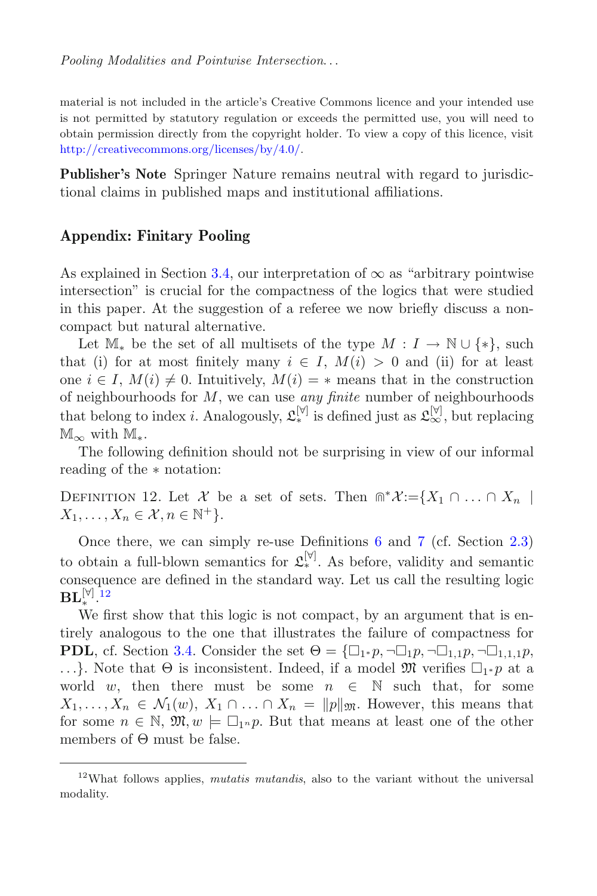material is not included in the article's Creative Commons licence and your intended use is not permitted by statutory regulation or exceeds the permitted use, you will need to obtain permission directly from the copyright holder. To view a copy of this licence, visit [http://creativecommons.org/licenses/by/4.0/.](http://creativecommons.org/licenses/by/4.0/)

**Publisher's Note** Springer Nature remains neutral with regard to jurisdictional claims in published maps and institutional affiliations.

## **Appendix: Finitary Pooling**

As explained in Section [3.4,](#page-10-0) our interpretation of  $\infty$  as "arbitrary pointwise" intersection" is crucial for the compactness of the logics that were studied in this paper. At the suggestion of a referee we now briefly discuss a noncompact but natural alternative.

Let  $\mathbb{M}_*$  be the set of all multisets of the type  $M: I \to \mathbb{N} \cup \{*\}$ , such that (i) for at most finitely many  $i \in I$ ,  $M(i) > 0$  and (ii) for at least one  $i \in I$ ,  $M(i) \neq 0$ . Intuitively,  $M(i) = *$  means that in the construction of neighbourhoods for M, we can use *any finite* number of neighbourhoods that belong to index *i*. Analogously,  $\mathcal{L}_{*}^{[\forall]}$  is defined just as  $\mathcal{L}_{\infty}^{[\forall]}$ , but replacing  $\mathbb{M}_{\infty}$  with  $\mathbb{M}_{*}$ .

The following definition should not be surprising in view of our informal reading of the ∗ notation:

DEFINITION 12. Let X be a set of sets. Then  $\mathbb{R}^*X:=\{X_1 \cap \ldots \cap X_n\mid$  $X_1,\ldots,X_n\in\mathcal{X}, n\in\mathbb{N}^+\}.$ 

Once there, we can simply re-use Definitions [6](#page-4-1) and [7](#page-4-2) (cf. Section [2.3\)](#page-3-3) to obtain a full-blown semantics for  $\mathfrak{L}_*^{[\forall]}$ . As before, validity and semantic consequence are defined in the standard way. Let us call the resulting logic  $\text{BL}_*^{[\forall]}$ . $^{12}$  $^{12}$  $^{12}$ 

We first show that this logic is not compact, by an argument that is entirely analogous to the one that illustrates the failure of compactness for **PDL**, cf. Section [3.4.](#page-10-0) Consider the set  $\Theta = {\Box_1 * p, \neg \Box_1 p, \neg \Box_1, p, \neg \Box}$  $1,1,1p,$ ...}. Note that  $\Theta$  is inconsistent. Indeed, if a model  $\mathfrak{M}$  verifies  $\square_{1} * p$  at a world w then there must be some  $p \in \mathbb{N}$  such that for some world w, then there must be some  $n \in \mathbb{N}$  such that, for some  $X_1,\ldots,X_n \in \mathcal{N}_1(w), X_1 \cap \ldots \cap X_n = ||p||_{\mathfrak{M}}$ . However, this means that for some  $n \in \mathbb{N}$ ,  $\mathfrak{M}, w \models \Box_1{}_n p$ . But that means at least one of the other<br>members of  $\Theta$  must be false members of Θ must be false.

<span id="page-44-0"></span><sup>12</sup>What follows applies, *mutatis mutandis*, also to the variant without the universal modality.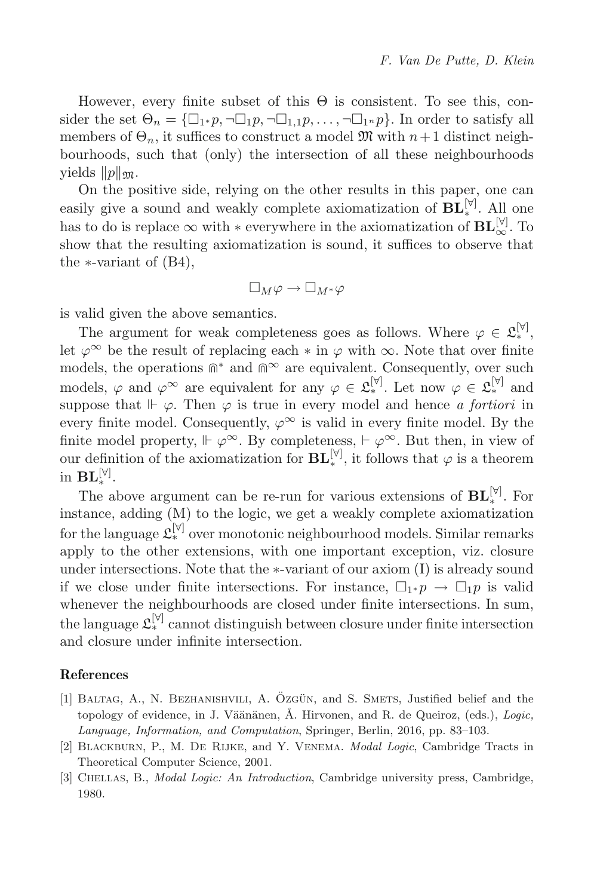However, every finite subset of this  $\Theta$  is consistent. To see this, consider the set  $\Theta_n = {\square_{1^*} p, \neg \square_{1} p, \neg \square_{1,1} p, \ldots, \neg \square_{1^n} p}$ . In order to satisfy all<br>members of  $\Theta$  it suffices to construct a model  $\mathfrak{M}$  with  $n+1$  distinct neighmembers of  $\Theta_n$ , it suffices to construct a model  $\mathfrak{M}$  with  $n+1$  distinct neighbourhoods, such that (only) the intersection of all these neighbourhoods yields  $||p||_{\mathfrak{M}}$ .

On the positive side, relying on the other results in this paper, one can easily give a sound and weakly complete axiomatization of  $\mathbf{BL}_{*}^{[\mathbb{V}]}$ . All one has to do is replace  $\infty$  with \* everywhere in the axiomatization of  $\mathbf{BL}_{\infty}^{[\forall]}$ . To show that the resulting axiomatization is sound, it suffices to observe that the  $\ast$ -variant of  $(B4)$ ,

$$
\Box_M \varphi \to \Box_{M^*} \varphi
$$

is valid given the above semantics.

The argument for weak completeness goes as follows. Where  $\varphi \in \mathfrak{L}_*^{[\forall]}$ , let  $\varphi^{\infty}$  be the result of replacing each  $*$  in  $\varphi$  with  $\infty$ . Note that over finite models, the operations  $\mathbb{R}^*$  and  $\mathbb{R}^\infty$  are equivalent. Consequently, over such models,  $\varphi$  and  $\varphi^{\infty}$  are equivalent for any  $\varphi \in \mathfrak{L}_*^{[\forall]}$ . Let now  $\varphi \in \mathfrak{L}_*^{[\forall]}$  and suppose that  $\vdash \varphi$ . Then  $\varphi$  is true in every model and hence *a fortiori* in every finite model. Consequently,  $\varphi^{\infty}$  is valid in every finite model. By the finite model property,  $\Vdash \varphi^{\infty}$ . By completeness,  $\vdash \varphi^{\infty}$ . But then, in view of our definition of the axiomatization for  $\mathbf{BL}_{*}^{[\forall]}$ , it follows that  $\varphi$  is a theorem<br>in  $\mathbf{RI}^{[\forall]}$ in **BL**<sup>[∀]</sup>.

The above argument can be re-run for various extensions of  $\mathbf{BL}_{*}^{[\mathbb{V}]}$ . For instance, adding (M) to the logic, we get a weakly complete axiomatization for the language  $\mathcal{L}_{*}^{[\forall]}$  over monotonic neighbourhood models. Similar remarks apply to the other extensions, with one important exception, viz. closure under intersections. Note that the ∗-variant of our axiom (I) is already sound if we close under finite intersections. For instance,  $\Box_1 * p \to \Box_1 p$  is valid<br>whenever the neighbourhoods are closed under finite intersections. In sum whenever the neighbourhoods are closed under finite intersections. In sum, the language  $\mathfrak{L}_*^{[\forall]}$  cannot distinguish between closure under finite intersection and closure under infinite intersection.

### **References**

- <span id="page-45-2"></span>[1] BALTAG, A., N. BEZHANISHVILI, A. ÖZGÜN, and S. SMETS, Justified belief and the topology of evidence, in J. Väänänen, Å. Hirvonen, and R. de Queiroz, (eds.), *Logic*, *Language, Information, and Computation*, Springer, Berlin, 2016, pp. 83–103.
- <span id="page-45-1"></span>[2] Blackburn, P., M. De Rijke, and Y. Venema. *Modal Logic*, Cambridge Tracts in Theoretical Computer Science, 2001.
- <span id="page-45-0"></span>[3] Chellas, B., *Modal Logic: An Introduction*, Cambridge university press, Cambridge, 1980.